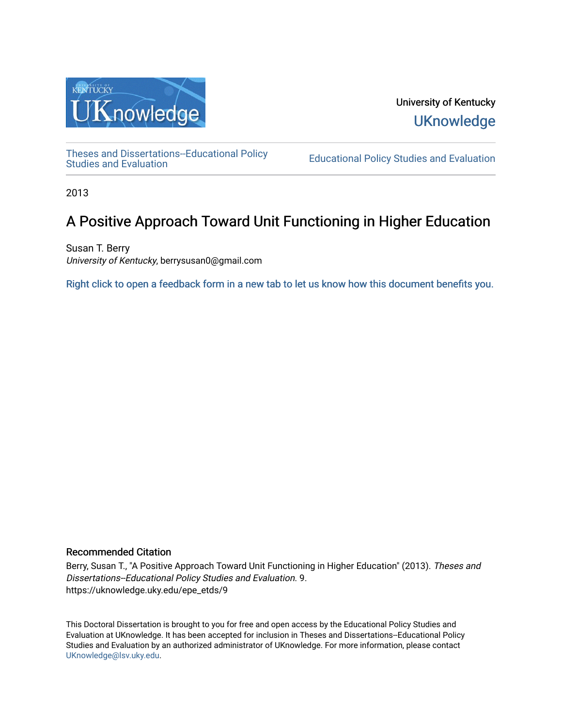

University of Kentucky **UKnowledge** 

[Theses and Dissertations--Educational Policy](https://uknowledge.uky.edu/epe_etds) 

**Educational Policy Studies and Evaluation** 

2013

# A Positive Approach Toward Unit Functioning in Higher Education

Susan T. Berry University of Kentucky, berrysusan0@gmail.com

[Right click to open a feedback form in a new tab to let us know how this document benefits you.](https://uky.az1.qualtrics.com/jfe/form/SV_9mq8fx2GnONRfz7)

## Recommended Citation

Berry, Susan T., "A Positive Approach Toward Unit Functioning in Higher Education" (2013). Theses and Dissertations--Educational Policy Studies and Evaluation. 9. https://uknowledge.uky.edu/epe\_etds/9

This Doctoral Dissertation is brought to you for free and open access by the Educational Policy Studies and Evaluation at UKnowledge. It has been accepted for inclusion in Theses and Dissertations--Educational Policy Studies and Evaluation by an authorized administrator of UKnowledge. For more information, please contact [UKnowledge@lsv.uky.edu.](mailto:UKnowledge@lsv.uky.edu)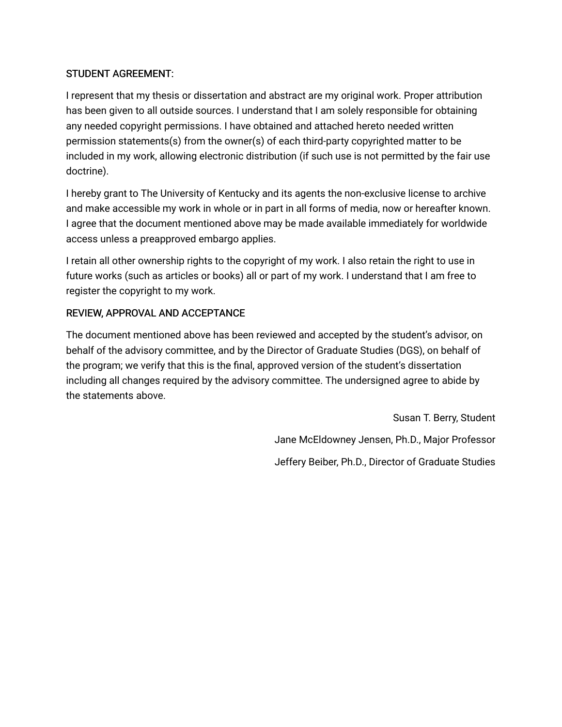# STUDENT AGREEMENT:

I represent that my thesis or dissertation and abstract are my original work. Proper attribution has been given to all outside sources. I understand that I am solely responsible for obtaining any needed copyright permissions. I have obtained and attached hereto needed written permission statements(s) from the owner(s) of each third-party copyrighted matter to be included in my work, allowing electronic distribution (if such use is not permitted by the fair use doctrine).

I hereby grant to The University of Kentucky and its agents the non-exclusive license to archive and make accessible my work in whole or in part in all forms of media, now or hereafter known. I agree that the document mentioned above may be made available immediately for worldwide access unless a preapproved embargo applies.

I retain all other ownership rights to the copyright of my work. I also retain the right to use in future works (such as articles or books) all or part of my work. I understand that I am free to register the copyright to my work.

# REVIEW, APPROVAL AND ACCEPTANCE

The document mentioned above has been reviewed and accepted by the student's advisor, on behalf of the advisory committee, and by the Director of Graduate Studies (DGS), on behalf of the program; we verify that this is the final, approved version of the student's dissertation including all changes required by the advisory committee. The undersigned agree to abide by the statements above.

> Susan T. Berry, Student Jane McEldowney Jensen, Ph.D., Major Professor Jeffery Beiber, Ph.D., Director of Graduate Studies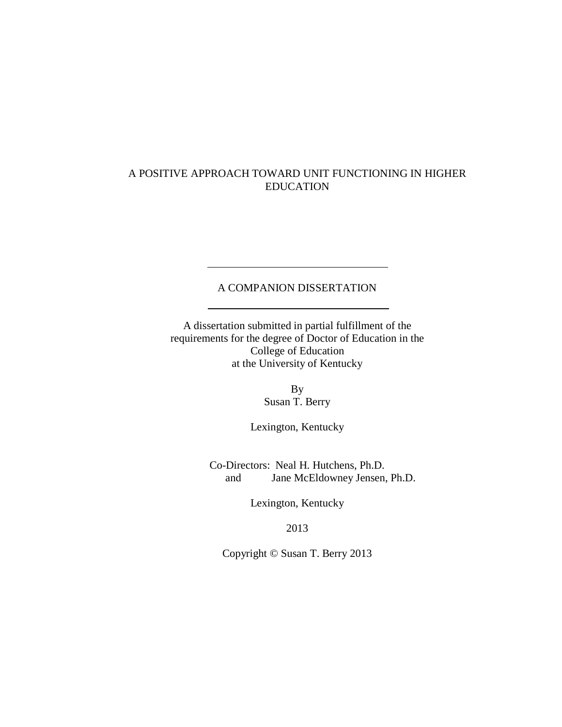# A POSITIVE APPROACH TOWARD UNIT FUNCTIONING IN HIGHER EDUCATION

# A COMPANION DISSERTATION

A dissertation submitted in partial fulfillment of the requirements for the degree of Doctor of Education in the College of Education at the University of Kentucky

> By Susan T. Berry

Lexington, Kentucky

Co-Directors: Neal H. Hutchens, Ph.D. and Jane McEldowney Jensen, Ph.D.

Lexington, Kentucky

2013

Copyright © Susan T. Berry 2013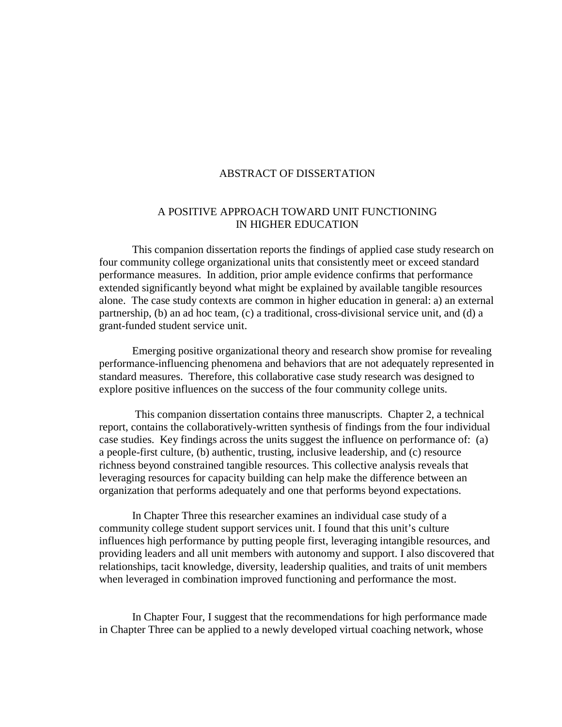#### ABSTRACT OF DISSERTATION

# A POSITIVE APPROACH TOWARD UNIT FUNCTIONING IN HIGHER EDUCATION

This companion dissertation reports the findings of applied case study research on four community college organizational units that consistently meet or exceed standard performance measures. In addition, prior ample evidence confirms that performance extended significantly beyond what might be explained by available tangible resources alone. The case study contexts are common in higher education in general: a) an external partnership, (b) an ad hoc team, (c) a traditional, cross-divisional service unit, and (d) a grant-funded student service unit.

Emerging positive organizational theory and research show promise for revealing performance-influencing phenomena and behaviors that are not adequately represented in standard measures. Therefore, this collaborative case study research was designed to explore positive influences on the success of the four community college units.

This companion dissertation contains three manuscripts. Chapter 2, a technical report, contains the collaboratively-written synthesis of findings from the four individual case studies. Key findings across the units suggest the influence on performance of: (a) a people-first culture, (b) authentic, trusting, inclusive leadership, and (c) resource richness beyond constrained tangible resources. This collective analysis reveals that leveraging resources for capacity building can help make the difference between an organization that performs adequately and one that performs beyond expectations.

In Chapter Three this researcher examines an individual case study of a community college student support services unit. I found that this unit's culture influences high performance by putting people first, leveraging intangible resources, and providing leaders and all unit members with autonomy and support. I also discovered that relationships, tacit knowledge, diversity, leadership qualities, and traits of unit members when leveraged in combination improved functioning and performance the most.

In Chapter Four, I suggest that the recommendations for high performance made in Chapter Three can be applied to a newly developed virtual coaching network, whose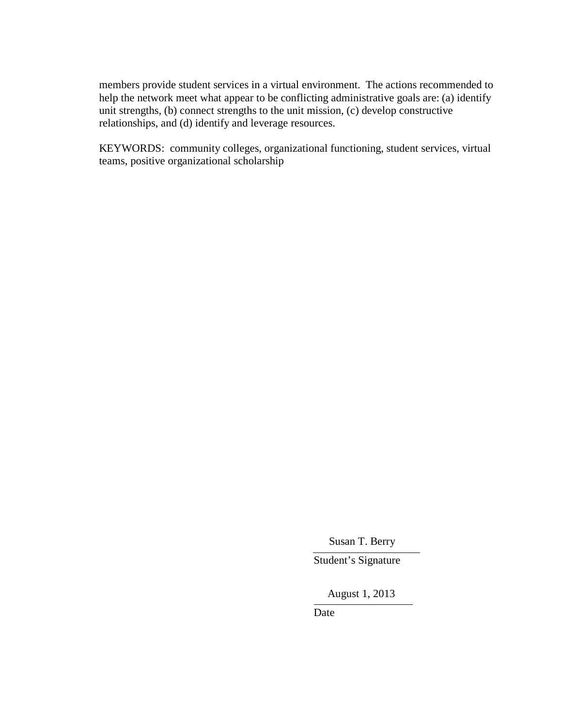members provide student services in a virtual environment. The actions recommended to help the network meet what appear to be conflicting administrative goals are: (a) identify unit strengths, (b) connect strengths to the unit mission, (c) develop constructive relationships, and (d) identify and leverage resources.

KEYWORDS: community colleges, organizational functioning, student services, virtual teams, positive organizational scholarship

Susan T. Berry

Student's Signature

August 1, 2013

Date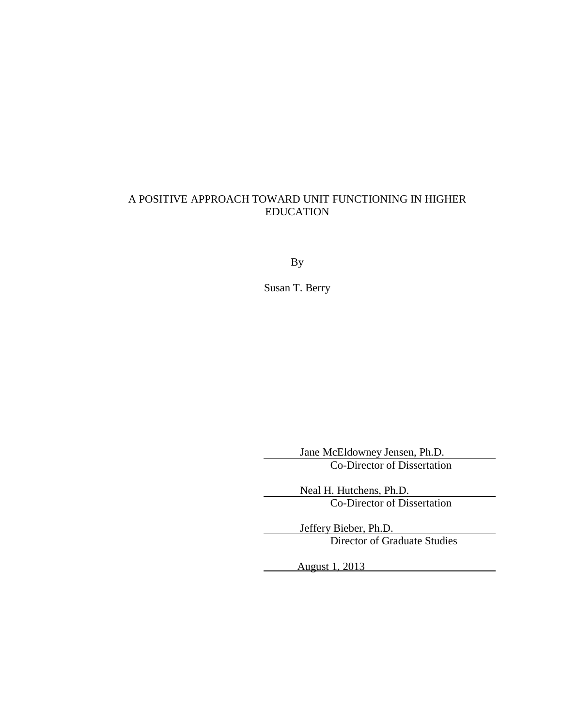# A POSITIVE APPROACH TOWARD UNIT FUNCTIONING IN HIGHER EDUCATION

By

Susan T. Berry

Jane McEldowney Jensen, Ph.D. Co-Director of Dissertation

Neal H. Hutchens, Ph.D. Co-Director of Dissertation

Jeffery Bieber, Ph.D. Director of Graduate Studies

August 1, 2013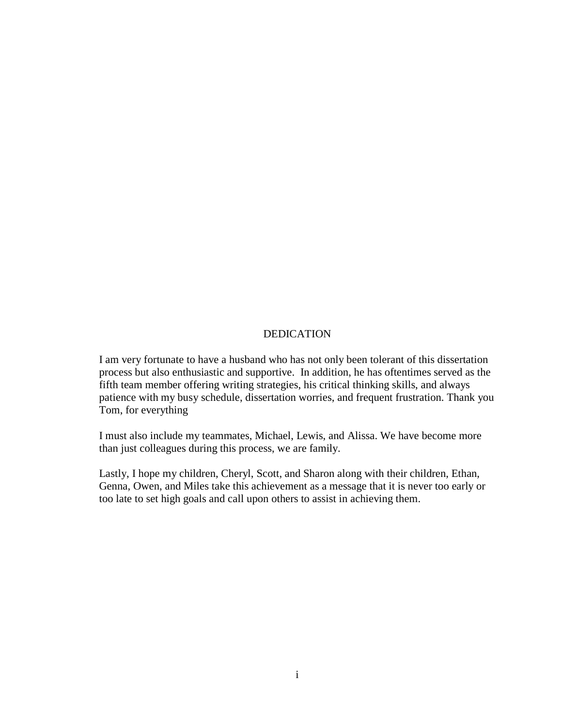#### DEDICATION

I am very fortunate to have a husband who has not only been tolerant of this dissertation process but also enthusiastic and supportive. In addition, he has oftentimes served as the fifth team member offering writing strategies, his critical thinking skills, and always patience with my busy schedule, dissertation worries, and frequent frustration. Thank you Tom, for everything

I must also include my teammates, Michael, Lewis, and Alissa. We have become more than just colleagues during this process, we are family.

Lastly, I hope my children, Cheryl, Scott, and Sharon along with their children, Ethan, Genna, Owen, and Miles take this achievement as a message that it is never too early or too late to set high goals and call upon others to assist in achieving them.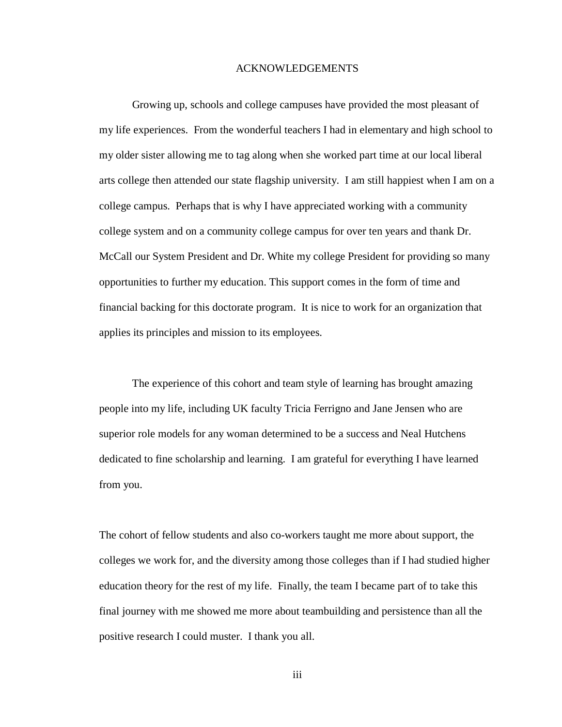#### ACKNOWLEDGEMENTS

Growing up, schools and college campuses have provided the most pleasant of my life experiences. From the wonderful teachers I had in elementary and high school to my older sister allowing me to tag along when she worked part time at our local liberal arts college then attended our state flagship university. I am still happiest when I am on a college campus. Perhaps that is why I have appreciated working with a community college system and on a community college campus for over ten years and thank Dr. McCall our System President and Dr. White my college President for providing so many opportunities to further my education. This support comes in the form of time and financial backing for this doctorate program. It is nice to work for an organization that applies its principles and mission to its employees.

The experience of this cohort and team style of learning has brought amazing people into my life, including UK faculty Tricia Ferrigno and Jane Jensen who are superior role models for any woman determined to be a success and Neal Hutchens dedicated to fine scholarship and learning. I am grateful for everything I have learned from you.

The cohort of fellow students and also co-workers taught me more about support, the colleges we work for, and the diversity among those colleges than if I had studied higher education theory for the rest of my life. Finally, the team I became part of to take this final journey with me showed me more about teambuilding and persistence than all the positive research I could muster. I thank you all.

iii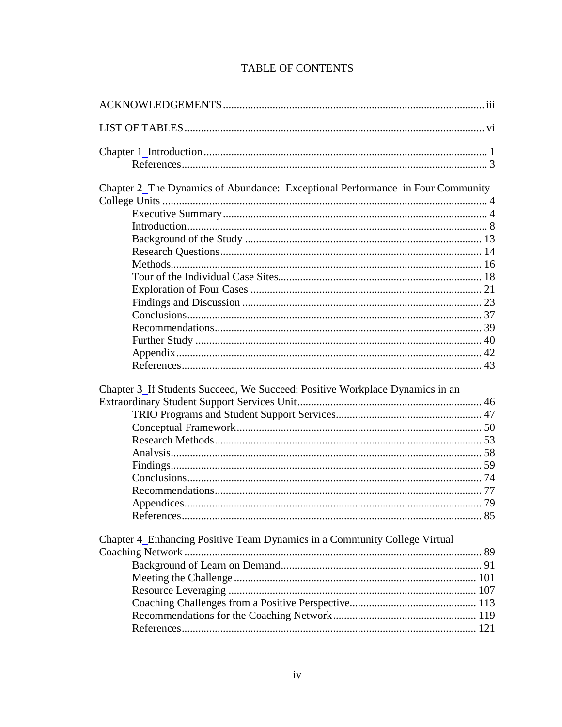# TABLE OF CONTENTS

| Chapter 2_The Dynamics of Abundance: Exceptional Performance in Four Community |  |
|--------------------------------------------------------------------------------|--|
|                                                                                |  |
|                                                                                |  |
|                                                                                |  |
|                                                                                |  |
|                                                                                |  |
|                                                                                |  |
|                                                                                |  |
|                                                                                |  |
|                                                                                |  |
|                                                                                |  |
|                                                                                |  |
|                                                                                |  |
|                                                                                |  |
|                                                                                |  |
| Chapter 3 If Students Succeed, We Succeed: Positive Workplace Dynamics in an   |  |
|                                                                                |  |
|                                                                                |  |
|                                                                                |  |
|                                                                                |  |
|                                                                                |  |
|                                                                                |  |
|                                                                                |  |
|                                                                                |  |
|                                                                                |  |
|                                                                                |  |
| Chapter 4_Enhancing Positive Team Dynamics in a Community College Virtual      |  |
|                                                                                |  |
|                                                                                |  |
|                                                                                |  |
|                                                                                |  |
|                                                                                |  |
|                                                                                |  |
|                                                                                |  |
|                                                                                |  |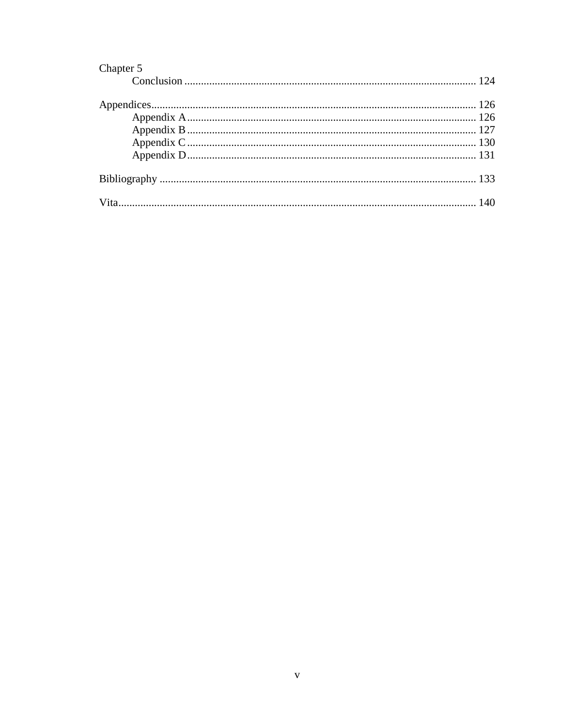| Chapter 5 |  |
|-----------|--|
|           |  |
|           |  |
|           |  |
|           |  |
|           |  |
|           |  |
|           |  |
|           |  |
|           |  |
|           |  |
|           |  |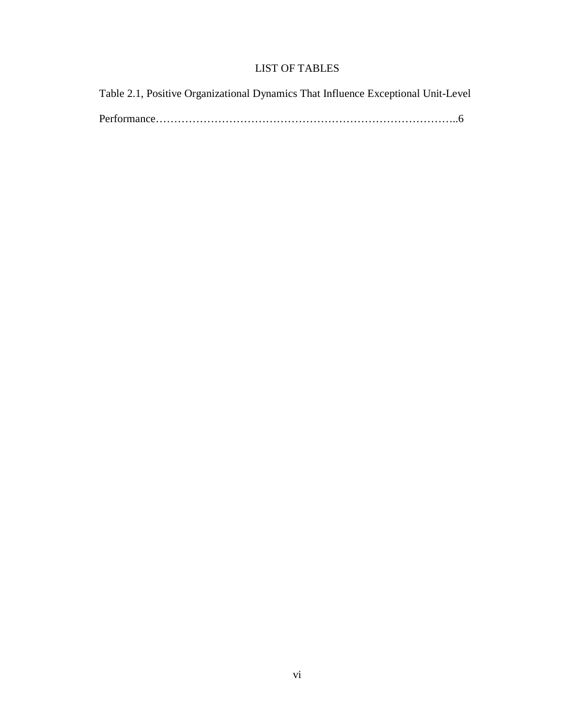# LIST OF TABLES

<span id="page-10-0"></span>

| Table 2.1, Positive Organizational Dynamics That Influence Exceptional Unit-Level |  |
|-----------------------------------------------------------------------------------|--|
|                                                                                   |  |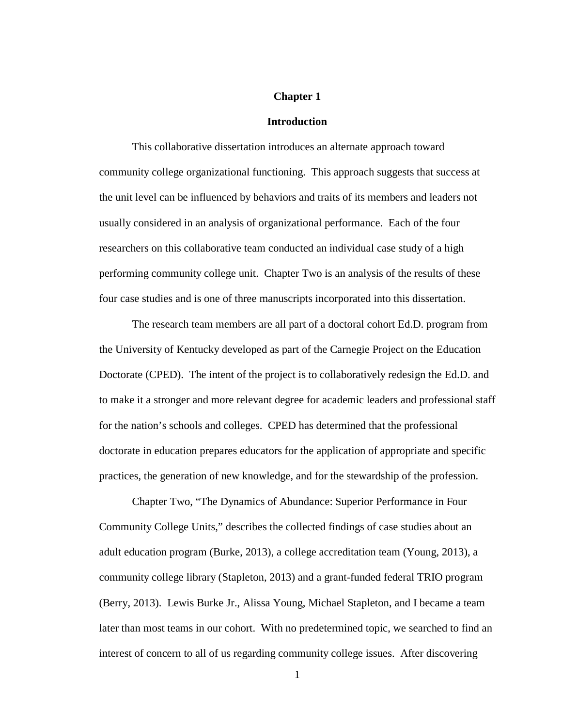#### **Chapter 1**

#### **Introduction**

<span id="page-11-1"></span><span id="page-11-0"></span>This collaborative dissertation introduces an alternate approach toward community college organizational functioning. This approach suggests that success at the unit level can be influenced by behaviors and traits of its members and leaders not usually considered in an analysis of organizational performance. Each of the four researchers on this collaborative team conducted an individual case study of a high performing community college unit. Chapter Two is an analysis of the results of these four case studies and is one of three manuscripts incorporated into this dissertation.

The research team members are all part of a doctoral cohort Ed.D. program from the University of Kentucky developed as part of the Carnegie Project on the Education Doctorate (CPED). The intent of the project is to collaboratively redesign the Ed.D. and to make it a stronger and more relevant degree for academic leaders and professional staff for the nation's schools and colleges. CPED has determined that the professional doctorate in education prepares educators for the application of appropriate and specific practices, the generation of new knowledge, and for the stewardship of the profession.

Chapter Two, "The Dynamics of Abundance: Superior Performance in Four Community College Units," describes the collected findings of case studies about an adult education program (Burke, 2013), a college accreditation team (Young, 2013), a community college library (Stapleton, 2013) and a grant-funded federal TRIO program (Berry, 2013). Lewis Burke Jr., Alissa Young, Michael Stapleton, and I became a team later than most teams in our cohort. With no predetermined topic, we searched to find an interest of concern to all of us regarding community college issues. After discovering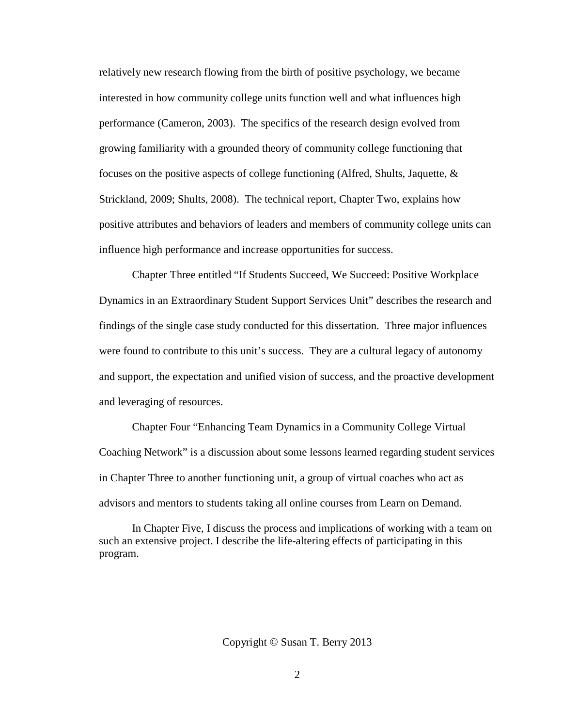relatively new research flowing from the birth of positive psychology, we became interested in how community college units function well and what influences high performance (Cameron, 2003). The specifics of the research design evolved from growing familiarity with a grounded theory of community college functioning that focuses on the positive aspects of college functioning (Alfred, Shults, Jaquette, & Strickland, 2009; Shults, 2008). The technical report, Chapter Two, explains how positive attributes and behaviors of leaders and members of community college units can influence high performance and increase opportunities for success.

Chapter Three entitled "If Students Succeed, We Succeed: Positive Workplace Dynamics in an Extraordinary Student Support Services Unit" describes the research and findings of the single case study conducted for this dissertation. Three major influences were found to contribute to this unit's success. They are a cultural legacy of autonomy and support, the expectation and unified vision of success, and the proactive development and leveraging of resources.

Chapter Four "Enhancing Team Dynamics in a Community College Virtual Coaching Network" is a discussion about some lessons learned regarding student services in Chapter Three to another functioning unit, a group of virtual coaches who act as advisors and mentors to students taking all online courses from Learn on Demand.

In Chapter Five, I discuss the process and implications of working with a team on such an extensive project. I describe the life-altering effects of participating in this program.

Copyright © Susan T. Berry 2013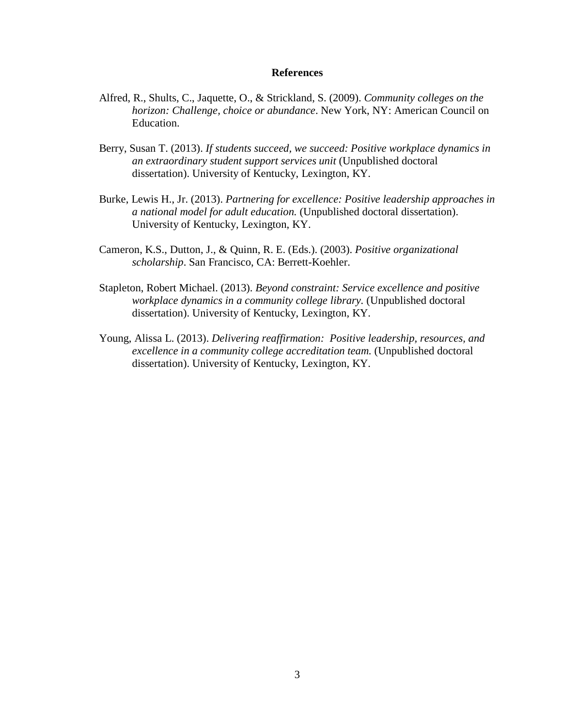#### **References**

- <span id="page-13-0"></span>Alfred, R., Shults, C., Jaquette, O., & Strickland, S. (2009). *Community colleges on the horizon: Challenge, choice or abundance*. New York, NY: American Council on Education.
- Berry, Susan T. (2013). *If students succeed, we succeed: Positive workplace dynamics in an extraordinary student support services unit* (Unpublished doctoral dissertation). University of Kentucky, Lexington, KY.
- Burke, Lewis H., Jr. (2013). *Partnering for excellence: Positive leadership approaches in a national model for adult education.* (Unpublished doctoral dissertation). University of Kentucky, Lexington, KY.
- Cameron, K.S., Dutton, J., & Quinn, R. E. (Eds.). (2003). *Positive organizational scholarship*. San Francisco, CA: Berrett-Koehler.
- Stapleton, Robert Michael. (2013). *Beyond constraint: Service excellence and positive workplace dynamics in a community college library.* (Unpublished doctoral dissertation). University of Kentucky, Lexington, KY.
- Young, Alissa L. (2013). *Delivering reaffirmation: Positive leadership, resources, and excellence in a community college accreditation team.* (Unpublished doctoral dissertation). University of Kentucky, Lexington, KY.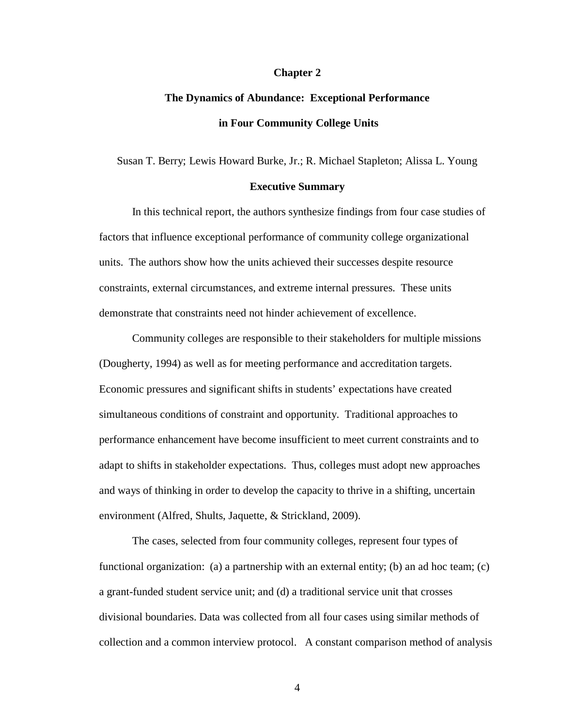#### **Chapter 2**

# <span id="page-14-0"></span>**The Dynamics of Abundance: Exceptional Performance in Four Community College Units**

<span id="page-14-1"></span>Susan T. Berry; Lewis Howard Burke, Jr.; R. Michael Stapleton; Alissa L. Young

#### **Executive Summary**

<span id="page-14-2"></span>In this technical report, the authors synthesize findings from four case studies of factors that influence exceptional performance of community college organizational units. The authors show how the units achieved their successes despite resource constraints, external circumstances, and extreme internal pressures. These units demonstrate that constraints need not hinder achievement of excellence.

Community colleges are responsible to their stakeholders for multiple missions (Dougherty, 1994) as well as for meeting performance and accreditation targets. Economic pressures and significant shifts in students' expectations have created simultaneous conditions of constraint and opportunity. Traditional approaches to performance enhancement have become insufficient to meet current constraints and to adapt to shifts in stakeholder expectations. Thus, colleges must adopt new approaches and ways of thinking in order to develop the capacity to thrive in a shifting, uncertain environment (Alfred, Shults, Jaquette, & Strickland, 2009).

The cases, selected from four community colleges, represent four types of functional organization: (a) a partnership with an external entity; (b) an ad hoc team; (c) a grant-funded student service unit; and (d) a traditional service unit that crosses divisional boundaries. Data was collected from all four cases using similar methods of collection and a common interview protocol. A constant comparison method of analysis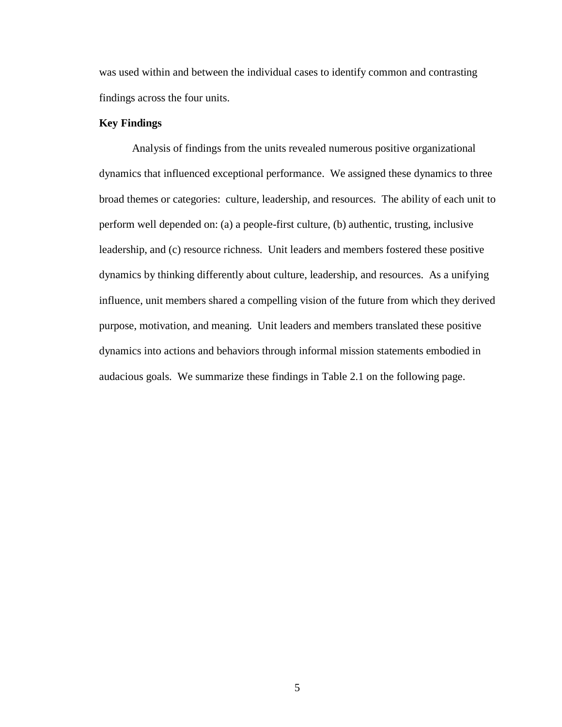was used within and between the individual cases to identify common and contrasting findings across the four units.

# **Key Findings**

Analysis of findings from the units revealed numerous positive organizational dynamics that influenced exceptional performance. We assigned these dynamics to three broad themes or categories: culture, leadership, and resources. The ability of each unit to perform well depended on: (a) a people-first culture, (b) authentic, trusting, inclusive leadership, and (c) resource richness. Unit leaders and members fostered these positive dynamics by thinking differently about culture, leadership, and resources. As a unifying influence, unit members shared a compelling vision of the future from which they derived purpose, motivation, and meaning. Unit leaders and members translated these positive dynamics into actions and behaviors through informal mission statements embodied in audacious goals. We summarize these findings in Table 2.1 on the following page.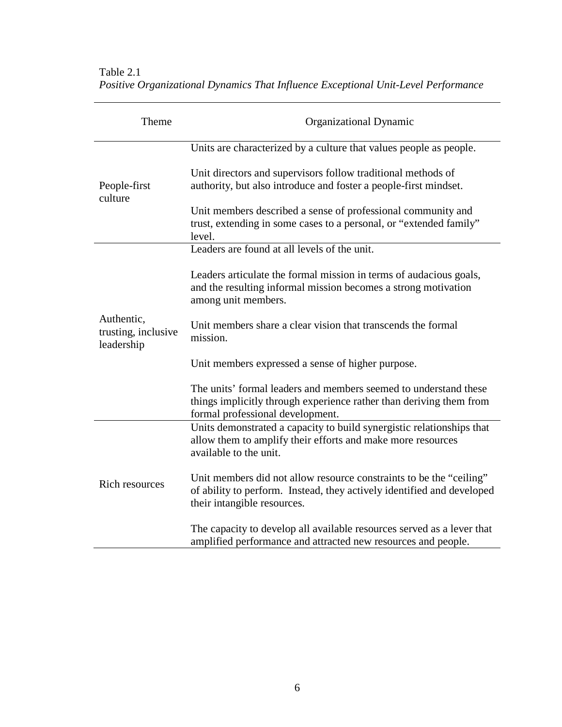| Table 2.1                                                                          |  |
|------------------------------------------------------------------------------------|--|
| Positive Organizational Dynamics That Influence Exceptional Unit-Level Performance |  |

| Theme                                           | Organizational Dynamic                                                                                                                                                       |
|-------------------------------------------------|------------------------------------------------------------------------------------------------------------------------------------------------------------------------------|
| People-first<br>culture                         | Units are characterized by a culture that values people as people.                                                                                                           |
|                                                 | Unit directors and supervisors follow traditional methods of<br>authority, but also introduce and foster a people-first mindset.                                             |
|                                                 | Unit members described a sense of professional community and<br>trust, extending in some cases to a personal, or "extended family"<br>level.                                 |
|                                                 | Leaders are found at all levels of the unit.                                                                                                                                 |
| Authentic,<br>trusting, inclusive<br>leadership | Leaders articulate the formal mission in terms of audacious goals,<br>and the resulting informal mission becomes a strong motivation<br>among unit members.                  |
|                                                 | Unit members share a clear vision that transcends the formal<br>mission.                                                                                                     |
|                                                 | Unit members expressed a sense of higher purpose.                                                                                                                            |
|                                                 | The units' formal leaders and members seemed to understand these<br>things implicitly through experience rather than deriving them from<br>formal professional development.  |
| <b>Rich resources</b>                           | Units demonstrated a capacity to build synergistic relationships that<br>allow them to amplify their efforts and make more resources<br>available to the unit.               |
|                                                 | Unit members did not allow resource constraints to be the "ceiling"<br>of ability to perform. Instead, they actively identified and developed<br>their intangible resources. |
|                                                 | The capacity to develop all available resources served as a lever that<br>amplified performance and attracted new resources and people.                                      |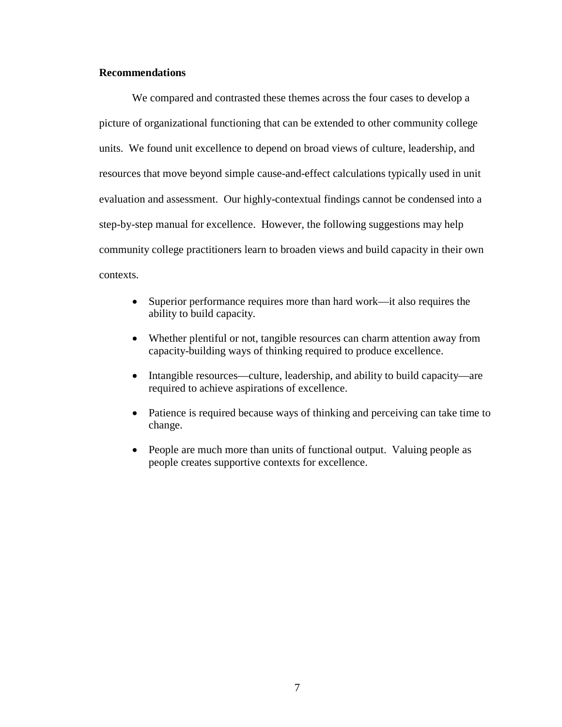## **Recommendations**

We compared and contrasted these themes across the four cases to develop a picture of organizational functioning that can be extended to other community college units. We found unit excellence to depend on broad views of culture, leadership, and resources that move beyond simple cause-and-effect calculations typically used in unit evaluation and assessment. Our highly-contextual findings cannot be condensed into a step-by-step manual for excellence. However, the following suggestions may help community college practitioners learn to broaden views and build capacity in their own contexts.

- Superior performance requires more than hard work—it also requires the ability to build capacity.
- Whether plentiful or not, tangible resources can charm attention away from capacity-building ways of thinking required to produce excellence.
- Intangible resources—culture, leadership, and ability to build capacity—are required to achieve aspirations of excellence.
- Patience is required because ways of thinking and perceiving can take time to change.
- People are much more than units of functional output. Valuing people as people creates supportive contexts for excellence.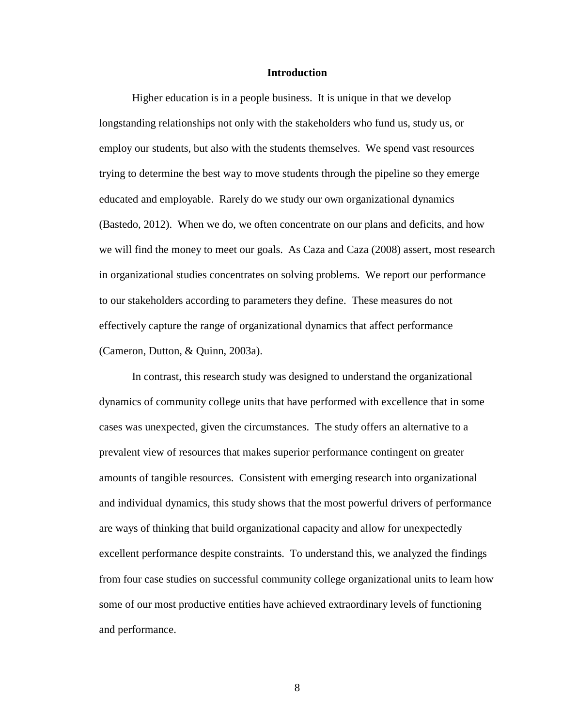#### **Introduction**

<span id="page-18-0"></span>Higher education is in a people business. It is unique in that we develop longstanding relationships not only with the stakeholders who fund us, study us, or employ our students, but also with the students themselves. We spend vast resources trying to determine the best way to move students through the pipeline so they emerge educated and employable. Rarely do we study our own organizational dynamics (Bastedo, 2012). When we do, we often concentrate on our plans and deficits, and how we will find the money to meet our goals. As Caza and Caza (2008) assert, most research in organizational studies concentrates on solving problems. We report our performance to our stakeholders according to parameters they define. These measures do not effectively capture the range of organizational dynamics that affect performance (Cameron, Dutton, & Quinn, 2003a).

In contrast, this research study was designed to understand the organizational dynamics of community college units that have performed with excellence that in some cases was unexpected, given the circumstances. The study offers an alternative to a prevalent view of resources that makes superior performance contingent on greater amounts of tangible resources. Consistent with emerging research into organizational and individual dynamics, this study shows that the most powerful drivers of performance are ways of thinking that build organizational capacity and allow for unexpectedly excellent performance despite constraints. To understand this, we analyzed the findings from four case studies on successful community college organizational units to learn how some of our most productive entities have achieved extraordinary levels of functioning and performance.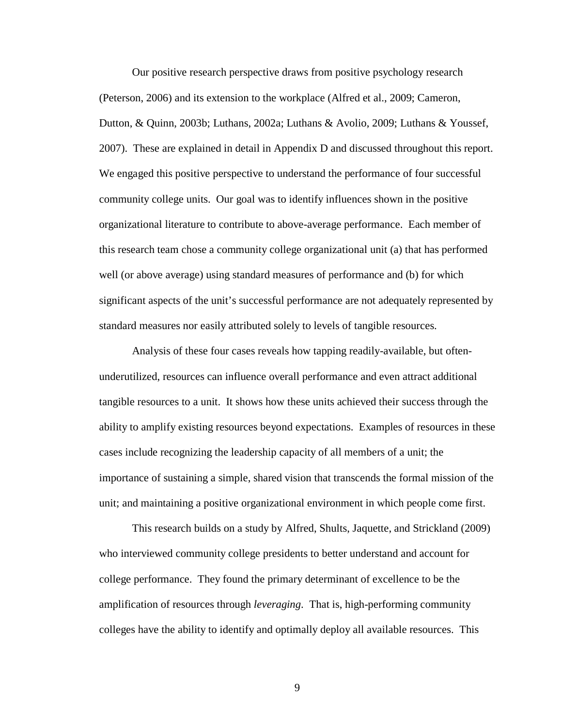Our positive research perspective draws from positive psychology research (Peterson, 2006) and its extension to the workplace (Alfred et al., 2009; Cameron, Dutton, & Quinn, 2003b; Luthans, 2002a; Luthans & Avolio, 2009; Luthans & Youssef, 2007). These are explained in detail in Appendix D and discussed throughout this report. We engaged this positive perspective to understand the performance of four successful community college units. Our goal was to identify influences shown in the positive organizational literature to contribute to above-average performance. Each member of this research team chose a community college organizational unit (a) that has performed well (or above average) using standard measures of performance and (b) for which significant aspects of the unit's successful performance are not adequately represented by standard measures nor easily attributed solely to levels of tangible resources.

Analysis of these four cases reveals how tapping readily-available, but oftenunderutilized, resources can influence overall performance and even attract additional tangible resources to a unit. It shows how these units achieved their success through the ability to amplify existing resources beyond expectations. Examples of resources in these cases include recognizing the leadership capacity of all members of a unit; the importance of sustaining a simple, shared vision that transcends the formal mission of the unit; and maintaining a positive organizational environment in which people come first.

This research builds on a study by Alfred, Shults, Jaquette, and Strickland (2009) who interviewed community college presidents to better understand and account for college performance. They found the primary determinant of excellence to be the amplification of resources through *leveraging*. That is, high-performing community colleges have the ability to identify and optimally deploy all available resources. This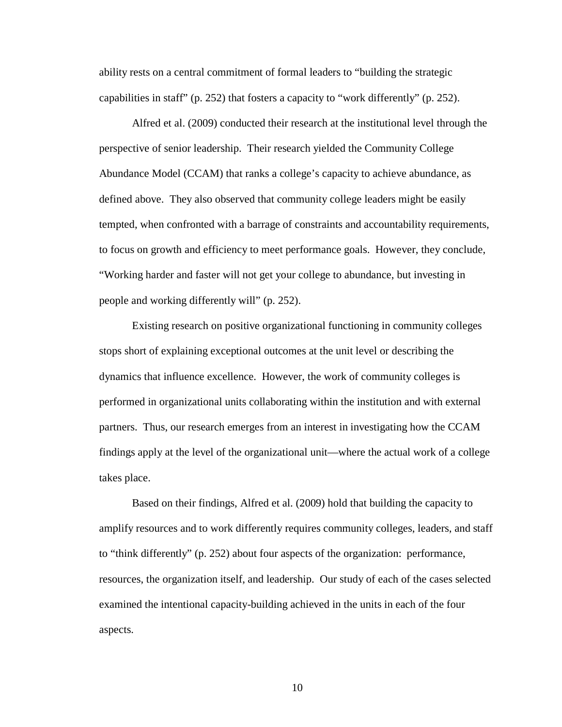ability rests on a central commitment of formal leaders to "building the strategic capabilities in staff" (p. 252) that fosters a capacity to "work differently" (p. 252).

Alfred et al. (2009) conducted their research at the institutional level through the perspective of senior leadership. Their research yielded the Community College Abundance Model (CCAM) that ranks a college's capacity to achieve abundance, as defined above. They also observed that community college leaders might be easily tempted, when confronted with a barrage of constraints and accountability requirements, to focus on growth and efficiency to meet performance goals. However, they conclude, "Working harder and faster will not get your college to abundance, but investing in people and working differently will" (p. 252).

Existing research on positive organizational functioning in community colleges stops short of explaining exceptional outcomes at the unit level or describing the dynamics that influence excellence. However, the work of community colleges is performed in organizational units collaborating within the institution and with external partners. Thus, our research emerges from an interest in investigating how the CCAM findings apply at the level of the organizational unit—where the actual work of a college takes place.

Based on their findings, Alfred et al. (2009) hold that building the capacity to amplify resources and to work differently requires community colleges, leaders, and staff to "think differently" (p. 252) about four aspects of the organization: performance, resources, the organization itself, and leadership. Our study of each of the cases selected examined the intentional capacity-building achieved in the units in each of the four aspects.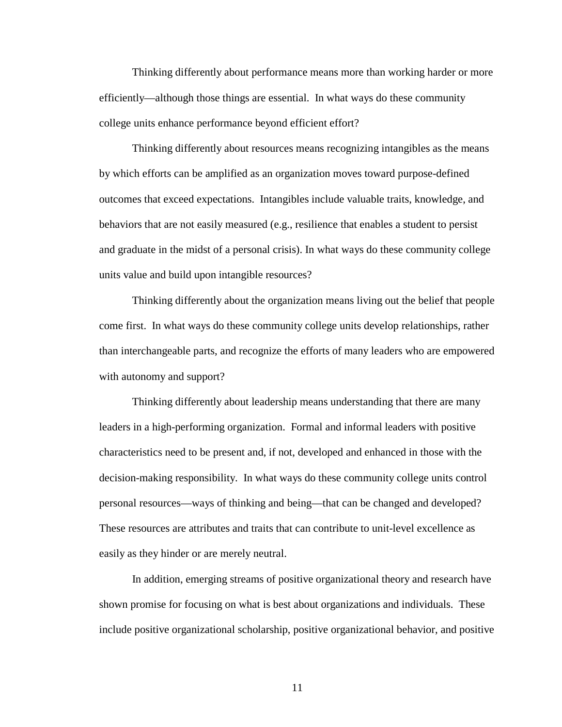Thinking differently about performance means more than working harder or more efficiently—although those things are essential. In what ways do these community college units enhance performance beyond efficient effort?

Thinking differently about resources means recognizing intangibles as the means by which efforts can be amplified as an organization moves toward purpose-defined outcomes that exceed expectations. Intangibles include valuable traits, knowledge, and behaviors that are not easily measured (e.g., resilience that enables a student to persist and graduate in the midst of a personal crisis). In what ways do these community college units value and build upon intangible resources?

Thinking differently about the organization means living out the belief that people come first. In what ways do these community college units develop relationships, rather than interchangeable parts, and recognize the efforts of many leaders who are empowered with autonomy and support?

Thinking differently about leadership means understanding that there are many leaders in a high-performing organization. Formal and informal leaders with positive characteristics need to be present and, if not, developed and enhanced in those with the decision-making responsibility. In what ways do these community college units control personal resources—ways of thinking and being—that can be changed and developed? These resources are attributes and traits that can contribute to unit-level excellence as easily as they hinder or are merely neutral.

In addition, emerging streams of positive organizational theory and research have shown promise for focusing on what is best about organizations and individuals. These include positive organizational scholarship, positive organizational behavior, and positive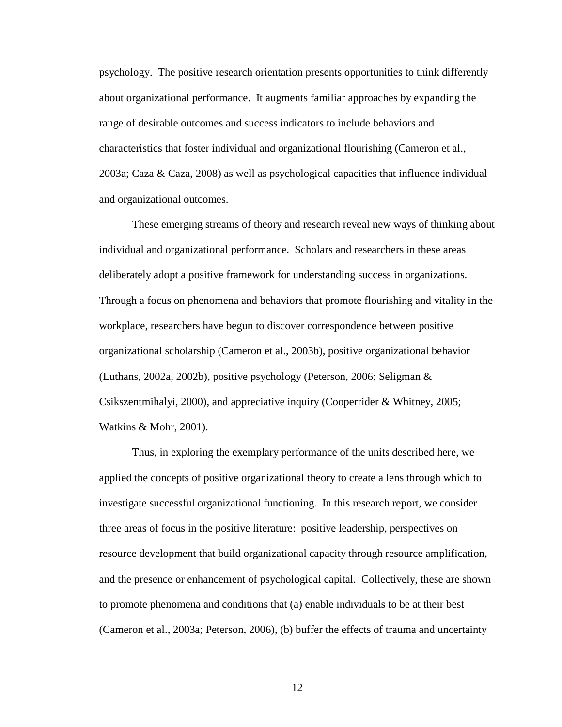psychology. The positive research orientation presents opportunities to think differently about organizational performance. It augments familiar approaches by expanding the range of desirable outcomes and success indicators to include behaviors and characteristics that foster individual and organizational flourishing (Cameron et al., 2003a; Caza & Caza, 2008) as well as psychological capacities that influence individual and organizational outcomes.

These emerging streams of theory and research reveal new ways of thinking about individual and organizational performance. Scholars and researchers in these areas deliberately adopt a positive framework for understanding success in organizations. Through a focus on phenomena and behaviors that promote flourishing and vitality in the workplace, researchers have begun to discover correspondence between positive organizational scholarship (Cameron et al., 2003b), positive organizational behavior (Luthans, 2002a, 2002b), positive psychology (Peterson, 2006; Seligman & Csikszentmihalyi, 2000), and appreciative inquiry (Cooperrider & Whitney, 2005; Watkins & Mohr, 2001).

Thus, in exploring the exemplary performance of the units described here, we applied the concepts of positive organizational theory to create a lens through which to investigate successful organizational functioning. In this research report, we consider three areas of focus in the positive literature: positive leadership, perspectives on resource development that build organizational capacity through resource amplification, and the presence or enhancement of psychological capital. Collectively, these are shown to promote phenomena and conditions that (a) enable individuals to be at their best (Cameron et al., 2003a; Peterson, 2006), (b) buffer the effects of trauma and uncertainty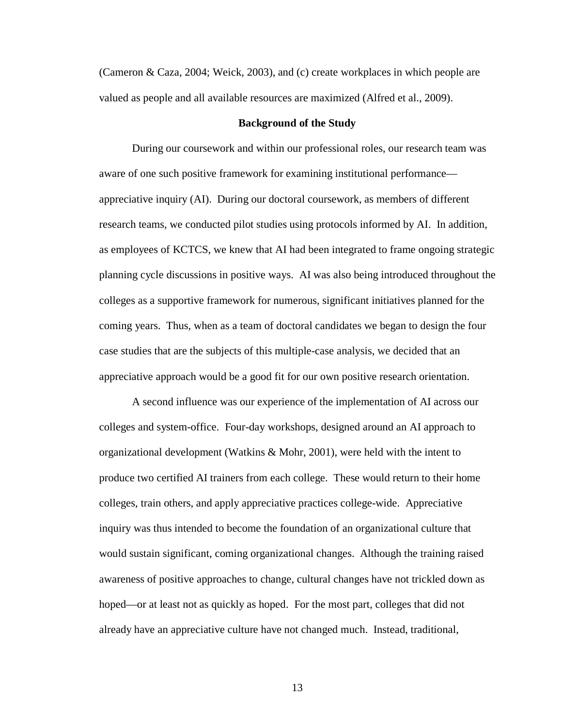(Cameron & Caza, 2004; Weick, 2003), and (c) create workplaces in which people are valued as people and all available resources are maximized (Alfred et al., 2009).

#### **Background of the Study**

<span id="page-23-0"></span>During our coursework and within our professional roles, our research team was aware of one such positive framework for examining institutional performance appreciative inquiry (AI). During our doctoral coursework, as members of different research teams, we conducted pilot studies using protocols informed by AI. In addition, as employees of KCTCS, we knew that AI had been integrated to frame ongoing strategic planning cycle discussions in positive ways. AI was also being introduced throughout the colleges as a supportive framework for numerous, significant initiatives planned for the coming years. Thus, when as a team of doctoral candidates we began to design the four case studies that are the subjects of this multiple-case analysis, we decided that an appreciative approach would be a good fit for our own positive research orientation.

A second influence was our experience of the implementation of AI across our colleges and system-office. Four-day workshops, designed around an AI approach to organizational development (Watkins & Mohr, 2001), were held with the intent to produce two certified AI trainers from each college. These would return to their home colleges, train others, and apply appreciative practices college-wide. Appreciative inquiry was thus intended to become the foundation of an organizational culture that would sustain significant, coming organizational changes. Although the training raised awareness of positive approaches to change, cultural changes have not trickled down as hoped—or at least not as quickly as hoped. For the most part, colleges that did not already have an appreciative culture have not changed much. Instead, traditional,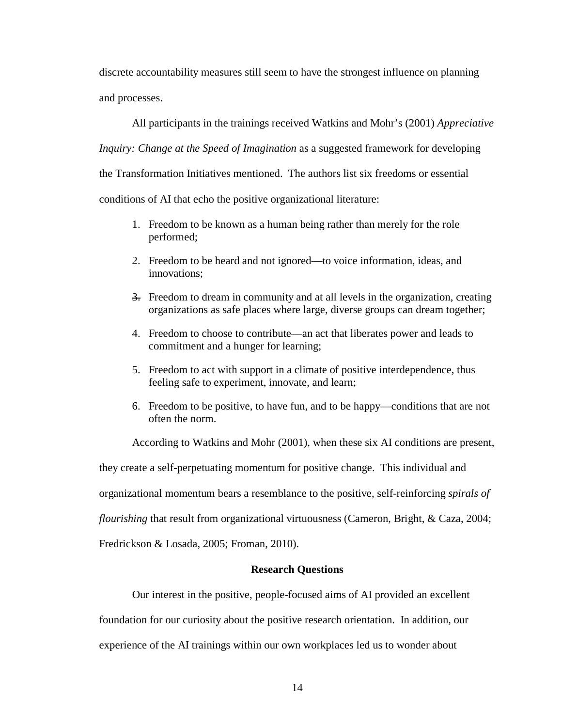discrete accountability measures still seem to have the strongest influence on planning and processes.

All participants in the trainings received Watkins and Mohr's (2001) *Appreciative Inquiry: Change at the Speed of Imagination* as a suggested framework for developing the Transformation Initiatives mentioned. The authors list six freedoms or essential conditions of AI that echo the positive organizational literature:

- 1. Freedom to be known as a human being rather than merely for the role performed;
- 2. Freedom to be heard and not ignored—to voice information, ideas, and innovations;
- 3. Freedom to dream in community and at all levels in the organization, creating organizations as safe places where large, diverse groups can dream together;
- 4. Freedom to choose to contribute—an act that liberates power and leads to commitment and a hunger for learning;
- 5. Freedom to act with support in a climate of positive interdependence, thus feeling safe to experiment, innovate, and learn;
- 6. Freedom to be positive, to have fun, and to be happy—conditions that are not often the norm.

According to Watkins and Mohr (2001), when these six AI conditions are present,

they create a self-perpetuating momentum for positive change. This individual and

organizational momentum bears a resemblance to the positive, self-reinforcing *spirals of* 

*flourishing* that result from organizational virtuousness (Cameron, Bright, & Caza, 2004;

<span id="page-24-0"></span>Fredrickson & Losada, 2005; Froman, 2010).

### **Research Questions**

Our interest in the positive, people-focused aims of AI provided an excellent

foundation for our curiosity about the positive research orientation. In addition, our experience of the AI trainings within our own workplaces led us to wonder about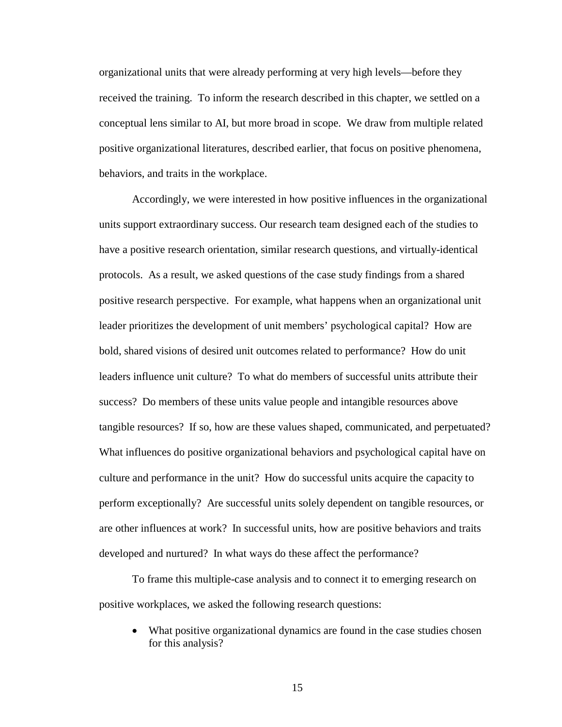organizational units that were already performing at very high levels—before they received the training. To inform the research described in this chapter, we settled on a conceptual lens similar to AI, but more broad in scope. We draw from multiple related positive organizational literatures, described earlier, that focus on positive phenomena, behaviors, and traits in the workplace.

Accordingly, we were interested in how positive influences in the organizational units support extraordinary success. Our research team designed each of the studies to have a positive research orientation, similar research questions, and virtually-identical protocols. As a result, we asked questions of the case study findings from a shared positive research perspective. For example, what happens when an organizational unit leader prioritizes the development of unit members' psychological capital? How are bold, shared visions of desired unit outcomes related to performance? How do unit leaders influence unit culture? To what do members of successful units attribute their success? Do members of these units value people and intangible resources above tangible resources? If so, how are these values shaped, communicated, and perpetuated? What influences do positive organizational behaviors and psychological capital have on culture and performance in the unit? How do successful units acquire the capacity to perform exceptionally? Are successful units solely dependent on tangible resources, or are other influences at work? In successful units, how are positive behaviors and traits developed and nurtured? In what ways do these affect the performance?

To frame this multiple-case analysis and to connect it to emerging research on positive workplaces, we asked the following research questions:

• What positive organizational dynamics are found in the case studies chosen for this analysis?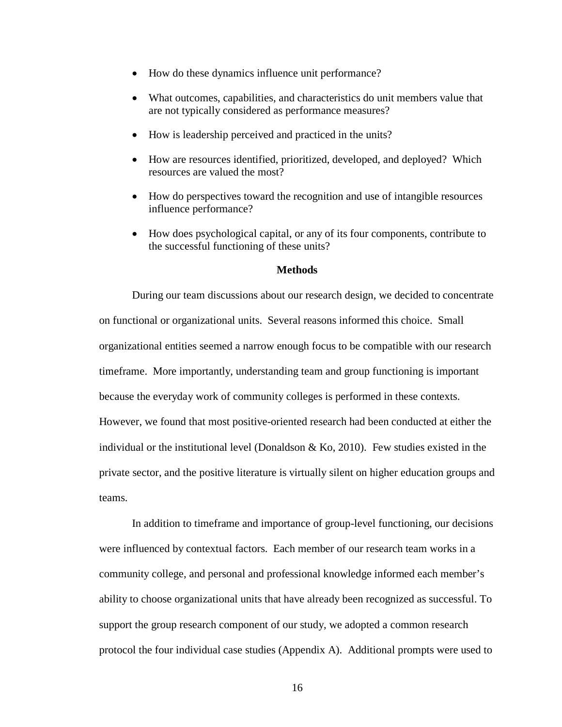- How do these dynamics influence unit performance?
- What outcomes, capabilities, and characteristics do unit members value that are not typically considered as performance measures?
- How is leadership perceived and practiced in the units?
- How are resources identified, prioritized, developed, and deployed? Which resources are valued the most?
- How do perspectives toward the recognition and use of intangible resources influence performance?
- How does psychological capital, or any of its four components, contribute to the successful functioning of these units?

#### **Methods**

<span id="page-26-0"></span>During our team discussions about our research design, we decided to concentrate on functional or organizational units. Several reasons informed this choice. Small organizational entities seemed a narrow enough focus to be compatible with our research timeframe. More importantly, understanding team and group functioning is important because the everyday work of community colleges is performed in these contexts. However, we found that most positive-oriented research had been conducted at either the individual or the institutional level (Donaldson  $& Ko, 2010$ ). Few studies existed in the private sector, and the positive literature is virtually silent on higher education groups and teams.

In addition to timeframe and importance of group-level functioning, our decisions were influenced by contextual factors. Each member of our research team works in a community college, and personal and professional knowledge informed each member's ability to choose organizational units that have already been recognized as successful. To support the group research component of our study, we adopted a common research protocol the four individual case studies (Appendix A). Additional prompts were used to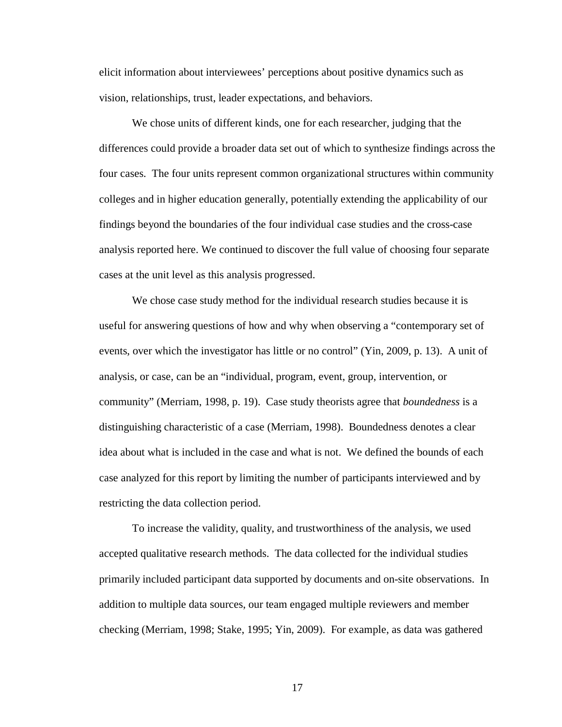elicit information about interviewees' perceptions about positive dynamics such as vision, relationships, trust, leader expectations, and behaviors.

We chose units of different kinds, one for each researcher, judging that the differences could provide a broader data set out of which to synthesize findings across the four cases. The four units represent common organizational structures within community colleges and in higher education generally, potentially extending the applicability of our findings beyond the boundaries of the four individual case studies and the cross-case analysis reported here. We continued to discover the full value of choosing four separate cases at the unit level as this analysis progressed.

We chose case study method for the individual research studies because it is useful for answering questions of how and why when observing a "contemporary set of events, over which the investigator has little or no control" (Yin, 2009, p. 13). A unit of analysis, or case, can be an "individual, program, event, group, intervention, or community" (Merriam, 1998, p. 19). Case study theorists agree that *boundedness* is a distinguishing characteristic of a case (Merriam, 1998). Boundedness denotes a clear idea about what is included in the case and what is not. We defined the bounds of each case analyzed for this report by limiting the number of participants interviewed and by restricting the data collection period.

To increase the validity, quality, and trustworthiness of the analysis, we used accepted qualitative research methods. The data collected for the individual studies primarily included participant data supported by documents and on-site observations. In addition to multiple data sources, our team engaged multiple reviewers and member checking (Merriam, 1998; Stake, 1995; Yin, 2009). For example, as data was gathered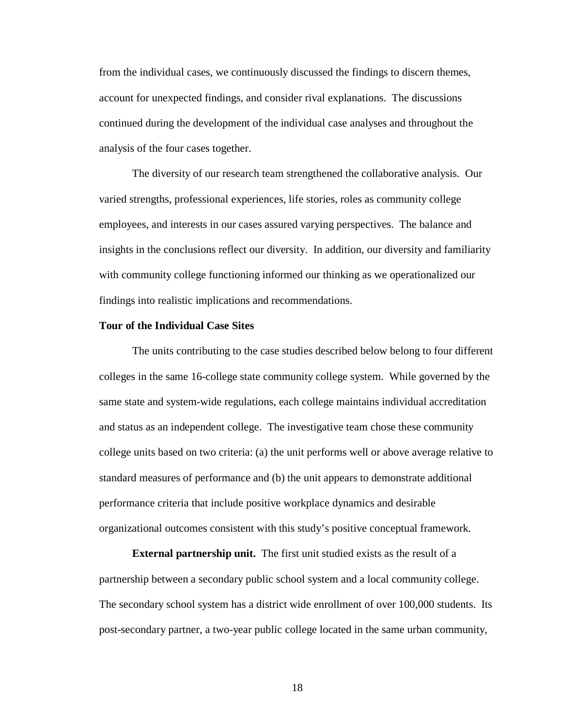from the individual cases, we continuously discussed the findings to discern themes, account for unexpected findings, and consider rival explanations. The discussions continued during the development of the individual case analyses and throughout the analysis of the four cases together.

The diversity of our research team strengthened the collaborative analysis. Our varied strengths, professional experiences, life stories, roles as community college employees, and interests in our cases assured varying perspectives. The balance and insights in the conclusions reflect our diversity. In addition, our diversity and familiarity with community college functioning informed our thinking as we operationalized our findings into realistic implications and recommendations.

#### <span id="page-28-0"></span>**Tour of the Individual Case Sites**

The units contributing to the case studies described below belong to four different colleges in the same 16-college state community college system. While governed by the same state and system-wide regulations, each college maintains individual accreditation and status as an independent college. The investigative team chose these community college units based on two criteria: (a) the unit performs well or above average relative to standard measures of performance and (b) the unit appears to demonstrate additional performance criteria that include positive workplace dynamics and desirable organizational outcomes consistent with this study's positive conceptual framework.

**External partnership unit.** The first unit studied exists as the result of a partnership between a secondary public school system and a local community college. The secondary school system has a district wide enrollment of over 100,000 students. Its post-secondary partner, a two-year public college located in the same urban community,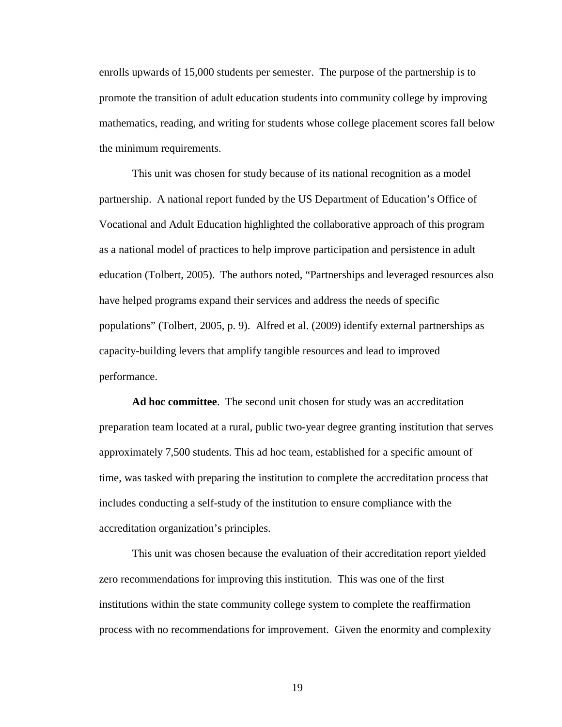enrolls upwards of 15,000 students per semester. The purpose of the partnership is to promote the transition of adult education students into community college by improving mathematics, reading, and writing for students whose college placement scores fall below the minimum requirements.

This unit was chosen for study because of its national recognition as a model partnership. A national report funded by the US Department of Education's Office of Vocational and Adult Education highlighted the collaborative approach of this program as a national model of practices to help improve participation and persistence in adult education (Tolbert, 2005). The authors noted, "Partnerships and leveraged resources also have helped programs expand their services and address the needs of specific populations" (Tolbert, 2005, p. 9). Alfred et al. (2009) identify external partnerships as capacity-building levers that amplify tangible resources and lead to improved performance.

**Ad hoc committee**. The second unit chosen for study was an accreditation preparation team located at a rural, public two-year degree granting institution that serves approximately 7,500 students. This ad hoc team, established for a specific amount of time, was tasked with preparing the institution to complete the accreditation process that includes conducting a self-study of the institution to ensure compliance with the accreditation organization's principles.

This unit was chosen because the evaluation of their accreditation report yielded zero recommendations for improving this institution. This was one of the first institutions within the state community college system to complete the reaffirmation process with no recommendations for improvement. Given the enormity and complexity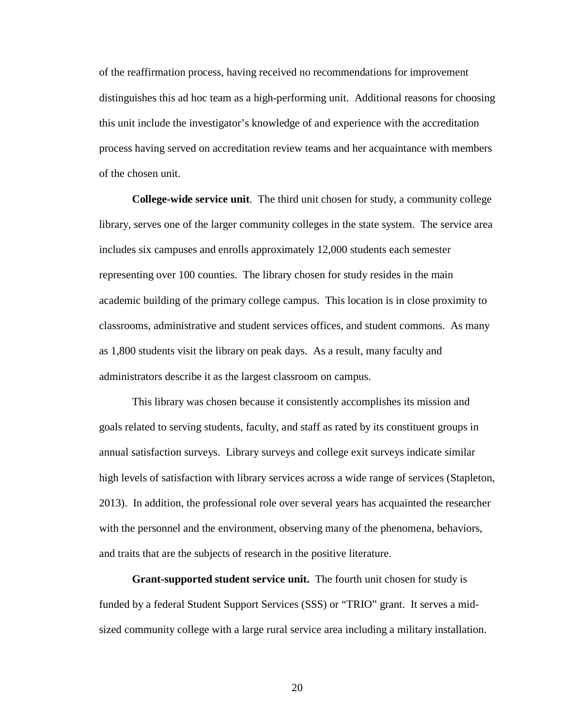of the reaffirmation process, having received no recommendations for improvement distinguishes this ad hoc team as a high-performing unit. Additional reasons for choosing this unit include the investigator's knowledge of and experience with the accreditation process having served on accreditation review teams and her acquaintance with members of the chosen unit.

**College-wide service unit**. The third unit chosen for study, a community college library, serves one of the larger community colleges in the state system. The service area includes six campuses and enrolls approximately 12,000 students each semester representing over 100 counties. The library chosen for study resides in the main academic building of the primary college campus. This location is in close proximity to classrooms, administrative and student services offices, and student commons. As many as 1,800 students visit the library on peak days. As a result, many faculty and administrators describe it as the largest classroom on campus.

This library was chosen because it consistently accomplishes its mission and goals related to serving students, faculty, and staff as rated by its constituent groups in annual satisfaction surveys. Library surveys and college exit surveys indicate similar high levels of satisfaction with library services across a wide range of services (Stapleton, 2013). In addition, the professional role over several years has acquainted the researcher with the personnel and the environment, observing many of the phenomena, behaviors, and traits that are the subjects of research in the positive literature.

**Grant-supported student service unit.** The fourth unit chosen for study is funded by a federal Student Support Services (SSS) or "TRIO" grant. It serves a midsized community college with a large rural service area including a military installation.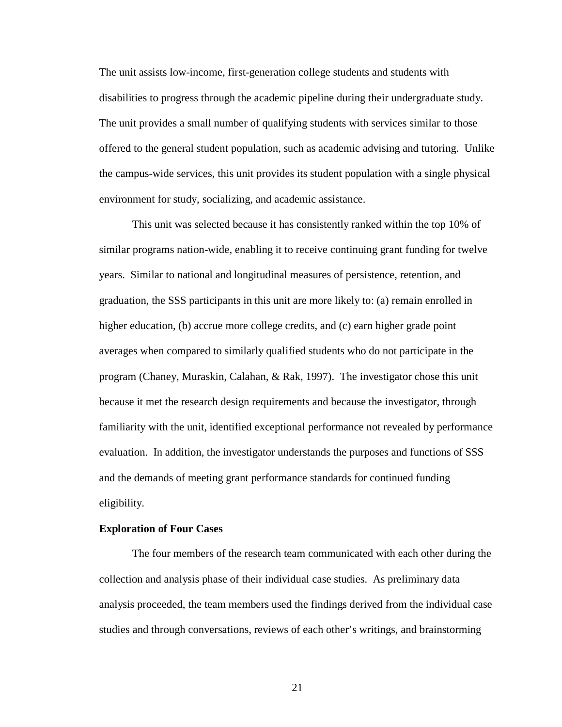The unit assists low-income, first-generation college students and students with disabilities to progress through the academic pipeline during their undergraduate study. The unit provides a small number of qualifying students with services similar to those offered to the general student population, such as academic advising and tutoring. Unlike the campus-wide services, this unit provides its student population with a single physical environment for study, socializing, and academic assistance.

This unit was selected because it has consistently ranked within the top 10% of similar programs nation-wide, enabling it to receive continuing grant funding for twelve years. Similar to national and longitudinal measures of persistence, retention, and graduation, the SSS participants in this unit are more likely to: (a) remain enrolled in higher education, (b) accrue more college credits, and (c) earn higher grade point averages when compared to similarly qualified students who do not participate in the program (Chaney, Muraskin, Calahan, & Rak, 1997). The investigator chose this unit because it met the research design requirements and because the investigator, through familiarity with the unit, identified exceptional performance not revealed by performance evaluation. In addition, the investigator understands the purposes and functions of SSS and the demands of meeting grant performance standards for continued funding eligibility.

#### <span id="page-31-0"></span>**Exploration of Four Cases**

The four members of the research team communicated with each other during the collection and analysis phase of their individual case studies. As preliminary data analysis proceeded, the team members used the findings derived from the individual case studies and through conversations, reviews of each other's writings, and brainstorming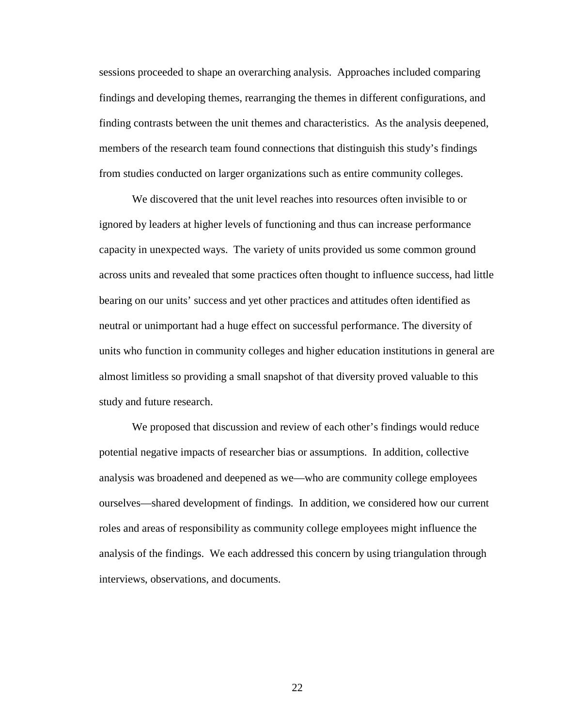sessions proceeded to shape an overarching analysis. Approaches included comparing findings and developing themes, rearranging the themes in different configurations, and finding contrasts between the unit themes and characteristics. As the analysis deepened, members of the research team found connections that distinguish this study's findings from studies conducted on larger organizations such as entire community colleges.

We discovered that the unit level reaches into resources often invisible to or ignored by leaders at higher levels of functioning and thus can increase performance capacity in unexpected ways. The variety of units provided us some common ground across units and revealed that some practices often thought to influence success, had little bearing on our units' success and yet other practices and attitudes often identified as neutral or unimportant had a huge effect on successful performance. The diversity of units who function in community colleges and higher education institutions in general are almost limitless so providing a small snapshot of that diversity proved valuable to this study and future research.

We proposed that discussion and review of each other's findings would reduce potential negative impacts of researcher bias or assumptions. In addition, collective analysis was broadened and deepened as we—who are community college employees ourselves—shared development of findings. In addition, we considered how our current roles and areas of responsibility as community college employees might influence the analysis of the findings. We each addressed this concern by using triangulation through interviews, observations, and documents.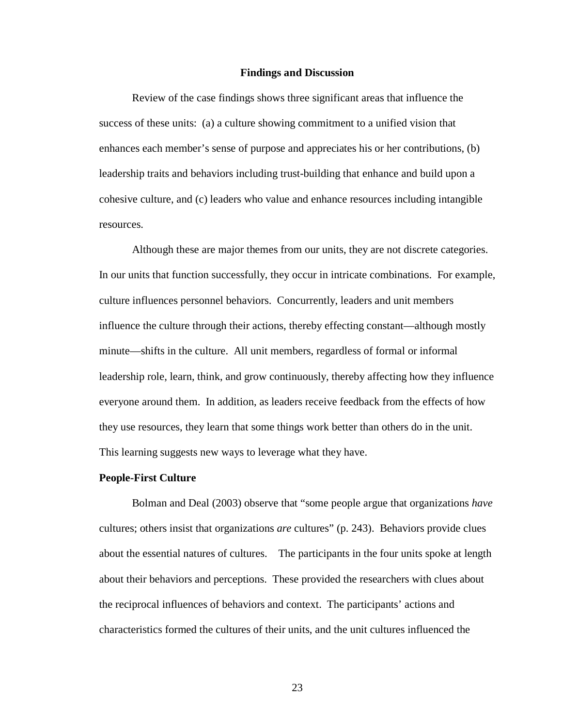#### **Findings and Discussion**

<span id="page-33-0"></span>Review of the case findings shows three significant areas that influence the success of these units: (a) a culture showing commitment to a unified vision that enhances each member's sense of purpose and appreciates his or her contributions, (b) leadership traits and behaviors including trust-building that enhance and build upon a cohesive culture, and (c) leaders who value and enhance resources including intangible resources.

Although these are major themes from our units, they are not discrete categories. In our units that function successfully, they occur in intricate combinations. For example, culture influences personnel behaviors. Concurrently, leaders and unit members influence the culture through their actions, thereby effecting constant—although mostly minute—shifts in the culture. All unit members, regardless of formal or informal leadership role, learn, think, and grow continuously, thereby affecting how they influence everyone around them. In addition, as leaders receive feedback from the effects of how they use resources, they learn that some things work better than others do in the unit. This learning suggests new ways to leverage what they have.

#### **People-First Culture**

Bolman and Deal (2003) observe that "some people argue that organizations *have* cultures; others insist that organizations *are* cultures" (p. 243). Behaviors provide clues about the essential natures of cultures. The participants in the four units spoke at length about their behaviors and perceptions. These provided the researchers with clues about the reciprocal influences of behaviors and context. The participants' actions and characteristics formed the cultures of their units, and the unit cultures influenced the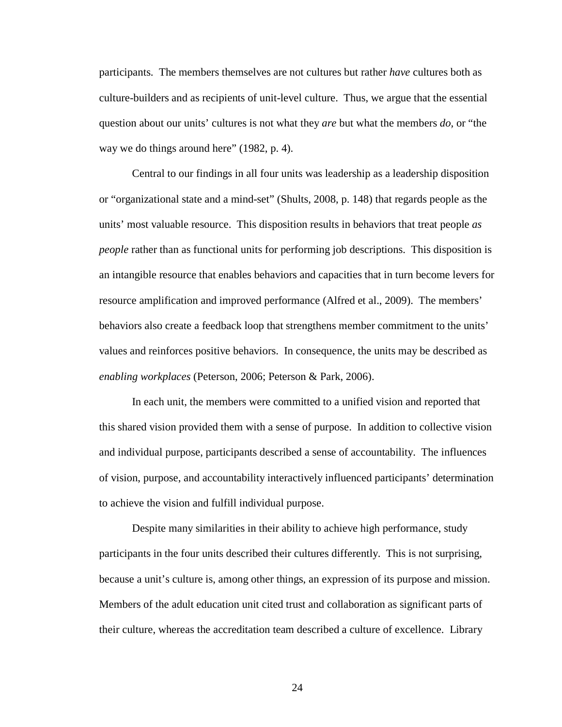participants. The members themselves are not cultures but rather *have* cultures both as culture-builders and as recipients of unit-level culture. Thus, we argue that the essential question about our units' cultures is not what they *are* but what the members *do,* or "the way we do things around here" (1982, p. 4).

Central to our findings in all four units was leadership as a leadership disposition or "organizational state and a mind-set" (Shults, 2008, p. 148) that regards people as the units' most valuable resource. This disposition results in behaviors that treat people *as people* rather than as functional units for performing job descriptions. This disposition is an intangible resource that enables behaviors and capacities that in turn become levers for resource amplification and improved performance (Alfred et al., 2009). The members' behaviors also create a feedback loop that strengthens member commitment to the units' values and reinforces positive behaviors. In consequence, the units may be described as *enabling workplaces* (Peterson, 2006; Peterson & Park, 2006).

In each unit, the members were committed to a unified vision and reported that this shared vision provided them with a sense of purpose. In addition to collective vision and individual purpose, participants described a sense of accountability. The influences of vision, purpose, and accountability interactively influenced participants' determination to achieve the vision and fulfill individual purpose.

Despite many similarities in their ability to achieve high performance, study participants in the four units described their cultures differently. This is not surprising, because a unit's culture is, among other things, an expression of its purpose and mission. Members of the adult education unit cited trust and collaboration as significant parts of their culture, whereas the accreditation team described a culture of excellence. Library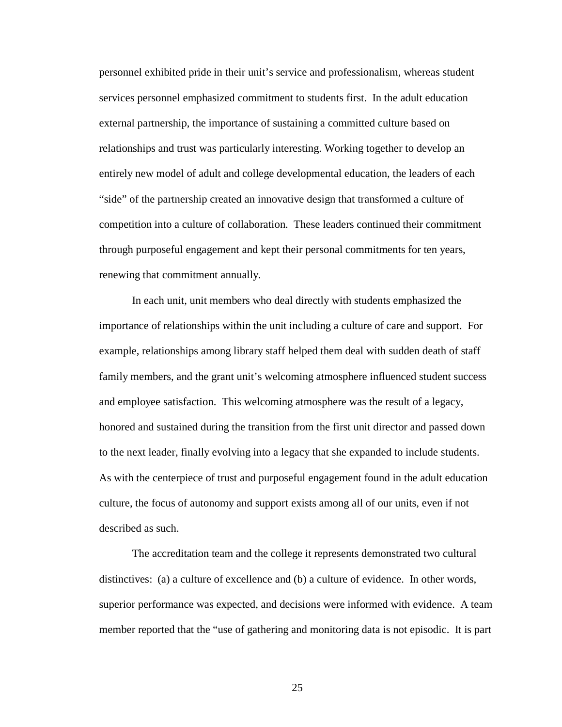personnel exhibited pride in their unit's service and professionalism, whereas student services personnel emphasized commitment to students first. In the adult education external partnership, the importance of sustaining a committed culture based on relationships and trust was particularly interesting. Working together to develop an entirely new model of adult and college developmental education, the leaders of each "side" of the partnership created an innovative design that transformed a culture of competition into a culture of collaboration. These leaders continued their commitment through purposeful engagement and kept their personal commitments for ten years, renewing that commitment annually.

In each unit, unit members who deal directly with students emphasized the importance of relationships within the unit including a culture of care and support. For example, relationships among library staff helped them deal with sudden death of staff family members, and the grant unit's welcoming atmosphere influenced student success and employee satisfaction. This welcoming atmosphere was the result of a legacy, honored and sustained during the transition from the first unit director and passed down to the next leader, finally evolving into a legacy that she expanded to include students. As with the centerpiece of trust and purposeful engagement found in the adult education culture, the focus of autonomy and support exists among all of our units, even if not described as such.

The accreditation team and the college it represents demonstrated two cultural distinctives: (a) a culture of excellence and (b) a culture of evidence. In other words, superior performance was expected, and decisions were informed with evidence. A team member reported that the "use of gathering and monitoring data is not episodic. It is part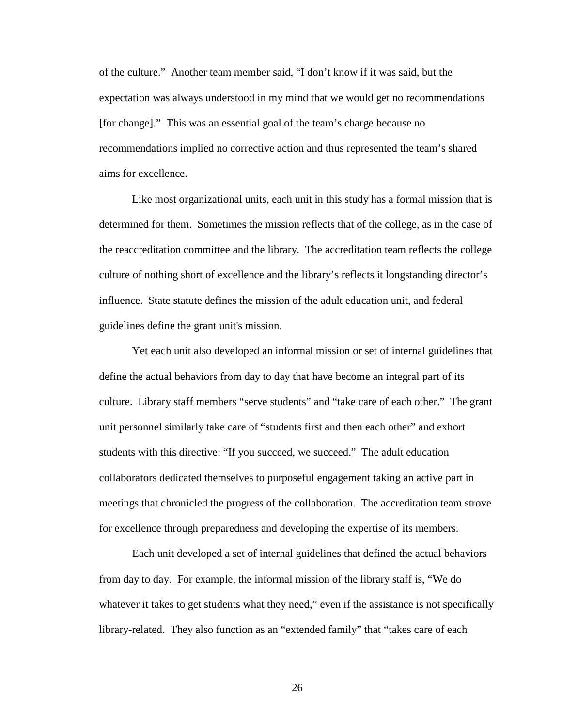of the culture." Another team member said, "I don't know if it was said, but the expectation was always understood in my mind that we would get no recommendations [for change]." This was an essential goal of the team's charge because no recommendations implied no corrective action and thus represented the team's shared aims for excellence.

Like most organizational units, each unit in this study has a formal mission that is determined for them. Sometimes the mission reflects that of the college, as in the case of the reaccreditation committee and the library. The accreditation team reflects the college culture of nothing short of excellence and the library's reflects it longstanding director's influence. State statute defines the mission of the adult education unit, and federal guidelines define the grant unit's mission.

Yet each unit also developed an informal mission or set of internal guidelines that define the actual behaviors from day to day that have become an integral part of its culture. Library staff members "serve students" and "take care of each other." The grant unit personnel similarly take care of "students first and then each other" and exhort students with this directive: "If you succeed, we succeed." The adult education collaborators dedicated themselves to purposeful engagement taking an active part in meetings that chronicled the progress of the collaboration. The accreditation team strove for excellence through preparedness and developing the expertise of its members.

Each unit developed a set of internal guidelines that defined the actual behaviors from day to day. For example, the informal mission of the library staff is, "We do whatever it takes to get students what they need," even if the assistance is not specifically library-related. They also function as an "extended family" that "takes care of each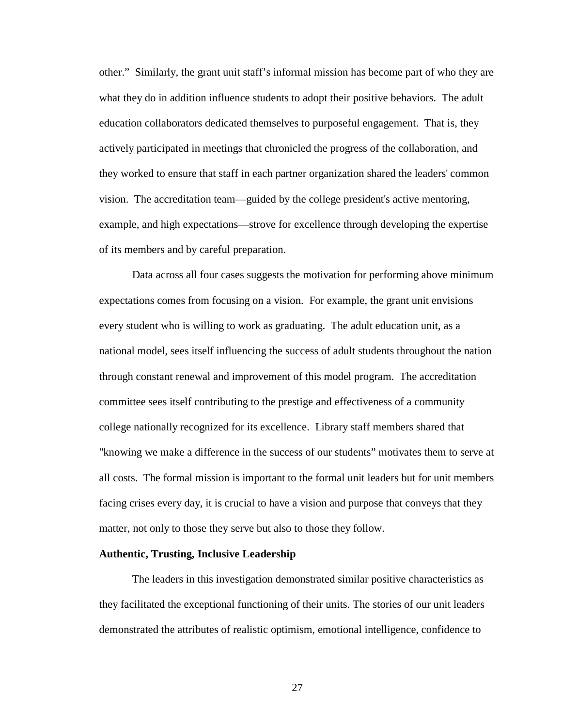other." Similarly, the grant unit staff's informal mission has become part of who they are what they do in addition influence students to adopt their positive behaviors. The adult education collaborators dedicated themselves to purposeful engagement. That is, they actively participated in meetings that chronicled the progress of the collaboration, and they worked to ensure that staff in each partner organization shared the leaders' common vision. The accreditation team—guided by the college president's active mentoring, example, and high expectations—strove for excellence through developing the expertise of its members and by careful preparation.

Data across all four cases suggests the motivation for performing above minimum expectations comes from focusing on a vision. For example, the grant unit envisions every student who is willing to work as graduating. The adult education unit, as a national model, sees itself influencing the success of adult students throughout the nation through constant renewal and improvement of this model program. The accreditation committee sees itself contributing to the prestige and effectiveness of a community college nationally recognized for its excellence. Library staff members shared that "knowing we make a difference in the success of our students" motivates them to serve at all costs. The formal mission is important to the formal unit leaders but for unit members facing crises every day, it is crucial to have a vision and purpose that conveys that they matter, not only to those they serve but also to those they follow.

## **Authentic, Trusting, Inclusive Leadership**

The leaders in this investigation demonstrated similar positive characteristics as they facilitated the exceptional functioning of their units. The stories of our unit leaders demonstrated the attributes of realistic optimism, emotional intelligence, confidence to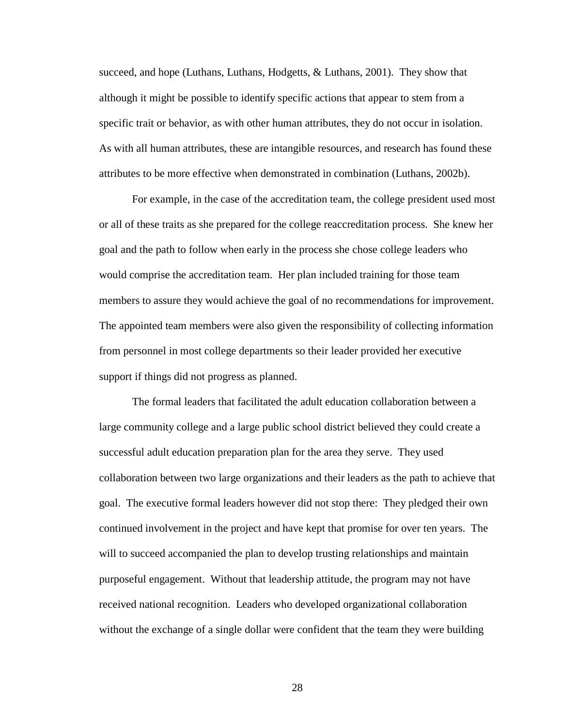succeed, and hope (Luthans, Luthans, Hodgetts, & Luthans, 2001). They show that although it might be possible to identify specific actions that appear to stem from a specific trait or behavior, as with other human attributes, they do not occur in isolation. As with all human attributes, these are intangible resources, and research has found these attributes to be more effective when demonstrated in combination (Luthans, 2002b).

For example, in the case of the accreditation team, the college president used most or all of these traits as she prepared for the college reaccreditation process. She knew her goal and the path to follow when early in the process she chose college leaders who would comprise the accreditation team. Her plan included training for those team members to assure they would achieve the goal of no recommendations for improvement. The appointed team members were also given the responsibility of collecting information from personnel in most college departments so their leader provided her executive support if things did not progress as planned.

The formal leaders that facilitated the adult education collaboration between a large community college and a large public school district believed they could create a successful adult education preparation plan for the area they serve. They used collaboration between two large organizations and their leaders as the path to achieve that goal. The executive formal leaders however did not stop there: They pledged their own continued involvement in the project and have kept that promise for over ten years. The will to succeed accompanied the plan to develop trusting relationships and maintain purposeful engagement. Without that leadership attitude, the program may not have received national recognition. Leaders who developed organizational collaboration without the exchange of a single dollar were confident that the team they were building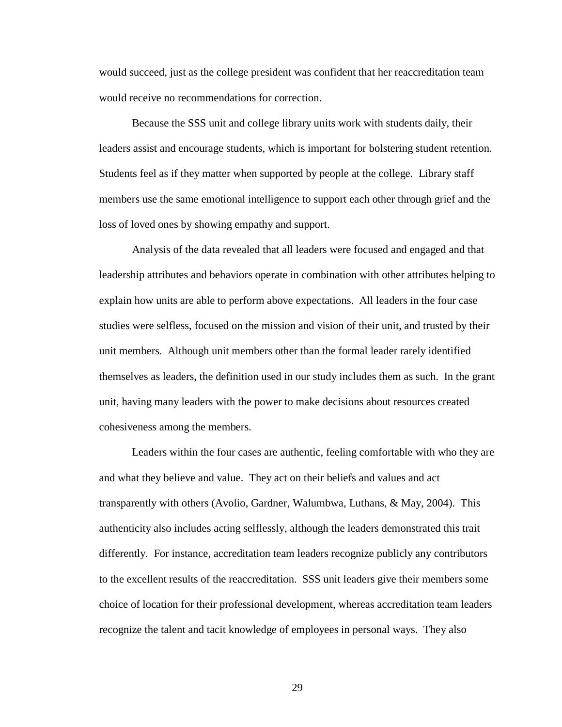would succeed, just as the college president was confident that her reaccreditation team would receive no recommendations for correction.

Because the SSS unit and college library units work with students daily, their leaders assist and encourage students, which is important for bolstering student retention. Students feel as if they matter when supported by people at the college. Library staff members use the same emotional intelligence to support each other through grief and the loss of loved ones by showing empathy and support.

Analysis of the data revealed that all leaders were focused and engaged and that leadership attributes and behaviors operate in combination with other attributes helping to explain how units are able to perform above expectations. All leaders in the four case studies were selfless, focused on the mission and vision of their unit, and trusted by their unit members. Although unit members other than the formal leader rarely identified themselves as leaders, the definition used in our study includes them as such. In the grant unit, having many leaders with the power to make decisions about resources created cohesiveness among the members.

Leaders within the four cases are authentic, feeling comfortable with who they are and what they believe and value. They act on their beliefs and values and act transparently with others (Avolio, Gardner, Walumbwa, Luthans, & May, 2004). This authenticity also includes acting selflessly, although the leaders demonstrated this trait differently. For instance, accreditation team leaders recognize publicly any contributors to the excellent results of the reaccreditation. SSS unit leaders give their members some choice of location for their professional development, whereas accreditation team leaders recognize the talent and tacit knowledge of employees in personal ways. They also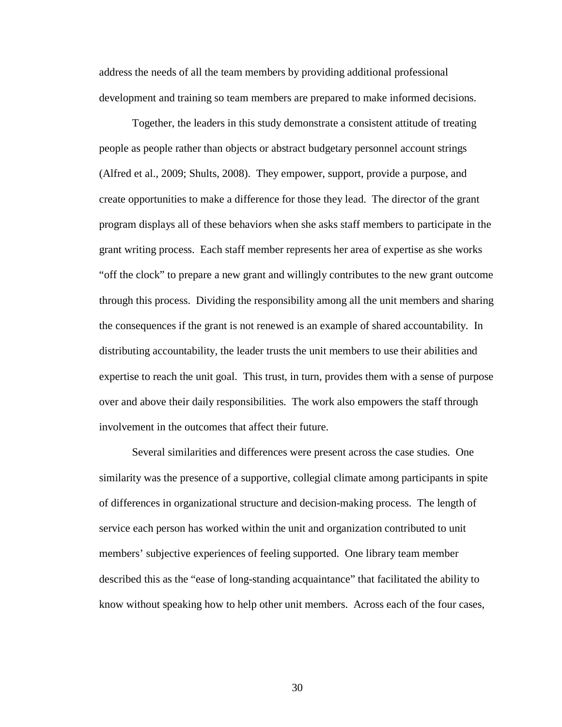address the needs of all the team members by providing additional professional development and training so team members are prepared to make informed decisions.

Together, the leaders in this study demonstrate a consistent attitude of treating people as people rather than objects or abstract budgetary personnel account strings (Alfred et al., 2009; Shults, 2008). They empower, support, provide a purpose, and create opportunities to make a difference for those they lead. The director of the grant program displays all of these behaviors when she asks staff members to participate in the grant writing process. Each staff member represents her area of expertise as she works "off the clock" to prepare a new grant and willingly contributes to the new grant outcome through this process. Dividing the responsibility among all the unit members and sharing the consequences if the grant is not renewed is an example of shared accountability. In distributing accountability, the leader trusts the unit members to use their abilities and expertise to reach the unit goal. This trust, in turn, provides them with a sense of purpose over and above their daily responsibilities. The work also empowers the staff through involvement in the outcomes that affect their future.

Several similarities and differences were present across the case studies. One similarity was the presence of a supportive, collegial climate among participants in spite of differences in organizational structure and decision-making process. The length of service each person has worked within the unit and organization contributed to unit members' subjective experiences of feeling supported. One library team member described this as the "ease of long-standing acquaintance" that facilitated the ability to know without speaking how to help other unit members. Across each of the four cases,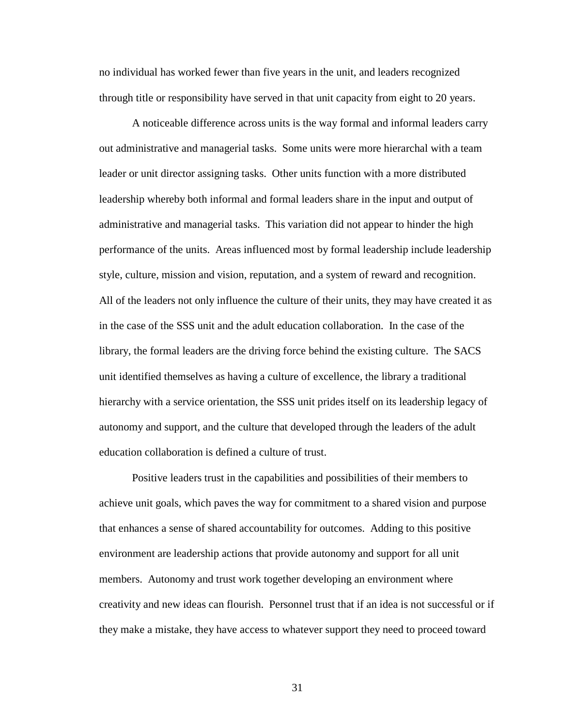no individual has worked fewer than five years in the unit, and leaders recognized through title or responsibility have served in that unit capacity from eight to 20 years.

A noticeable difference across units is the way formal and informal leaders carry out administrative and managerial tasks. Some units were more hierarchal with a team leader or unit director assigning tasks. Other units function with a more distributed leadership whereby both informal and formal leaders share in the input and output of administrative and managerial tasks. This variation did not appear to hinder the high performance of the units. Areas influenced most by formal leadership include leadership style, culture, mission and vision, reputation, and a system of reward and recognition. All of the leaders not only influence the culture of their units, they may have created it as in the case of the SSS unit and the adult education collaboration. In the case of the library, the formal leaders are the driving force behind the existing culture. The SACS unit identified themselves as having a culture of excellence, the library a traditional hierarchy with a service orientation, the SSS unit prides itself on its leadership legacy of autonomy and support, and the culture that developed through the leaders of the adult education collaboration is defined a culture of trust.

Positive leaders trust in the capabilities and possibilities of their members to achieve unit goals, which paves the way for commitment to a shared vision and purpose that enhances a sense of shared accountability for outcomes. Adding to this positive environment are leadership actions that provide autonomy and support for all unit members. Autonomy and trust work together developing an environment where creativity and new ideas can flourish. Personnel trust that if an idea is not successful or if they make a mistake, they have access to whatever support they need to proceed toward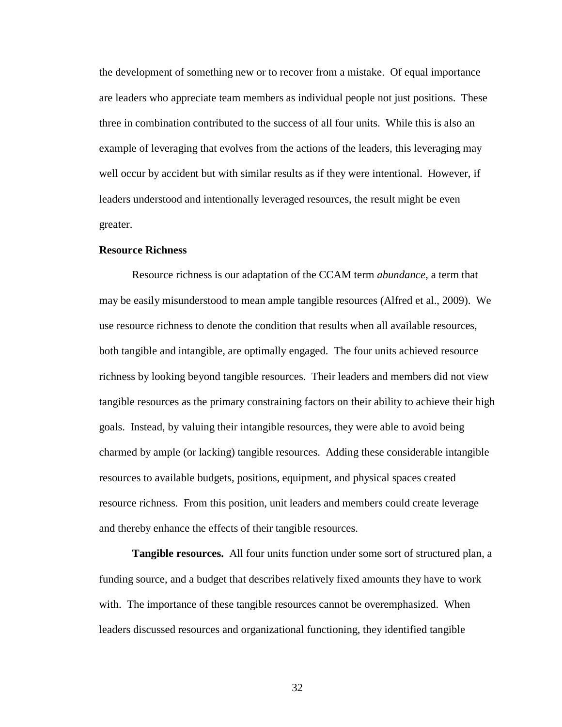the development of something new or to recover from a mistake. Of equal importance are leaders who appreciate team members as individual people not just positions. These three in combination contributed to the success of all four units. While this is also an example of leveraging that evolves from the actions of the leaders, this leveraging may well occur by accident but with similar results as if they were intentional. However, if leaders understood and intentionally leveraged resources, the result might be even greater.

## **Resource Richness**

Resource richness is our adaptation of the CCAM term *abundance*, a term that may be easily misunderstood to mean ample tangible resources (Alfred et al., 2009). We use resource richness to denote the condition that results when all available resources, both tangible and intangible, are optimally engaged. The four units achieved resource richness by looking beyond tangible resources. Their leaders and members did not view tangible resources as the primary constraining factors on their ability to achieve their high goals. Instead, by valuing their intangible resources, they were able to avoid being charmed by ample (or lacking) tangible resources. Adding these considerable intangible resources to available budgets, positions, equipment, and physical spaces created resource richness. From this position, unit leaders and members could create leverage and thereby enhance the effects of their tangible resources.

**Tangible resources.** All four units function under some sort of structured plan, a funding source, and a budget that describes relatively fixed amounts they have to work with. The importance of these tangible resources cannot be overemphasized. When leaders discussed resources and organizational functioning, they identified tangible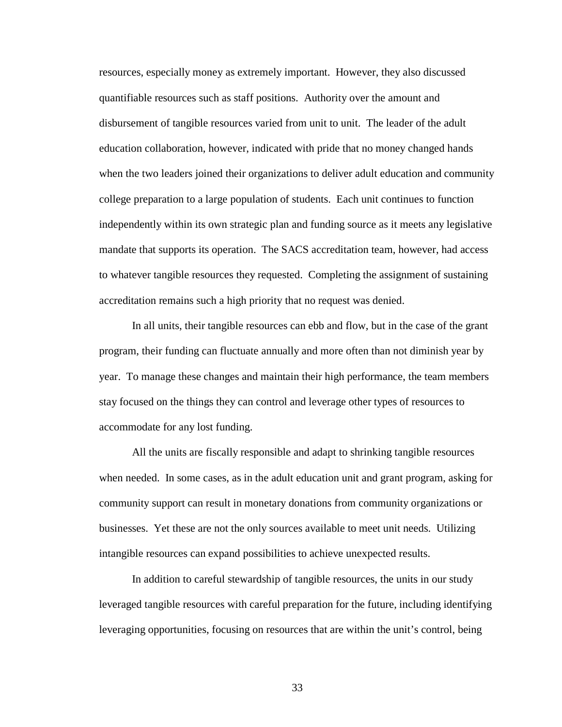resources, especially money as extremely important. However, they also discussed quantifiable resources such as staff positions. Authority over the amount and disbursement of tangible resources varied from unit to unit. The leader of the adult education collaboration, however, indicated with pride that no money changed hands when the two leaders joined their organizations to deliver adult education and community college preparation to a large population of students. Each unit continues to function independently within its own strategic plan and funding source as it meets any legislative mandate that supports its operation. The SACS accreditation team, however, had access to whatever tangible resources they requested. Completing the assignment of sustaining accreditation remains such a high priority that no request was denied.

In all units, their tangible resources can ebb and flow, but in the case of the grant program, their funding can fluctuate annually and more often than not diminish year by year. To manage these changes and maintain their high performance, the team members stay focused on the things they can control and leverage other types of resources to accommodate for any lost funding.

All the units are fiscally responsible and adapt to shrinking tangible resources when needed. In some cases, as in the adult education unit and grant program, asking for community support can result in monetary donations from community organizations or businesses. Yet these are not the only sources available to meet unit needs. Utilizing intangible resources can expand possibilities to achieve unexpected results.

In addition to careful stewardship of tangible resources, the units in our study leveraged tangible resources with careful preparation for the future, including identifying leveraging opportunities, focusing on resources that are within the unit's control, being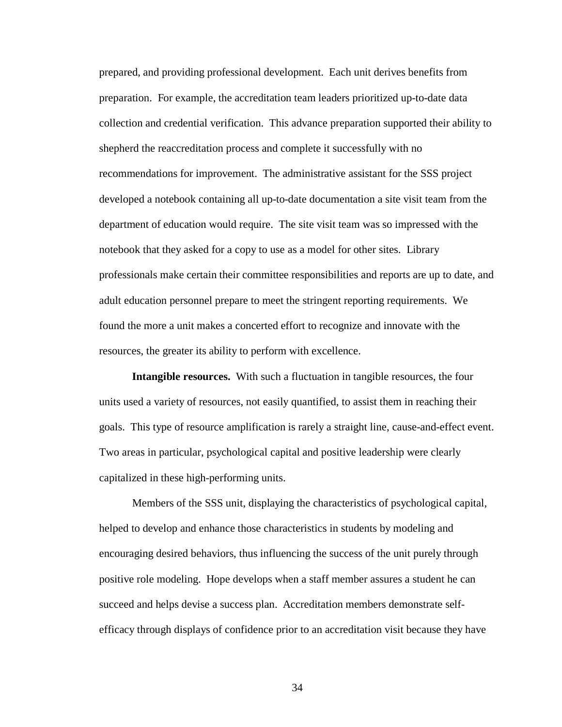prepared, and providing professional development. Each unit derives benefits from preparation. For example, the accreditation team leaders prioritized up-to-date data collection and credential verification. This advance preparation supported their ability to shepherd the reaccreditation process and complete it successfully with no recommendations for improvement. The administrative assistant for the SSS project developed a notebook containing all up-to-date documentation a site visit team from the department of education would require. The site visit team was so impressed with the notebook that they asked for a copy to use as a model for other sites. Library professionals make certain their committee responsibilities and reports are up to date, and adult education personnel prepare to meet the stringent reporting requirements. We found the more a unit makes a concerted effort to recognize and innovate with the resources, the greater its ability to perform with excellence.

**Intangible resources.** With such a fluctuation in tangible resources, the four units used a variety of resources, not easily quantified, to assist them in reaching their goals. This type of resource amplification is rarely a straight line, cause-and-effect event. Two areas in particular, psychological capital and positive leadership were clearly capitalized in these high-performing units.

Members of the SSS unit, displaying the characteristics of psychological capital, helped to develop and enhance those characteristics in students by modeling and encouraging desired behaviors, thus influencing the success of the unit purely through positive role modeling. Hope develops when a staff member assures a student he can succeed and helps devise a success plan. Accreditation members demonstrate selfefficacy through displays of confidence prior to an accreditation visit because they have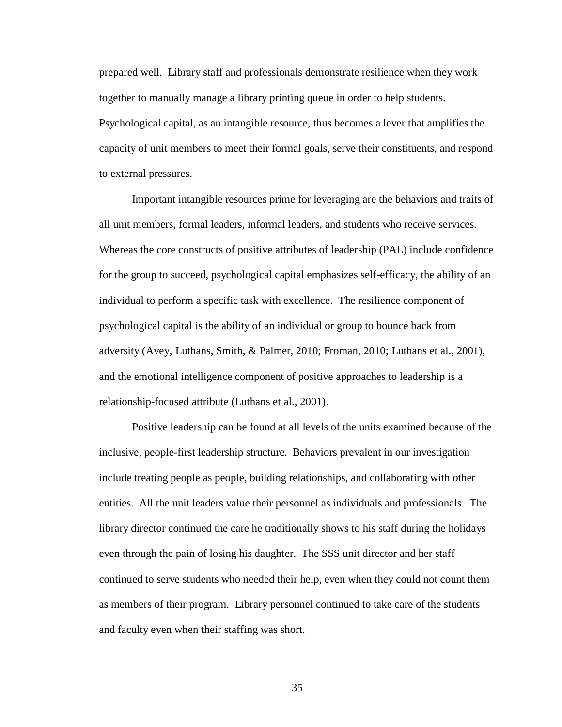prepared well. Library staff and professionals demonstrate resilience when they work together to manually manage a library printing queue in order to help students. Psychological capital, as an intangible resource, thus becomes a lever that amplifies the capacity of unit members to meet their formal goals, serve their constituents, and respond to external pressures.

Important intangible resources prime for leveraging are the behaviors and traits of all unit members, formal leaders, informal leaders, and students who receive services. Whereas the core constructs of positive attributes of leadership (PAL) include confidence for the group to succeed, psychological capital emphasizes self-efficacy, the ability of an individual to perform a specific task with excellence. The resilience component of psychological capital is the ability of an individual or group to bounce back from adversity (Avey, Luthans, Smith, & Palmer, 2010; Froman, 2010; Luthans et al., 2001), and the emotional intelligence component of positive approaches to leadership is a relationship-focused attribute (Luthans et al., 2001).

Positive leadership can be found at all levels of the units examined because of the inclusive, people-first leadership structure. Behaviors prevalent in our investigation include treating people as people, building relationships, and collaborating with other entities. All the unit leaders value their personnel as individuals and professionals. The library director continued the care he traditionally shows to his staff during the holidays even through the pain of losing his daughter. The SSS unit director and her staff continued to serve students who needed their help, even when they could not count them as members of their program. Library personnel continued to take care of the students and faculty even when their staffing was short.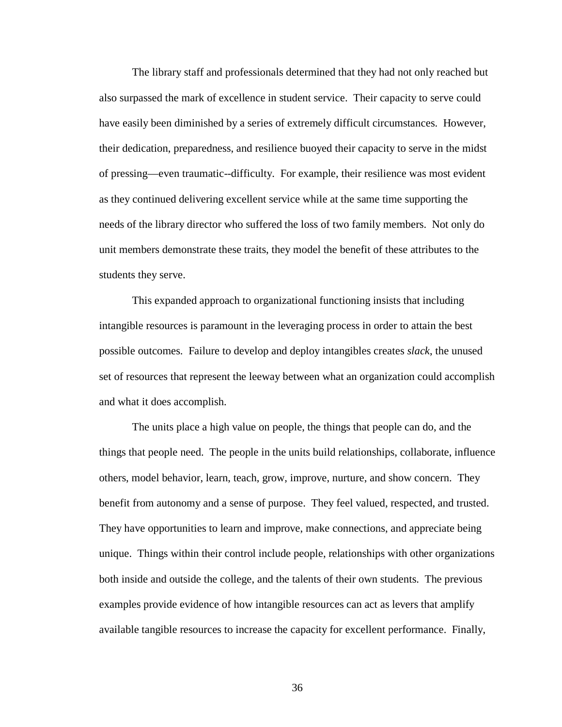The library staff and professionals determined that they had not only reached but also surpassed the mark of excellence in student service. Their capacity to serve could have easily been diminished by a series of extremely difficult circumstances. However, their dedication, preparedness, and resilience buoyed their capacity to serve in the midst of pressing—even traumatic--difficulty. For example, their resilience was most evident as they continued delivering excellent service while at the same time supporting the needs of the library director who suffered the loss of two family members. Not only do unit members demonstrate these traits, they model the benefit of these attributes to the students they serve.

This expanded approach to organizational functioning insists that including intangible resources is paramount in the leveraging process in order to attain the best possible outcomes. Failure to develop and deploy intangibles creates *slack*, the unused set of resources that represent the leeway between what an organization could accomplish and what it does accomplish.

The units place a high value on people, the things that people can do, and the things that people need. The people in the units build relationships, collaborate, influence others, model behavior, learn, teach, grow, improve, nurture, and show concern. They benefit from autonomy and a sense of purpose. They feel valued, respected, and trusted. They have opportunities to learn and improve, make connections, and appreciate being unique. Things within their control include people, relationships with other organizations both inside and outside the college, and the talents of their own students. The previous examples provide evidence of how intangible resources can act as levers that amplify available tangible resources to increase the capacity for excellent performance. Finally,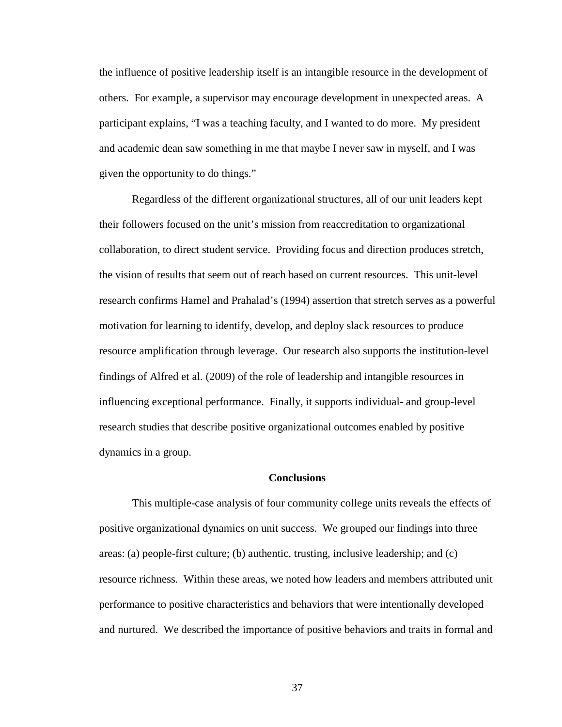the influence of positive leadership itself is an intangible resource in the development of others. For example, a supervisor may encourage development in unexpected areas. A participant explains, "I was a teaching faculty, and I wanted to do more. My president and academic dean saw something in me that maybe I never saw in myself, and I was given the opportunity to do things."

Regardless of the different organizational structures, all of our unit leaders kept their followers focused on the unit's mission from reaccreditation to organizational collaboration, to direct student service. Providing focus and direction produces stretch, the vision of results that seem out of reach based on current resources. This unit-level research confirms Hamel and Prahalad's (1994) assertion that stretch serves as a powerful motivation for learning to identify, develop, and deploy slack resources to produce resource amplification through leverage. Our research also supports the institution-level findings of Alfred et al. (2009) of the role of leadership and intangible resources in influencing exceptional performance. Finally, it supports individual- and group-level research studies that describe positive organizational outcomes enabled by positive dynamics in a group.

## **Conclusions**

This multiple-case analysis of four community college units reveals the effects of positive organizational dynamics on unit success. We grouped our findings into three areas: (a) people-first culture; (b) authentic, trusting, inclusive leadership; and (c) resource richness. Within these areas, we noted how leaders and members attributed unit performance to positive characteristics and behaviors that were intentionally developed and nurtured. We described the importance of positive behaviors and traits in formal and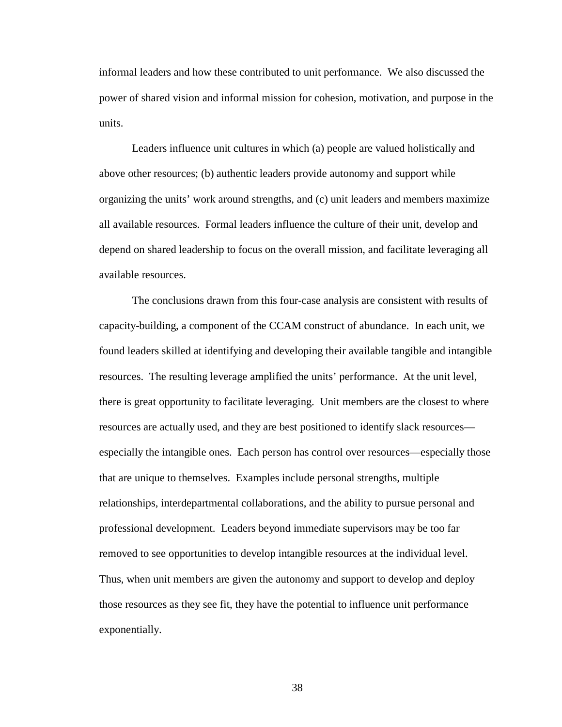informal leaders and how these contributed to unit performance. We also discussed the power of shared vision and informal mission for cohesion, motivation, and purpose in the units.

Leaders influence unit cultures in which (a) people are valued holistically and above other resources; (b) authentic leaders provide autonomy and support while organizing the units' work around strengths, and (c) unit leaders and members maximize all available resources. Formal leaders influence the culture of their unit, develop and depend on shared leadership to focus on the overall mission, and facilitate leveraging all available resources.

The conclusions drawn from this four-case analysis are consistent with results of capacity-building, a component of the CCAM construct of abundance. In each unit, we found leaders skilled at identifying and developing their available tangible and intangible resources. The resulting leverage amplified the units' performance. At the unit level, there is great opportunity to facilitate leveraging. Unit members are the closest to where resources are actually used, and they are best positioned to identify slack resources especially the intangible ones. Each person has control over resources—especially those that are unique to themselves. Examples include personal strengths, multiple relationships, interdepartmental collaborations, and the ability to pursue personal and professional development. Leaders beyond immediate supervisors may be too far removed to see opportunities to develop intangible resources at the individual level. Thus, when unit members are given the autonomy and support to develop and deploy those resources as they see fit, they have the potential to influence unit performance exponentially.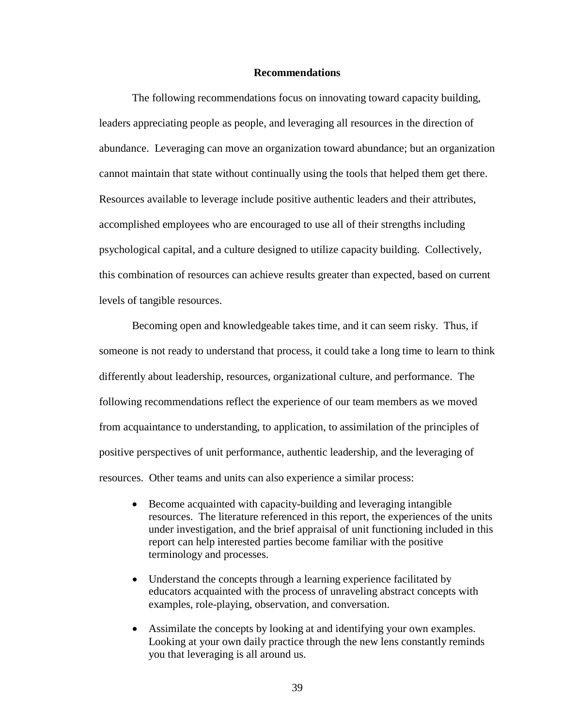## **Recommendations**

The following recommendations focus on innovating toward capacity building, leaders appreciating people as people, and leveraging all resources in the direction of abundance. Leveraging can move an organization toward abundance; but an organization cannot maintain that state without continually using the tools that helped them get there. Resources available to leverage include positive authentic leaders and their attributes, accomplished employees who are encouraged to use all of their strengths including psychological capital, and a culture designed to utilize capacity building. Collectively, this combination of resources can achieve results greater than expected, based on current levels of tangible resources.

Becoming open and knowledgeable takes time, and it can seem risky. Thus, if someone is not ready to understand that process, it could take a long time to learn to think differently about leadership, resources, organizational culture, and performance. The following recommendations reflect the experience of our team members as we moved from acquaintance to understanding, to application, to assimilation of the principles of positive perspectives of unit performance, authentic leadership, and the leveraging of resources. Other teams and units can also experience a similar process:

- Become acquainted with capacity-building and leveraging intangible resources. The literature referenced in this report, the experiences of the units under investigation, and the brief appraisal of unit functioning included in this report can help interested parties become familiar with the positive terminology and processes.
- Understand the concepts through a learning experience facilitated by educators acquainted with the process of unraveling abstract concepts with examples, role-playing, observation, and conversation.
- Assimilate the concepts by looking at and identifying your own examples. Looking at your own daily practice through the new lens constantly reminds you that leveraging is all around us.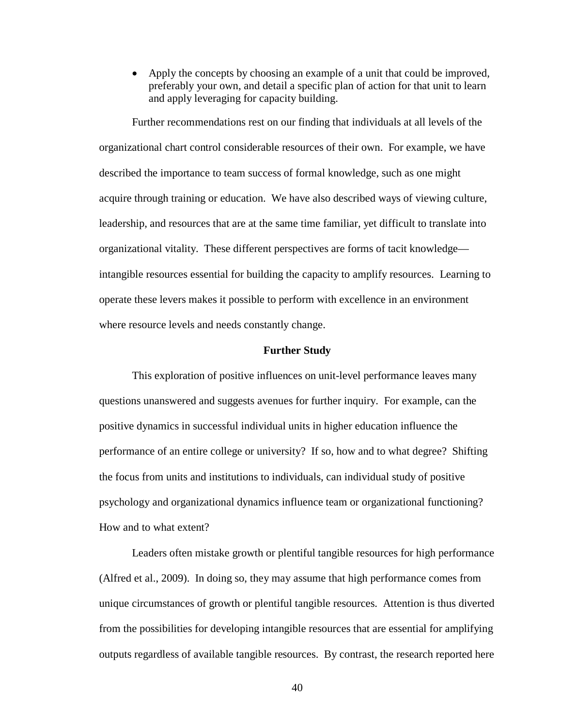• Apply the concepts by choosing an example of a unit that could be improved, preferably your own, and detail a specific plan of action for that unit to learn and apply leveraging for capacity building.

Further recommendations rest on our finding that individuals at all levels of the organizational chart control considerable resources of their own. For example, we have described the importance to team success of formal knowledge, such as one might acquire through training or education. We have also described ways of viewing culture, leadership, and resources that are at the same time familiar, yet difficult to translate into organizational vitality. These different perspectives are forms of tacit knowledge intangible resources essential for building the capacity to amplify resources. Learning to operate these levers makes it possible to perform with excellence in an environment where resource levels and needs constantly change.

## **Further Study**

This exploration of positive influences on unit-level performance leaves many questions unanswered and suggests avenues for further inquiry. For example, can the positive dynamics in successful individual units in higher education influence the performance of an entire college or university? If so, how and to what degree? Shifting the focus from units and institutions to individuals, can individual study of positive psychology and organizational dynamics influence team or organizational functioning? How and to what extent?

Leaders often mistake growth or plentiful tangible resources for high performance (Alfred et al., 2009). In doing so, they may assume that high performance comes from unique circumstances of growth or plentiful tangible resources. Attention is thus diverted from the possibilities for developing intangible resources that are essential for amplifying outputs regardless of available tangible resources. By contrast, the research reported here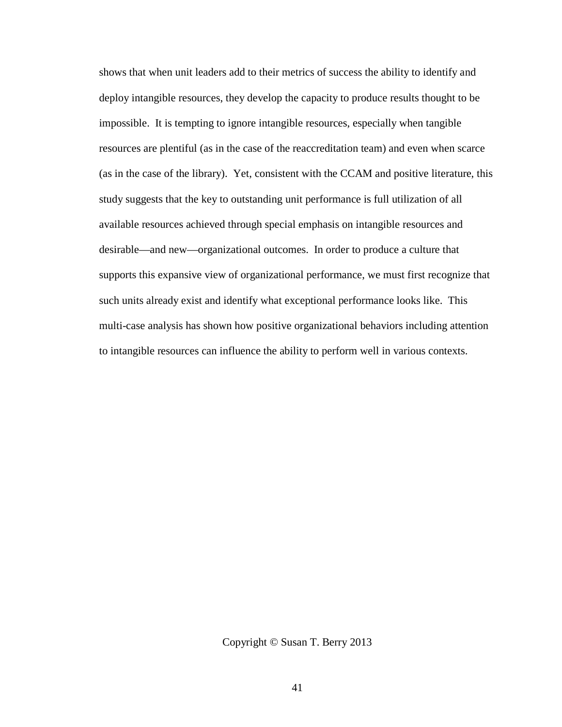shows that when unit leaders add to their metrics of success the ability to identify and deploy intangible resources, they develop the capacity to produce results thought to be impossible. It is tempting to ignore intangible resources, especially when tangible resources are plentiful (as in the case of the reaccreditation team) and even when scarce (as in the case of the library). Yet, consistent with the CCAM and positive literature, this study suggests that the key to outstanding unit performance is full utilization of all available resources achieved through special emphasis on intangible resources and desirable—and new—organizational outcomes. In order to produce a culture that supports this expansive view of organizational performance, we must first recognize that such units already exist and identify what exceptional performance looks like. This multi-case analysis has shown how positive organizational behaviors including attention to intangible resources can influence the ability to perform well in various contexts.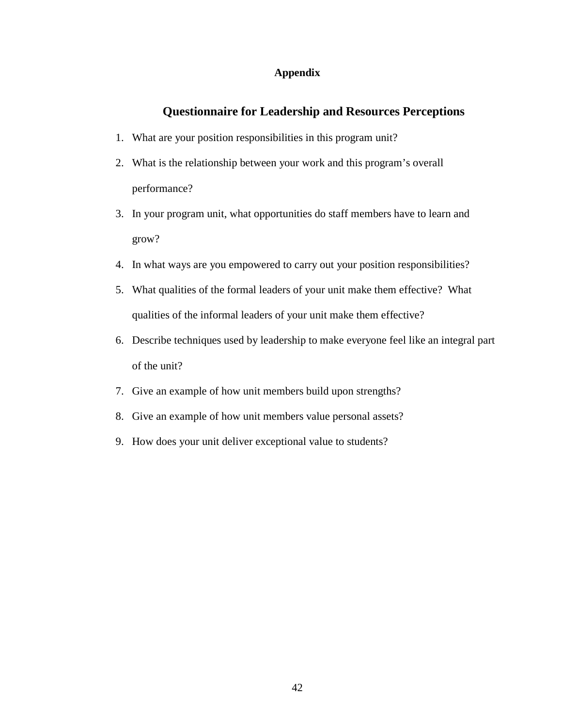# **Appendix**

# **Questionnaire for Leadership and Resources Perceptions**

- 1. What are your position responsibilities in this program unit?
- 2. What is the relationship between your work and this program's overall performance?
- 3. In your program unit, what opportunities do staff members have to learn and grow?
- 4. In what ways are you empowered to carry out your position responsibilities?
- 5. What qualities of the formal leaders of your unit make them effective? What qualities of the informal leaders of your unit make them effective?
- 6. Describe techniques used by leadership to make everyone feel like an integral part of the unit?
- 7. Give an example of how unit members build upon strengths?
- 8. Give an example of how unit members value personal assets?
- 9. How does your unit deliver exceptional value to students?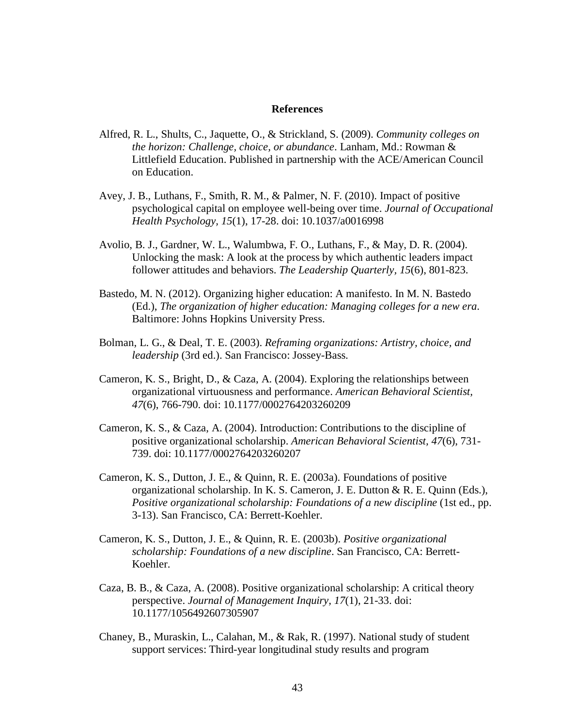## **References**

- Alfred, R. L., Shults, C., Jaquette, O., & Strickland, S. (2009). *Community colleges on the horizon: Challenge, choice, or abundance*. Lanham, Md.: Rowman & Littlefield Education. Published in partnership with the ACE/American Council on Education.
- Avey, J. B., Luthans, F., Smith, R. M., & Palmer, N. F. (2010). Impact of positive psychological capital on employee well-being over time. *Journal of Occupational Health Psychology, 15*(1), 17-28. doi: 10.1037/a0016998
- Avolio, B. J., Gardner, W. L., Walumbwa, F. O., Luthans, F., & May, D. R. (2004). Unlocking the mask: A look at the process by which authentic leaders impact follower attitudes and behaviors. *The Leadership Quarterly, 15*(6), 801-823.
- Bastedo, M. N. (2012). Organizing higher education: A manifesto. In M. N. Bastedo (Ed.), *The organization of higher education: Managing colleges for a new era*. Baltimore: Johns Hopkins University Press.
- Bolman, L. G., & Deal, T. E. (2003). *Reframing organizations: Artistry, choice, and leadership* (3rd ed.). San Francisco: Jossey-Bass.
- Cameron, K. S., Bright, D., & Caza, A. (2004). Exploring the relationships between organizational virtuousness and performance. *American Behavioral Scientist, 47*(6), 766-790. doi: 10.1177/0002764203260209
- Cameron, K. S., & Caza, A. (2004). Introduction: Contributions to the discipline of positive organizational scholarship. *American Behavioral Scientist, 47*(6), 731- 739. doi: 10.1177/0002764203260207
- Cameron, K. S., Dutton, J. E., & Quinn, R. E. (2003a). Foundations of positive organizational scholarship. In K. S. Cameron, J. E. Dutton & R. E. Quinn (Eds.), *Positive organizational scholarship: Foundations of a new discipline* (1st ed., pp. 3-13). San Francisco, CA: Berrett-Koehler.
- Cameron, K. S., Dutton, J. E., & Quinn, R. E. (2003b). *Positive organizational scholarship: Foundations of a new discipline*. San Francisco, CA: Berrett-Koehler.
- Caza, B. B., & Caza, A. (2008). Positive organizational scholarship: A critical theory perspective. *Journal of Management Inquiry, 17*(1), 21-33. doi: 10.1177/1056492607305907
- Chaney, B., Muraskin, L., Calahan, M., & Rak, R. (1997). National study of student support services: Third-year longitudinal study results and program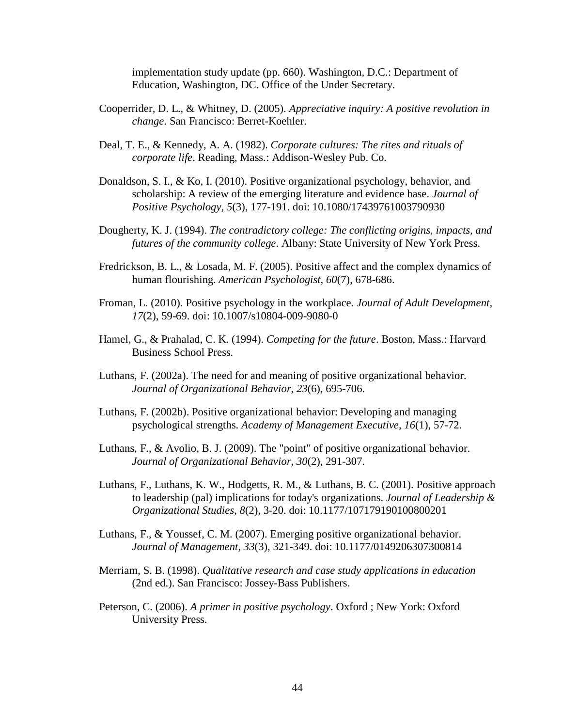implementation study update (pp. 660). Washington, D.C.: Department of Education, Washington, DC. Office of the Under Secretary.

- Cooperrider, D. L., & Whitney, D. (2005). *Appreciative inquiry: A positive revolution in change*. San Francisco: Berret-Koehler.
- Deal, T. E., & Kennedy, A. A. (1982). *Corporate cultures: The rites and rituals of corporate life*. Reading, Mass.: Addison-Wesley Pub. Co.
- Donaldson, S. I., & Ko, I. (2010). Positive organizational psychology, behavior, and scholarship: A review of the emerging literature and evidence base. *Journal of Positive Psychology, 5*(3), 177-191. doi: 10.1080/17439761003790930
- Dougherty, K. J. (1994). *The contradictory college: The conflicting origins, impacts, and futures of the community college*. Albany: State University of New York Press.
- Fredrickson, B. L., & Losada, M. F. (2005). Positive affect and the complex dynamics of human flourishing. *American Psychologist, 60*(7), 678-686.
- Froman, L. (2010). Positive psychology in the workplace. *Journal of Adult Development, 17*(2), 59-69. doi: 10.1007/s10804-009-9080-0
- Hamel, G., & Prahalad, C. K. (1994). *Competing for the future*. Boston, Mass.: Harvard Business School Press.
- Luthans, F. (2002a). The need for and meaning of positive organizational behavior. *Journal of Organizational Behavior, 23*(6), 695-706.
- Luthans, F. (2002b). Positive organizational behavior: Developing and managing psychological strengths. *Academy of Management Executive, 16*(1), 57-72.
- Luthans, F., & Avolio, B. J. (2009). The "point" of positive organizational behavior. *Journal of Organizational Behavior, 30*(2), 291-307.
- Luthans, F., Luthans, K. W., Hodgetts, R. M., & Luthans, B. C. (2001). Positive approach to leadership (pal) implications for today's organizations. *Journal of Leadership & Organizational Studies, 8*(2), 3-20. doi: 10.1177/107179190100800201
- Luthans, F., & Youssef, C. M. (2007). Emerging positive organizational behavior. *Journal of Management, 33*(3), 321-349. doi: 10.1177/0149206307300814
- Merriam, S. B. (1998). *Qualitative research and case study applications in education* (2nd ed.). San Francisco: Jossey-Bass Publishers.
- Peterson, C. (2006). *A primer in positive psychology*. Oxford ; New York: Oxford University Press.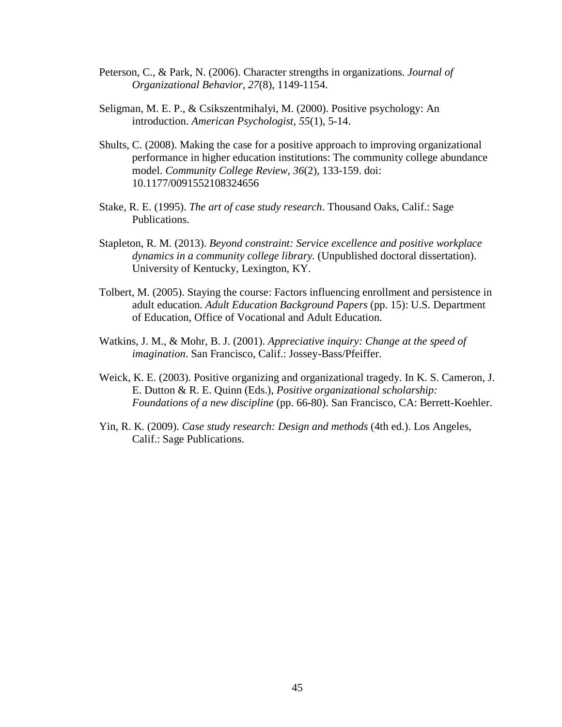- Peterson, C., & Park, N. (2006). Character strengths in organizations. *Journal of Organizational Behavior, 27*(8), 1149-1154.
- Seligman, M. E. P., & Csikszentmihalyi, M. (2000). Positive psychology: An introduction. *American Psychologist, 55*(1), 5-14.
- Shults, C. (2008). Making the case for a positive approach to improving organizational performance in higher education institutions: The community college abundance model. *Community College Review, 36*(2), 133-159. doi: 10.1177/0091552108324656
- Stake, R. E. (1995). *The art of case study research*. Thousand Oaks, Calif.: Sage Publications.
- Stapleton, R. M. (2013). *Beyond constraint: Service excellence and positive workplace dynamics in a community college library.* (Unpublished doctoral dissertation). University of Kentucky, Lexington, KY.
- Tolbert, M. (2005). Staying the course: Factors influencing enrollment and persistence in adult education*. Adult Education Background Papers* (pp. 15): U.S. Department of Education, Office of Vocational and Adult Education.
- Watkins, J. M., & Mohr, B. J. (2001). *Appreciative inquiry: Change at the speed of imagination*. San Francisco, Calif.: Jossey-Bass/Pfeiffer.
- Weick, K. E. (2003). Positive organizing and organizational tragedy. In K. S. Cameron, J. E. Dutton & R. E. Quinn (Eds.), *Positive organizational scholarship: Foundations of a new discipline* (pp. 66-80). San Francisco, CA: Berrett-Koehler.
- Yin, R. K. (2009). *Case study research: Design and methods* (4th ed.). Los Angeles, Calif.: Sage Publications.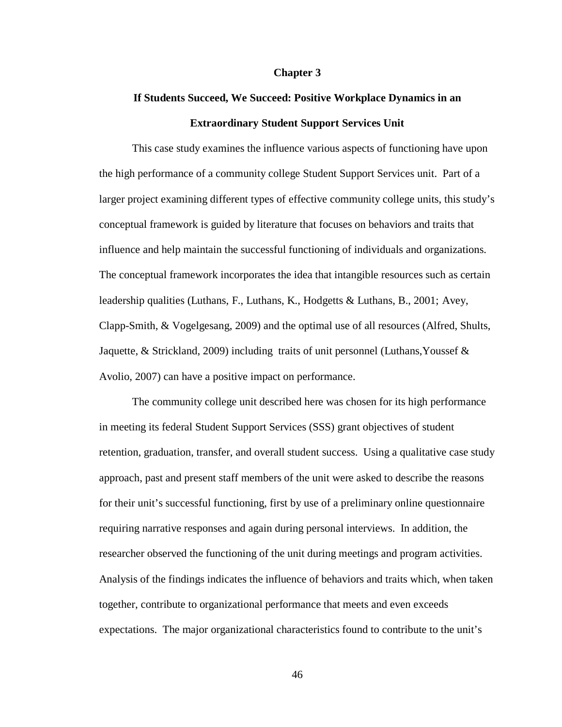#### **Chapter 3**

# **If Students Succeed, We Succeed: Positive Workplace Dynamics in an Extraordinary Student Support Services Unit**

This case study examines the influence various aspects of functioning have upon the high performance of a community college Student Support Services unit. Part of a larger project examining different types of effective community college units, this study's conceptual framework is guided by literature that focuses on behaviors and traits that influence and help maintain the successful functioning of individuals and organizations. The conceptual framework incorporates the idea that intangible resources such as certain leadership qualities (Luthans, F., Luthans, K., Hodgetts & Luthans, B., 2001; Avey, Clapp-Smith, & Vogelgesang, 2009) and the optimal use of all resources (Alfred, Shults, Jaquette, & Strickland, 2009) including traits of unit personnel (Luthans, Youssef  $\&$ Avolio, 2007) can have a positive impact on performance.

The community college unit described here was chosen for its high performance in meeting its federal Student Support Services (SSS) grant objectives of student retention, graduation, transfer, and overall student success. Using a qualitative case study approach, past and present staff members of the unit were asked to describe the reasons for their unit's successful functioning, first by use of a preliminary online questionnaire requiring narrative responses and again during personal interviews. In addition, the researcher observed the functioning of the unit during meetings and program activities. Analysis of the findings indicates the influence of behaviors and traits which, when taken together, contribute to organizational performance that meets and even exceeds expectations. The major organizational characteristics found to contribute to the unit's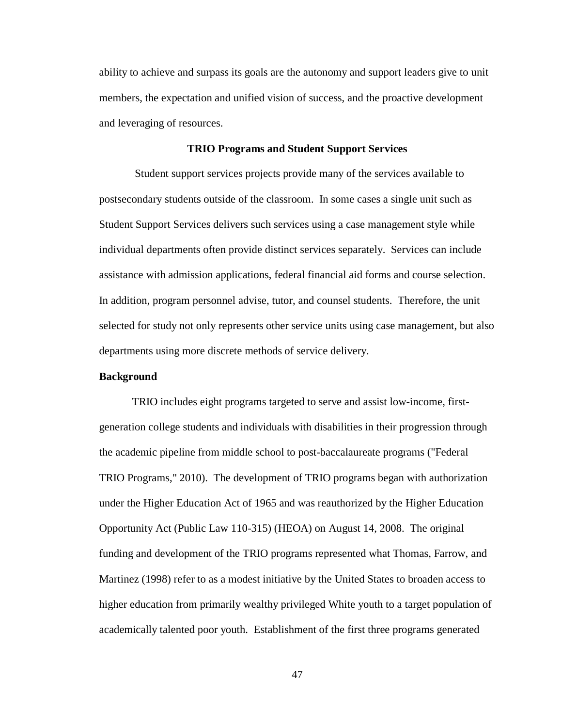ability to achieve and surpass its goals are the autonomy and support leaders give to unit members, the expectation and unified vision of success, and the proactive development and leveraging of resources.

#### **TRIO Programs and Student Support Services**

Student support services projects provide many of the services available to postsecondary students outside of the classroom. In some cases a single unit such as Student Support Services delivers such services using a case management style while individual departments often provide distinct services separately. Services can include assistance with admission applications, federal financial aid forms and course selection. In addition, program personnel advise, tutor, and counsel students. Therefore, the unit selected for study not only represents other service units using case management, but also departments using more discrete methods of service delivery.

# **Background**

TRIO includes eight programs targeted to serve and assist low-income, firstgeneration college students and individuals with disabilities in their progression through the academic pipeline from middle school to post-baccalaureate programs ("Federal TRIO Programs," 2010). The development of TRIO programs began with authorization under the Higher Education Act of 1965 and was reauthorized by the Higher Education Opportunity Act (Public Law 110-315) (HEOA) on August 14, 2008. The original funding and development of the TRIO programs represented what Thomas, Farrow, and Martinez (1998) refer to as a modest initiative by the United States to broaden access to higher education from primarily wealthy privileged White youth to a target population of academically talented poor youth. Establishment of the first three programs generated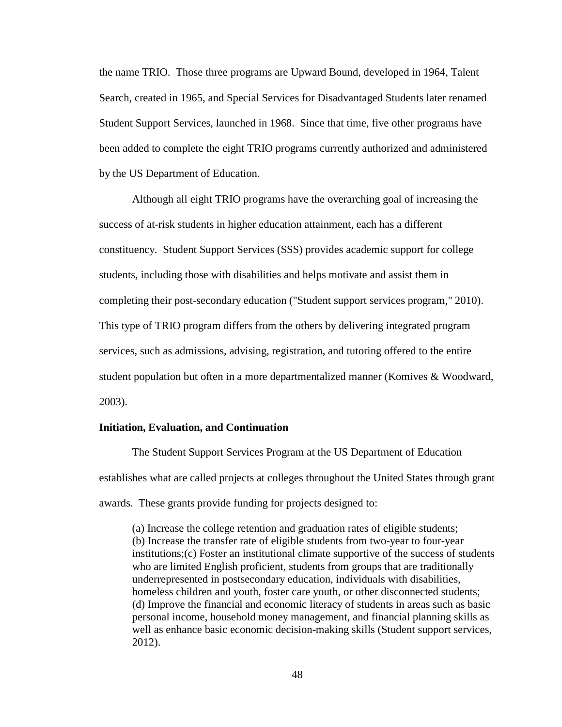the name TRIO. Those three programs are Upward Bound, developed in 1964, Talent Search, created in 1965, and Special Services for Disadvantaged Students later renamed Student Support Services, launched in 1968. Since that time, five other programs have been added to complete the eight TRIO programs currently authorized and administered by the US Department of Education.

Although all eight TRIO programs have the overarching goal of increasing the success of at-risk students in higher education attainment, each has a different constituency. Student Support Services (SSS) provides academic support for college students, including those with disabilities and helps motivate and assist them in completing their post-secondary education ("Student support services program," 2010). This type of TRIO program differs from the others by delivering integrated program services, such as admissions, advising, registration, and tutoring offered to the entire student population but often in a more departmentalized manner (Komives & Woodward, 2003).

## **Initiation, Evaluation, and Continuation**

The Student Support Services Program at the US Department of Education establishes what are called projects at colleges throughout the United States through grant awards. These grants provide funding for projects designed to:

(a) Increase the college retention and graduation rates of eligible students; (b) Increase the transfer rate of eligible students from two-year to four-year institutions;(c) Foster an institutional climate supportive of the success of students who are limited English proficient, students from groups that are traditionally underrepresented in postsecondary education, individuals with disabilities, homeless children and youth, foster care youth, or other disconnected students; (d) Improve the financial and economic literacy of students in areas such as basic personal income, household money management, and financial planning skills as well as enhance basic economic decision-making skills (Student support services, 2012).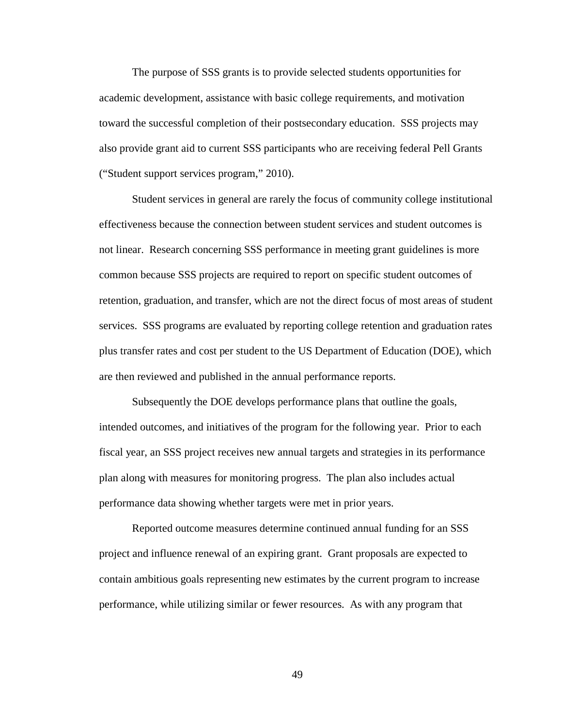The purpose of SSS grants is to provide selected students opportunities for academic development, assistance with basic college requirements, and motivation toward the successful completion of their postsecondary education. SSS projects may also provide grant aid to current SSS participants who are receiving federal Pell Grants ("Student support services program," 2010).

Student services in general are rarely the focus of community college institutional effectiveness because the connection between student services and student outcomes is not linear. Research concerning SSS performance in meeting grant guidelines is more common because SSS projects are required to report on specific student outcomes of retention, graduation, and transfer, which are not the direct focus of most areas of student services. SSS programs are evaluated by reporting college retention and graduation rates plus transfer rates and cost per student to the US Department of Education (DOE), which are then reviewed and published in the annual performance reports.

Subsequently the DOE develops performance plans that outline the goals, intended outcomes, and initiatives of the program for the following year. Prior to each fiscal year, an SSS project receives new annual targets and strategies in its performance plan along with measures for monitoring progress. The plan also includes actual performance data showing whether targets were met in prior years.

Reported outcome measures determine continued annual funding for an SSS project and influence renewal of an expiring grant. Grant proposals are expected to contain ambitious goals representing new estimates by the current program to increase performance, while utilizing similar or fewer resources. As with any program that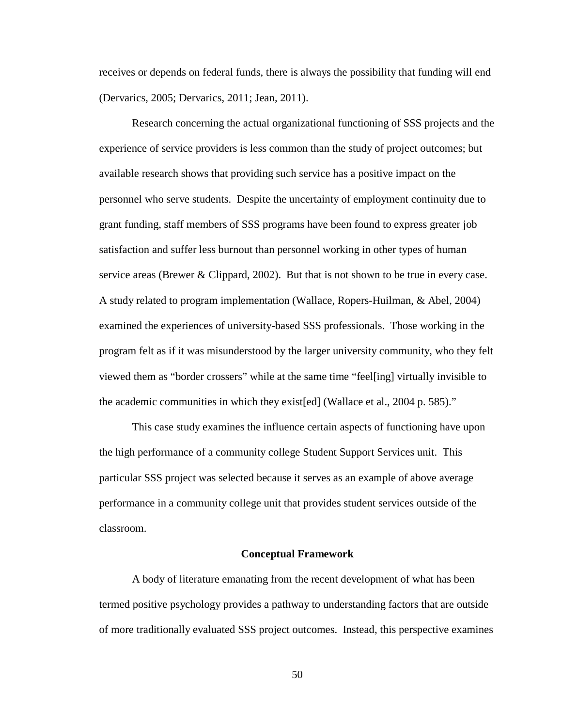receives or depends on federal funds, there is always the possibility that funding will end (Dervarics, 2005; Dervarics, 2011; Jean, 2011).

Research concerning the actual organizational functioning of SSS projects and the experience of service providers is less common than the study of project outcomes; but available research shows that providing such service has a positive impact on the personnel who serve students. Despite the uncertainty of employment continuity due to grant funding, staff members of SSS programs have been found to express greater job satisfaction and suffer less burnout than personnel working in other types of human service areas (Brewer  $& Clip, 2002$ ). But that is not shown to be true in every case. A study related to program implementation (Wallace, Ropers-Huilman, & Abel, 2004) examined the experiences of university-based SSS professionals. Those working in the program felt as if it was misunderstood by the larger university community, who they felt viewed them as "border crossers" while at the same time "feel[ing] virtually invisible to the academic communities in which they exist[ed] (Wallace et al., 2004 p. 585)."

This case study examines the influence certain aspects of functioning have upon the high performance of a community college Student Support Services unit. This particular SSS project was selected because it serves as an example of above average performance in a community college unit that provides student services outside of the classroom.

#### **Conceptual Framework**

A body of literature emanating from the recent development of what has been termed positive psychology provides a pathway to understanding factors that are outside of more traditionally evaluated SSS project outcomes. Instead, this perspective examines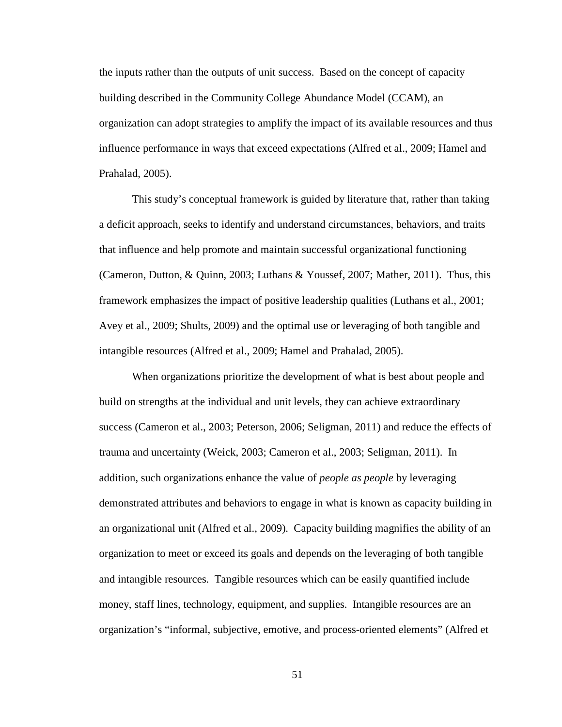the inputs rather than the outputs of unit success. Based on the concept of capacity building described in the Community College Abundance Model (CCAM), an organization can adopt strategies to amplify the impact of its available resources and thus influence performance in ways that exceed expectations (Alfred et al., 2009; Hamel and Prahalad, 2005).

This study's conceptual framework is guided by literature that, rather than taking a deficit approach, seeks to identify and understand circumstances, behaviors, and traits that influence and help promote and maintain successful organizational functioning (Cameron, Dutton, & Quinn, 2003; Luthans & Youssef, 2007; Mather, 2011). Thus, this framework emphasizes the impact of positive leadership qualities (Luthans et al., 2001; Avey et al., 2009; Shults, 2009) and the optimal use or leveraging of both tangible and intangible resources (Alfred et al., 2009; Hamel and Prahalad, 2005).

When organizations prioritize the development of what is best about people and build on strengths at the individual and unit levels, they can achieve extraordinary success (Cameron et al., 2003; Peterson, 2006; Seligman, 2011) and reduce the effects of trauma and uncertainty (Weick, 2003; Cameron et al., 2003; Seligman, 2011). In addition, such organizations enhance the value of *people as people* by leveraging demonstrated attributes and behaviors to engage in what is known as capacity building in an organizational unit (Alfred et al., 2009). Capacity building magnifies the ability of an organization to meet or exceed its goals and depends on the leveraging of both tangible and intangible resources. Tangible resources which can be easily quantified include money, staff lines, technology, equipment, and supplies. Intangible resources are an organization's "informal, subjective, emotive, and process-oriented elements" (Alfred et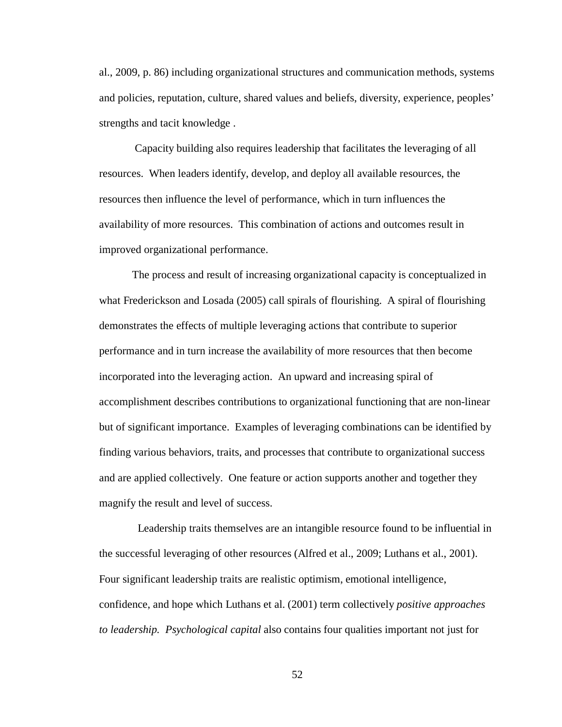al., 2009, p. 86) including organizational structures and communication methods, systems and policies, reputation, culture, shared values and beliefs, diversity, experience, peoples' strengths and tacit knowledge .

Capacity building also requires leadership that facilitates the leveraging of all resources. When leaders identify, develop, and deploy all available resources, the resources then influence the level of performance, which in turn influences the availability of more resources. This combination of actions and outcomes result in improved organizational performance.

The process and result of increasing organizational capacity is conceptualized in what Frederickson and Losada (2005) call spirals of flourishing. A spiral of flourishing demonstrates the effects of multiple leveraging actions that contribute to superior performance and in turn increase the availability of more resources that then become incorporated into the leveraging action. An upward and increasing spiral of accomplishment describes contributions to organizational functioning that are non-linear but of significant importance. Examples of leveraging combinations can be identified by finding various behaviors, traits, and processes that contribute to organizational success and are applied collectively. One feature or action supports another and together they magnify the result and level of success.

 Leadership traits themselves are an intangible resource found to be influential in the successful leveraging of other resources (Alfred et al., 2009; Luthans et al., 2001). Four significant leadership traits are realistic optimism, emotional intelligence, confidence, and hope which Luthans et al. (2001) term collectively *positive approaches to leadership. Psychological capital* also contains four qualities important not just for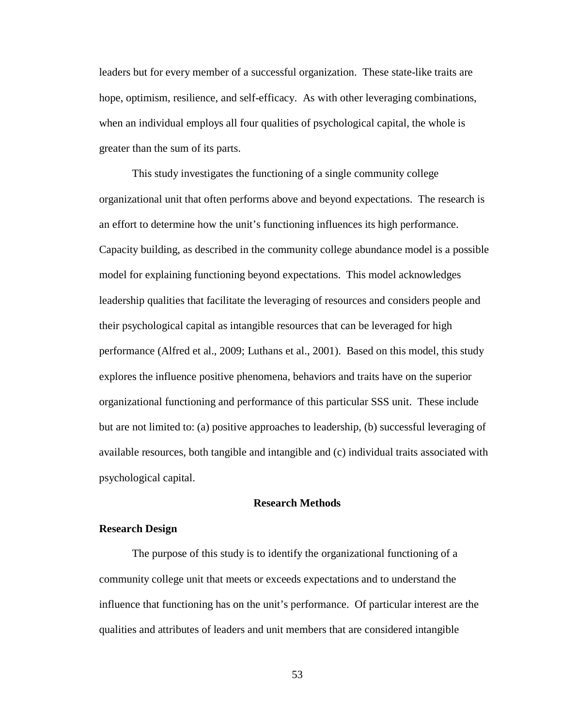leaders but for every member of a successful organization. These state-like traits are hope, optimism, resilience, and self-efficacy. As with other leveraging combinations, when an individual employs all four qualities of psychological capital, the whole is greater than the sum of its parts.

This study investigates the functioning of a single community college organizational unit that often performs above and beyond expectations. The research is an effort to determine how the unit's functioning influences its high performance. Capacity building, as described in the community college abundance model is a possible model for explaining functioning beyond expectations. This model acknowledges leadership qualities that facilitate the leveraging of resources and considers people and their psychological capital as intangible resources that can be leveraged for high performance (Alfred et al., 2009; Luthans et al., 2001). Based on this model, this study explores the influence positive phenomena, behaviors and traits have on the superior organizational functioning and performance of this particular SSS unit. These include but are not limited to: (a) positive approaches to leadership, (b) successful leveraging of available resources, both tangible and intangible and (c) individual traits associated with psychological capital.

## **Research Methods**

## **Research Design**

The purpose of this study is to identify the organizational functioning of a community college unit that meets or exceeds expectations and to understand the influence that functioning has on the unit's performance. Of particular interest are the qualities and attributes of leaders and unit members that are considered intangible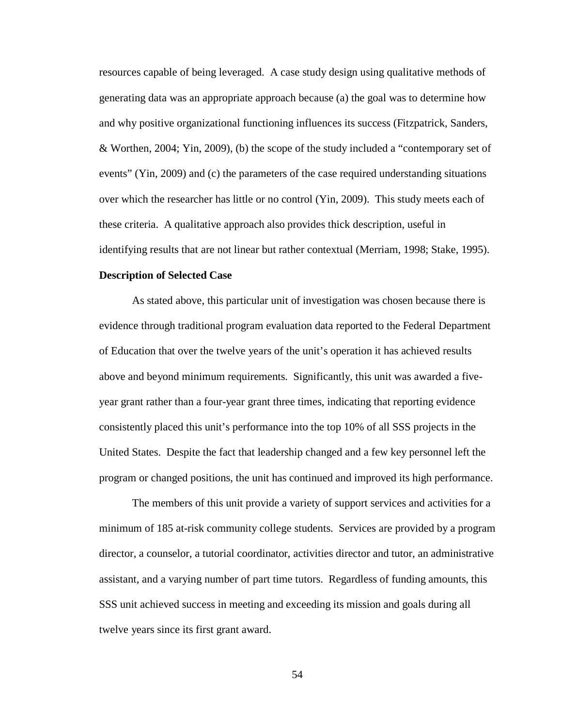resources capable of being leveraged. A case study design using qualitative methods of generating data was an appropriate approach because (a) the goal was to determine how and why positive organizational functioning influences its success (Fitzpatrick, Sanders, & Worthen, 2004; Yin, 2009), (b) the scope of the study included a "contemporary set of events" (Yin, 2009) and (c) the parameters of the case required understanding situations over which the researcher has little or no control (Yin, 2009). This study meets each of these criteria. A qualitative approach also provides thick description, useful in identifying results that are not linear but rather contextual (Merriam, 1998; Stake, 1995).

# **Description of Selected Case**

As stated above, this particular unit of investigation was chosen because there is evidence through traditional program evaluation data reported to the Federal Department of Education that over the twelve years of the unit's operation it has achieved results above and beyond minimum requirements. Significantly, this unit was awarded a fiveyear grant rather than a four-year grant three times, indicating that reporting evidence consistently placed this unit's performance into the top 10% of all SSS projects in the United States. Despite the fact that leadership changed and a few key personnel left the program or changed positions, the unit has continued and improved its high performance.

The members of this unit provide a variety of support services and activities for a minimum of 185 at-risk community college students. Services are provided by a program director, a counselor, a tutorial coordinator, activities director and tutor, an administrative assistant, and a varying number of part time tutors. Regardless of funding amounts, this SSS unit achieved success in meeting and exceeding its mission and goals during all twelve years since its first grant award.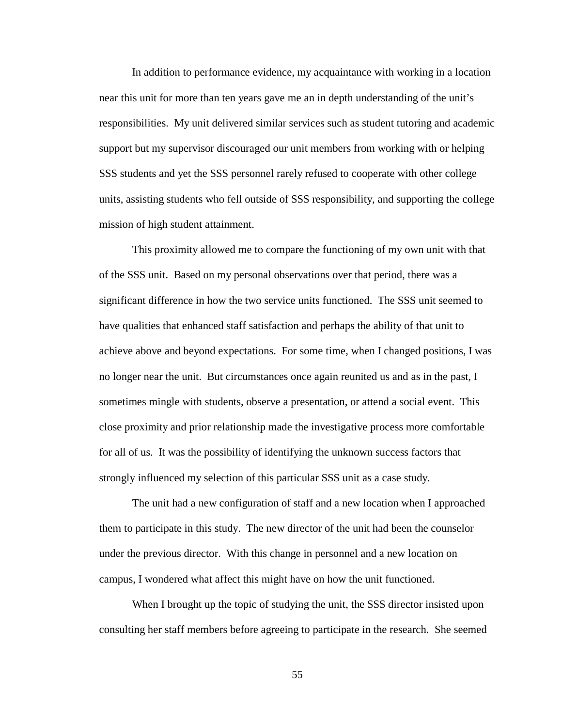In addition to performance evidence, my acquaintance with working in a location near this unit for more than ten years gave me an in depth understanding of the unit's responsibilities. My unit delivered similar services such as student tutoring and academic support but my supervisor discouraged our unit members from working with or helping SSS students and yet the SSS personnel rarely refused to cooperate with other college units, assisting students who fell outside of SSS responsibility, and supporting the college mission of high student attainment.

This proximity allowed me to compare the functioning of my own unit with that of the SSS unit. Based on my personal observations over that period, there was a significant difference in how the two service units functioned. The SSS unit seemed to have qualities that enhanced staff satisfaction and perhaps the ability of that unit to achieve above and beyond expectations. For some time, when I changed positions, I was no longer near the unit. But circumstances once again reunited us and as in the past, I sometimes mingle with students, observe a presentation, or attend a social event. This close proximity and prior relationship made the investigative process more comfortable for all of us. It was the possibility of identifying the unknown success factors that strongly influenced my selection of this particular SSS unit as a case study.

The unit had a new configuration of staff and a new location when I approached them to participate in this study. The new director of the unit had been the counselor under the previous director. With this change in personnel and a new location on campus, I wondered what affect this might have on how the unit functioned.

When I brought up the topic of studying the unit, the SSS director insisted upon consulting her staff members before agreeing to participate in the research. She seemed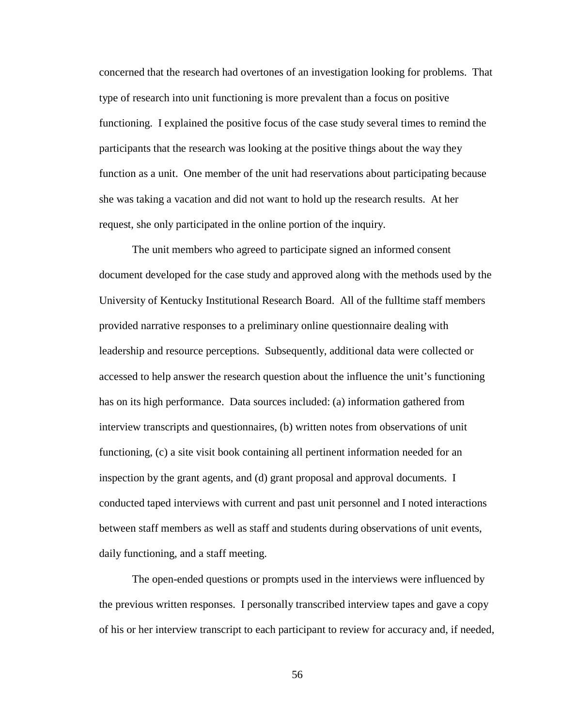concerned that the research had overtones of an investigation looking for problems. That type of research into unit functioning is more prevalent than a focus on positive functioning. I explained the positive focus of the case study several times to remind the participants that the research was looking at the positive things about the way they function as a unit. One member of the unit had reservations about participating because she was taking a vacation and did not want to hold up the research results. At her request, she only participated in the online portion of the inquiry.

The unit members who agreed to participate signed an informed consent document developed for the case study and approved along with the methods used by the University of Kentucky Institutional Research Board. All of the fulltime staff members provided narrative responses to a preliminary online questionnaire dealing with leadership and resource perceptions. Subsequently, additional data were collected or accessed to help answer the research question about the influence the unit's functioning has on its high performance. Data sources included: (a) information gathered from interview transcripts and questionnaires, (b) written notes from observations of unit functioning, (c) a site visit book containing all pertinent information needed for an inspection by the grant agents, and (d) grant proposal and approval documents. I conducted taped interviews with current and past unit personnel and I noted interactions between staff members as well as staff and students during observations of unit events, daily functioning, and a staff meeting.

The open-ended questions or prompts used in the interviews were influenced by the previous written responses. I personally transcribed interview tapes and gave a copy of his or her interview transcript to each participant to review for accuracy and, if needed,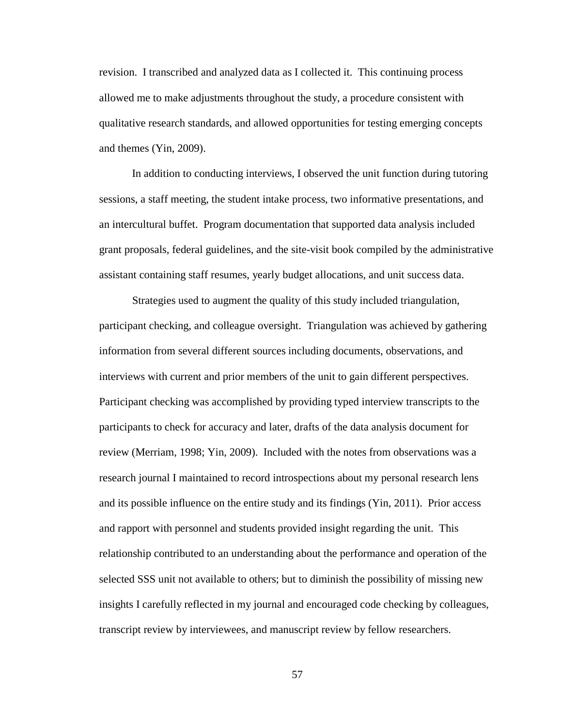revision. I transcribed and analyzed data as I collected it. This continuing process allowed me to make adjustments throughout the study, a procedure consistent with qualitative research standards, and allowed opportunities for testing emerging concepts and themes (Yin, 2009).

In addition to conducting interviews, I observed the unit function during tutoring sessions, a staff meeting, the student intake process, two informative presentations, and an intercultural buffet. Program documentation that supported data analysis included grant proposals, federal guidelines, and the site-visit book compiled by the administrative assistant containing staff resumes, yearly budget allocations, and unit success data.

Strategies used to augment the quality of this study included triangulation, participant checking, and colleague oversight. Triangulation was achieved by gathering information from several different sources including documents, observations, and interviews with current and prior members of the unit to gain different perspectives. Participant checking was accomplished by providing typed interview transcripts to the participants to check for accuracy and later, drafts of the data analysis document for review (Merriam, 1998; Yin, 2009). Included with the notes from observations was a research journal I maintained to record introspections about my personal research lens and its possible influence on the entire study and its findings (Yin, 2011). Prior access and rapport with personnel and students provided insight regarding the unit. This relationship contributed to an understanding about the performance and operation of the selected SSS unit not available to others; but to diminish the possibility of missing new insights I carefully reflected in my journal and encouraged code checking by colleagues, transcript review by interviewees, and manuscript review by fellow researchers.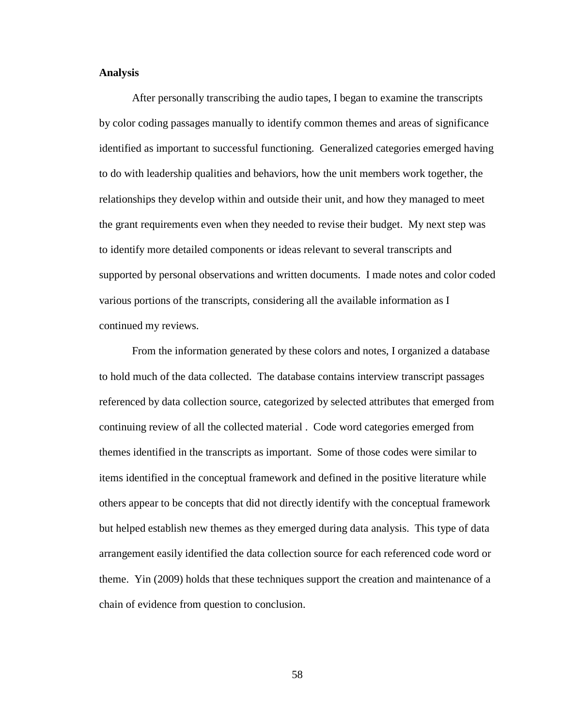# **Analysis**

After personally transcribing the audio tapes, I began to examine the transcripts by color coding passages manually to identify common themes and areas of significance identified as important to successful functioning. Generalized categories emerged having to do with leadership qualities and behaviors, how the unit members work together, the relationships they develop within and outside their unit, and how they managed to meet the grant requirements even when they needed to revise their budget. My next step was to identify more detailed components or ideas relevant to several transcripts and supported by personal observations and written documents. I made notes and color coded various portions of the transcripts, considering all the available information as I continued my reviews.

From the information generated by these colors and notes, I organized a database to hold much of the data collected. The database contains interview transcript passages referenced by data collection source, categorized by selected attributes that emerged from continuing review of all the collected material . Code word categories emerged from themes identified in the transcripts as important. Some of those codes were similar to items identified in the conceptual framework and defined in the positive literature while others appear to be concepts that did not directly identify with the conceptual framework but helped establish new themes as they emerged during data analysis. This type of data arrangement easily identified the data collection source for each referenced code word or theme. Yin (2009) holds that these techniques support the creation and maintenance of a chain of evidence from question to conclusion.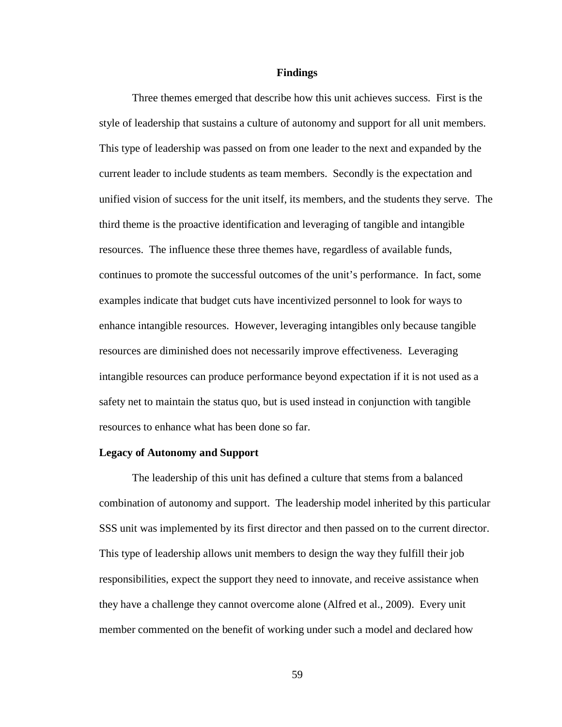#### **Findings**

Three themes emerged that describe how this unit achieves success. First is the style of leadership that sustains a culture of autonomy and support for all unit members. This type of leadership was passed on from one leader to the next and expanded by the current leader to include students as team members. Secondly is the expectation and unified vision of success for the unit itself, its members, and the students they serve. The third theme is the proactive identification and leveraging of tangible and intangible resources. The influence these three themes have, regardless of available funds, continues to promote the successful outcomes of the unit's performance. In fact, some examples indicate that budget cuts have incentivized personnel to look for ways to enhance intangible resources. However, leveraging intangibles only because tangible resources are diminished does not necessarily improve effectiveness. Leveraging intangible resources can produce performance beyond expectation if it is not used as a safety net to maintain the status quo, but is used instead in conjunction with tangible resources to enhance what has been done so far.

#### **Legacy of Autonomy and Support**

The leadership of this unit has defined a culture that stems from a balanced combination of autonomy and support. The leadership model inherited by this particular SSS unit was implemented by its first director and then passed on to the current director. This type of leadership allows unit members to design the way they fulfill their job responsibilities, expect the support they need to innovate, and receive assistance when they have a challenge they cannot overcome alone (Alfred et al., 2009). Every unit member commented on the benefit of working under such a model and declared how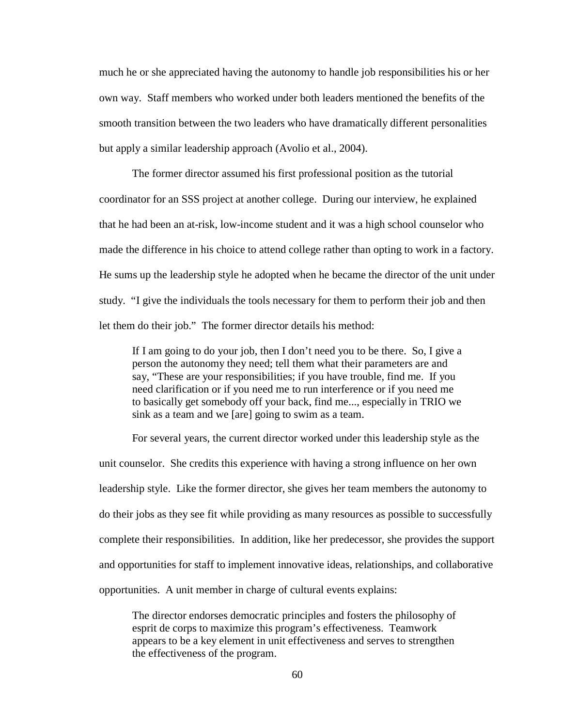much he or she appreciated having the autonomy to handle job responsibilities his or her own way. Staff members who worked under both leaders mentioned the benefits of the smooth transition between the two leaders who have dramatically different personalities but apply a similar leadership approach (Avolio et al., 2004).

The former director assumed his first professional position as the tutorial coordinator for an SSS project at another college. During our interview, he explained that he had been an at-risk, low-income student and it was a high school counselor who made the difference in his choice to attend college rather than opting to work in a factory. He sums up the leadership style he adopted when he became the director of the unit under study. "I give the individuals the tools necessary for them to perform their job and then let them do their job." The former director details his method:

If I am going to do your job, then I don't need you to be there. So, I give a person the autonomy they need; tell them what their parameters are and say, "These are your responsibilities; if you have trouble, find me. If you need clarification or if you need me to run interference or if you need me to basically get somebody off your back, find me..., especially in TRIO we sink as a team and we [are] going to swim as a team.

For several years, the current director worked under this leadership style as the unit counselor. She credits this experience with having a strong influence on her own leadership style. Like the former director, she gives her team members the autonomy to do their jobs as they see fit while providing as many resources as possible to successfully complete their responsibilities. In addition, like her predecessor, she provides the support and opportunities for staff to implement innovative ideas, relationships, and collaborative opportunities. A unit member in charge of cultural events explains:

The director endorses democratic principles and fosters the philosophy of esprit de corps to maximize this program's effectiveness. Teamwork appears to be a key element in unit effectiveness and serves to strengthen the effectiveness of the program.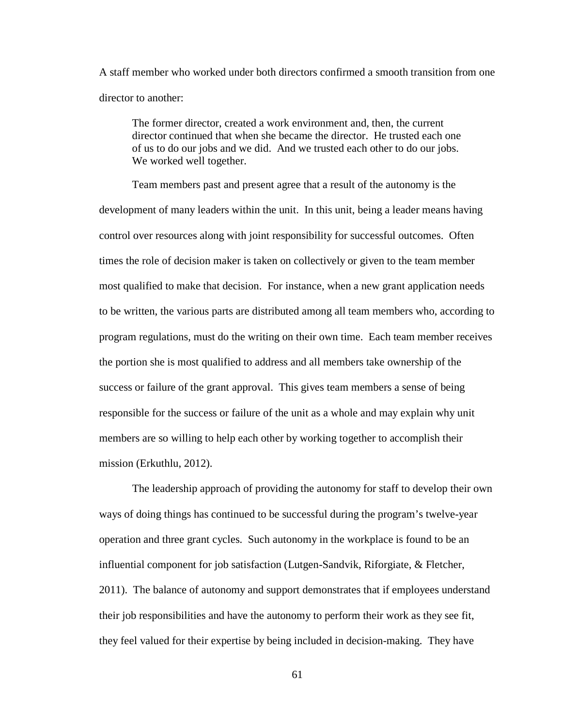A staff member who worked under both directors confirmed a smooth transition from one director to another:

The former director, created a work environment and, then, the current director continued that when she became the director. He trusted each one of us to do our jobs and we did. And we trusted each other to do our jobs. We worked well together.

Team members past and present agree that a result of the autonomy is the development of many leaders within the unit. In this unit, being a leader means having control over resources along with joint responsibility for successful outcomes. Often times the role of decision maker is taken on collectively or given to the team member most qualified to make that decision. For instance, when a new grant application needs to be written, the various parts are distributed among all team members who, according to program regulations, must do the writing on their own time. Each team member receives the portion she is most qualified to address and all members take ownership of the success or failure of the grant approval. This gives team members a sense of being responsible for the success or failure of the unit as a whole and may explain why unit members are so willing to help each other by working together to accomplish their mission (Erkuthlu, 2012).

The leadership approach of providing the autonomy for staff to develop their own ways of doing things has continued to be successful during the program's twelve-year operation and three grant cycles. Such autonomy in the workplace is found to be an influential component for job satisfaction (Lutgen-Sandvik, Riforgiate, & Fletcher, 2011). The balance of autonomy and support demonstrates that if employees understand their job responsibilities and have the autonomy to perform their work as they see fit, they feel valued for their expertise by being included in decision-making. They have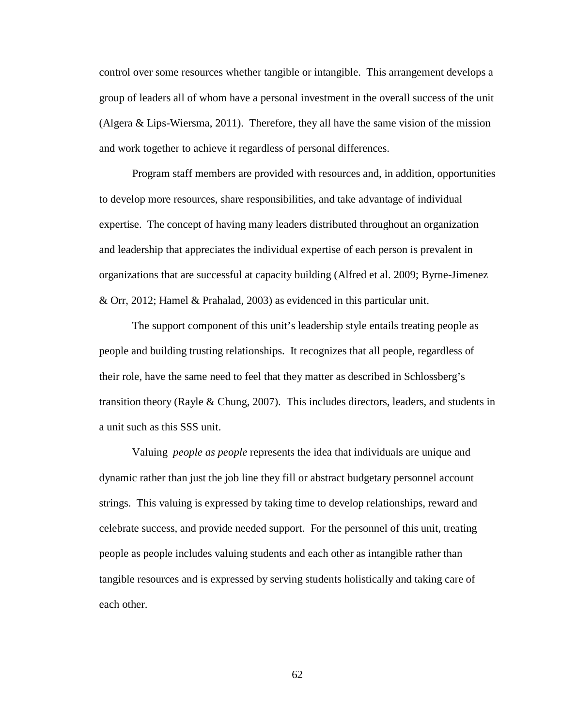control over some resources whether tangible or intangible. This arrangement develops a group of leaders all of whom have a personal investment in the overall success of the unit (Algera & Lips-Wiersma, 2011). Therefore, they all have the same vision of the mission and work together to achieve it regardless of personal differences.

Program staff members are provided with resources and, in addition, opportunities to develop more resources, share responsibilities, and take advantage of individual expertise. The concept of having many leaders distributed throughout an organization and leadership that appreciates the individual expertise of each person is prevalent in organizations that are successful at capacity building (Alfred et al. 2009; Byrne-Jimenez & Orr, 2012; Hamel & Prahalad, 2003) as evidenced in this particular unit.

The support component of this unit's leadership style entails treating people as people and building trusting relationships. It recognizes that all people, regardless of their role, have the same need to feel that they matter as described in Schlossberg's transition theory (Rayle & Chung, 2007). This includes directors, leaders, and students in a unit such as this SSS unit.

Valuing *people as people* represents the idea that individuals are unique and dynamic rather than just the job line they fill or abstract budgetary personnel account strings. This valuing is expressed by taking time to develop relationships, reward and celebrate success, and provide needed support. For the personnel of this unit, treating people as people includes valuing students and each other as intangible rather than tangible resources and is expressed by serving students holistically and taking care of each other.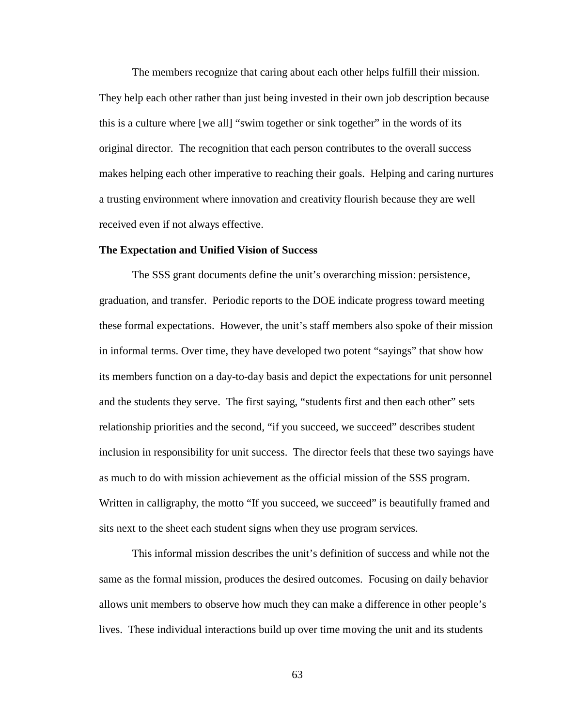The members recognize that caring about each other helps fulfill their mission. They help each other rather than just being invested in their own job description because this is a culture where [we all] "swim together or sink together" in the words of its original director. The recognition that each person contributes to the overall success makes helping each other imperative to reaching their goals. Helping and caring nurtures a trusting environment where innovation and creativity flourish because they are well received even if not always effective.

## **The Expectation and Unified Vision of Success**

The SSS grant documents define the unit's overarching mission: persistence, graduation, and transfer. Periodic reports to the DOE indicate progress toward meeting these formal expectations. However, the unit's staff members also spoke of their mission in informal terms. Over time, they have developed two potent "sayings" that show how its members function on a day-to-day basis and depict the expectations for unit personnel and the students they serve. The first saying, "students first and then each other" sets relationship priorities and the second, "if you succeed, we succeed" describes student inclusion in responsibility for unit success. The director feels that these two sayings have as much to do with mission achievement as the official mission of the SSS program. Written in calligraphy, the motto "If you succeed, we succeed" is beautifully framed and sits next to the sheet each student signs when they use program services.

This informal mission describes the unit's definition of success and while not the same as the formal mission, produces the desired outcomes. Focusing on daily behavior allows unit members to observe how much they can make a difference in other people's lives. These individual interactions build up over time moving the unit and its students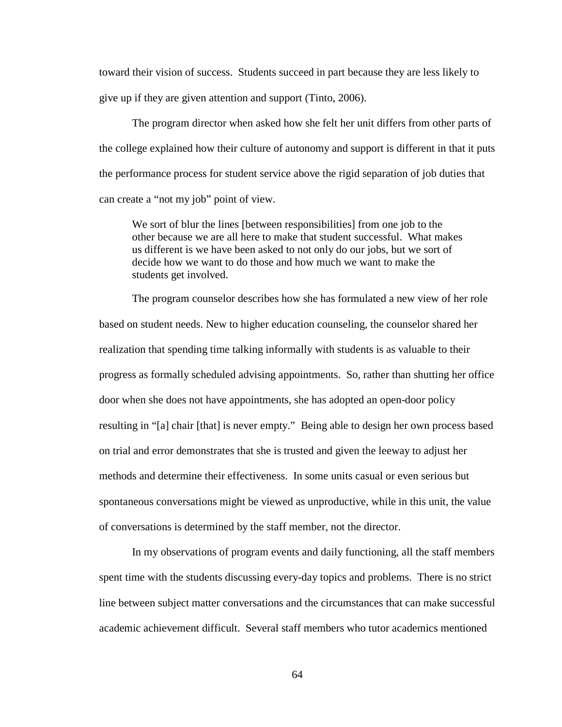toward their vision of success. Students succeed in part because they are less likely to give up if they are given attention and support (Tinto, 2006).

The program director when asked how she felt her unit differs from other parts of the college explained how their culture of autonomy and support is different in that it puts the performance process for student service above the rigid separation of job duties that can create a "not my job" point of view.

We sort of blur the lines [between responsibilities] from one job to the other because we are all here to make that student successful. What makes us different is we have been asked to not only do our jobs, but we sort of decide how we want to do those and how much we want to make the students get involved.

The program counselor describes how she has formulated a new view of her role based on student needs. New to higher education counseling, the counselor shared her realization that spending time talking informally with students is as valuable to their progress as formally scheduled advising appointments. So, rather than shutting her office door when she does not have appointments, she has adopted an open-door policy resulting in "[a] chair [that] is never empty." Being able to design her own process based on trial and error demonstrates that she is trusted and given the leeway to adjust her methods and determine their effectiveness. In some units casual or even serious but spontaneous conversations might be viewed as unproductive, while in this unit, the value of conversations is determined by the staff member, not the director.

In my observations of program events and daily functioning, all the staff members spent time with the students discussing every-day topics and problems. There is no strict line between subject matter conversations and the circumstances that can make successful academic achievement difficult. Several staff members who tutor academics mentioned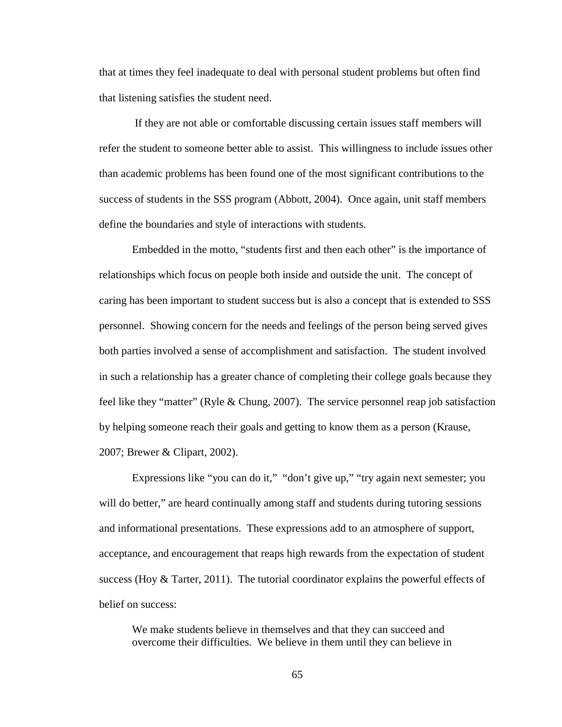that at times they feel inadequate to deal with personal student problems but often find that listening satisfies the student need.

If they are not able or comfortable discussing certain issues staff members will refer the student to someone better able to assist. This willingness to include issues other than academic problems has been found one of the most significant contributions to the success of students in the SSS program (Abbott, 2004). Once again, unit staff members define the boundaries and style of interactions with students.

Embedded in the motto, "students first and then each other" is the importance of relationships which focus on people both inside and outside the unit. The concept of caring has been important to student success but is also a concept that is extended to SSS personnel. Showing concern for the needs and feelings of the person being served gives both parties involved a sense of accomplishment and satisfaction. The student involved in such a relationship has a greater chance of completing their college goals because they feel like they "matter" (Ryle & Chung, 2007). The service personnel reap job satisfaction by helping someone reach their goals and getting to know them as a person (Krause, 2007; Brewer & Clipart, 2002).

Expressions like "you can do it," "don't give up," "try again next semester; you will do better," are heard continually among staff and students during tutoring sessions and informational presentations. These expressions add to an atmosphere of support, acceptance, and encouragement that reaps high rewards from the expectation of student success (Hoy  $\&$  Tarter, 2011). The tutorial coordinator explains the powerful effects of belief on success:

We make students believe in themselves and that they can succeed and overcome their difficulties. We believe in them until they can believe in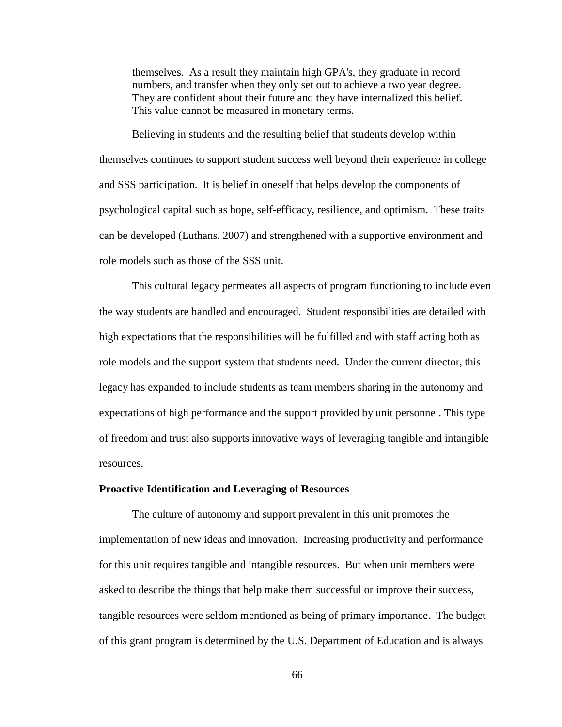themselves. As a result they maintain high GPA's, they graduate in record numbers, and transfer when they only set out to achieve a two year degree. They are confident about their future and they have internalized this belief. This value cannot be measured in monetary terms.

Believing in students and the resulting belief that students develop within themselves continues to support student success well beyond their experience in college and SSS participation. It is belief in oneself that helps develop the components of psychological capital such as hope, self-efficacy, resilience, and optimism. These traits can be developed (Luthans, 2007) and strengthened with a supportive environment and role models such as those of the SSS unit.

This cultural legacy permeates all aspects of program functioning to include even the way students are handled and encouraged. Student responsibilities are detailed with high expectations that the responsibilities will be fulfilled and with staff acting both as role models and the support system that students need. Under the current director, this legacy has expanded to include students as team members sharing in the autonomy and expectations of high performance and the support provided by unit personnel. This type of freedom and trust also supports innovative ways of leveraging tangible and intangible resources.

#### **Proactive Identification and Leveraging of Resources**

The culture of autonomy and support prevalent in this unit promotes the implementation of new ideas and innovation. Increasing productivity and performance for this unit requires tangible and intangible resources. But when unit members were asked to describe the things that help make them successful or improve their success, tangible resources were seldom mentioned as being of primary importance. The budget of this grant program is determined by the U.S. Department of Education and is always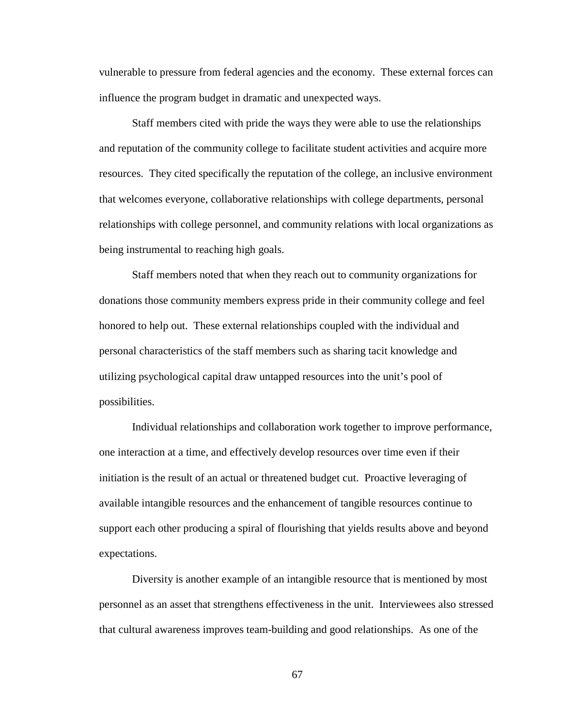vulnerable to pressure from federal agencies and the economy. These external forces can influence the program budget in dramatic and unexpected ways.

Staff members cited with pride the ways they were able to use the relationships and reputation of the community college to facilitate student activities and acquire more resources. They cited specifically the reputation of the college, an inclusive environment that welcomes everyone, collaborative relationships with college departments, personal relationships with college personnel, and community relations with local organizations as being instrumental to reaching high goals.

Staff members noted that when they reach out to community organizations for donations those community members express pride in their community college and feel honored to help out. These external relationships coupled with the individual and personal characteristics of the staff members such as sharing tacit knowledge and utilizing psychological capital draw untapped resources into the unit's pool of possibilities.

Individual relationships and collaboration work together to improve performance, one interaction at a time, and effectively develop resources over time even if their initiation is the result of an actual or threatened budget cut. Proactive leveraging of available intangible resources and the enhancement of tangible resources continue to support each other producing a spiral of flourishing that yields results above and beyond expectations.

Diversity is another example of an intangible resource that is mentioned by most personnel as an asset that strengthens effectiveness in the unit. Interviewees also stressed that cultural awareness improves team-building and good relationships. As one of the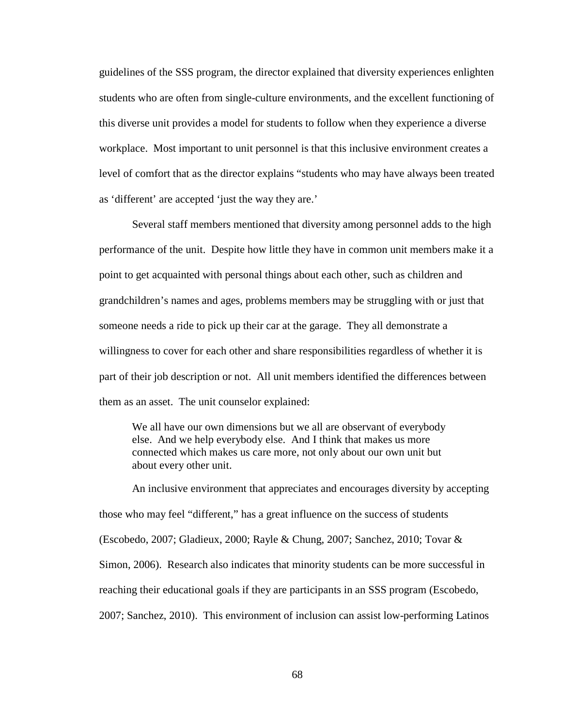guidelines of the SSS program, the director explained that diversity experiences enlighten students who are often from single-culture environments, and the excellent functioning of this diverse unit provides a model for students to follow when they experience a diverse workplace. Most important to unit personnel is that this inclusive environment creates a level of comfort that as the director explains "students who may have always been treated as 'different' are accepted 'just the way they are.'

Several staff members mentioned that diversity among personnel adds to the high performance of the unit. Despite how little they have in common unit members make it a point to get acquainted with personal things about each other, such as children and grandchildren's names and ages, problems members may be struggling with or just that someone needs a ride to pick up their car at the garage. They all demonstrate a willingness to cover for each other and share responsibilities regardless of whether it is part of their job description or not. All unit members identified the differences between them as an asset. The unit counselor explained:

We all have our own dimensions but we all are observant of everybody else. And we help everybody else. And I think that makes us more connected which makes us care more, not only about our own unit but about every other unit.

An inclusive environment that appreciates and encourages diversity by accepting those who may feel "different," has a great influence on the success of students (Escobedo, 2007; Gladieux, 2000; Rayle & Chung, 2007; Sanchez, 2010; Tovar & Simon, 2006). Research also indicates that minority students can be more successful in reaching their educational goals if they are participants in an SSS program (Escobedo, 2007; Sanchez, 2010). This environment of inclusion can assist low-performing Latinos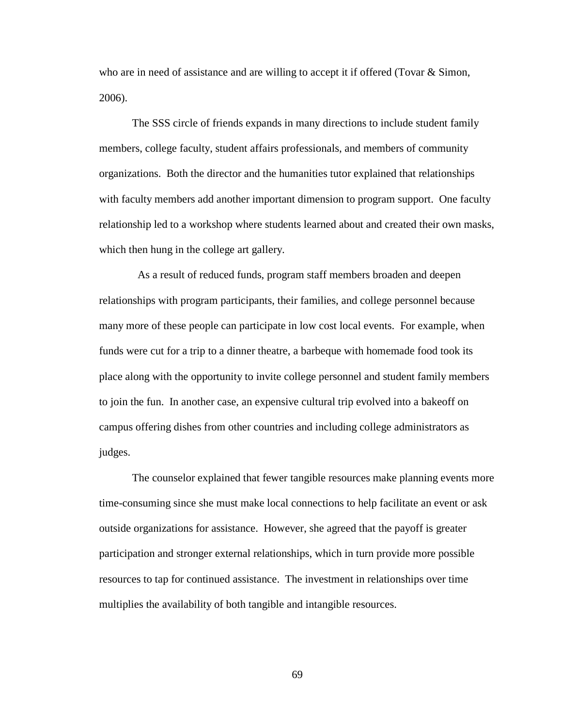who are in need of assistance and are willing to accept it if offered (Tovar  $\&$  Simon, 2006).

The SSS circle of friends expands in many directions to include student family members, college faculty, student affairs professionals, and members of community organizations. Both the director and the humanities tutor explained that relationships with faculty members add another important dimension to program support. One faculty relationship led to a workshop where students learned about and created their own masks, which then hung in the college art gallery.

As a result of reduced funds, program staff members broaden and deepen relationships with program participants, their families, and college personnel because many more of these people can participate in low cost local events. For example, when funds were cut for a trip to a dinner theatre, a barbeque with homemade food took its place along with the opportunity to invite college personnel and student family members to join the fun. In another case, an expensive cultural trip evolved into a bakeoff on campus offering dishes from other countries and including college administrators as judges.

The counselor explained that fewer tangible resources make planning events more time-consuming since she must make local connections to help facilitate an event or ask outside organizations for assistance. However, she agreed that the payoff is greater participation and stronger external relationships, which in turn provide more possible resources to tap for continued assistance. The investment in relationships over time multiplies the availability of both tangible and intangible resources.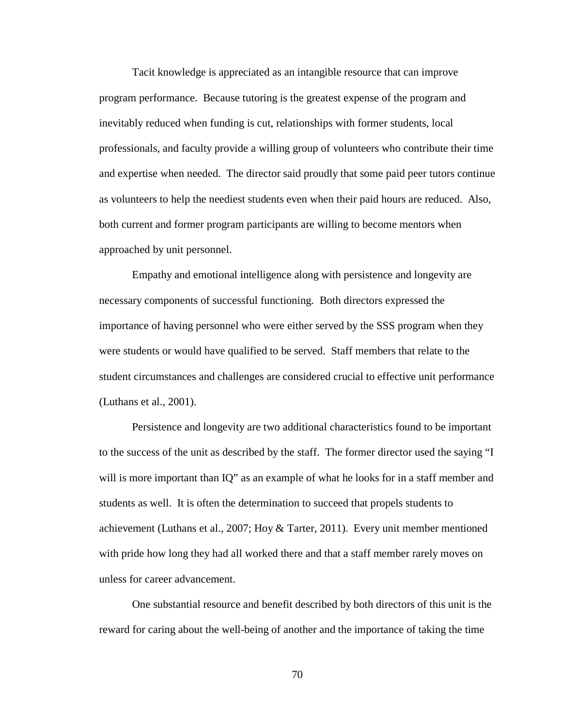Tacit knowledge is appreciated as an intangible resource that can improve program performance. Because tutoring is the greatest expense of the program and inevitably reduced when funding is cut, relationships with former students, local professionals, and faculty provide a willing group of volunteers who contribute their time and expertise when needed. The director said proudly that some paid peer tutors continue as volunteers to help the neediest students even when their paid hours are reduced. Also, both current and former program participants are willing to become mentors when approached by unit personnel.

Empathy and emotional intelligence along with persistence and longevity are necessary components of successful functioning. Both directors expressed the importance of having personnel who were either served by the SSS program when they were students or would have qualified to be served. Staff members that relate to the student circumstances and challenges are considered crucial to effective unit performance (Luthans et al., 2001).

Persistence and longevity are two additional characteristics found to be important to the success of the unit as described by the staff. The former director used the saying "I will is more important than IQ" as an example of what he looks for in a staff member and students as well. It is often the determination to succeed that propels students to achievement (Luthans et al., 2007; Hoy & Tarter, 2011). Every unit member mentioned with pride how long they had all worked there and that a staff member rarely moves on unless for career advancement.

One substantial resource and benefit described by both directors of this unit is the reward for caring about the well-being of another and the importance of taking the time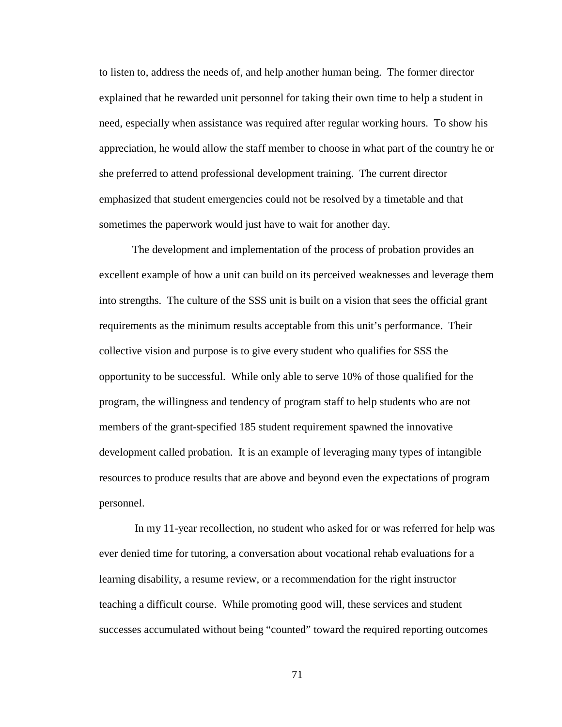to listen to, address the needs of, and help another human being. The former director explained that he rewarded unit personnel for taking their own time to help a student in need, especially when assistance was required after regular working hours. To show his appreciation, he would allow the staff member to choose in what part of the country he or she preferred to attend professional development training. The current director emphasized that student emergencies could not be resolved by a timetable and that sometimes the paperwork would just have to wait for another day.

The development and implementation of the process of probation provides an excellent example of how a unit can build on its perceived weaknesses and leverage them into strengths. The culture of the SSS unit is built on a vision that sees the official grant requirements as the minimum results acceptable from this unit's performance. Their collective vision and purpose is to give every student who qualifies for SSS the opportunity to be successful. While only able to serve 10% of those qualified for the program, the willingness and tendency of program staff to help students who are not members of the grant-specified 185 student requirement spawned the innovative development called probation. It is an example of leveraging many types of intangible resources to produce results that are above and beyond even the expectations of program personnel.

In my 11-year recollection, no student who asked for or was referred for help was ever denied time for tutoring, a conversation about vocational rehab evaluations for a learning disability, a resume review, or a recommendation for the right instructor teaching a difficult course. While promoting good will, these services and student successes accumulated without being "counted" toward the required reporting outcomes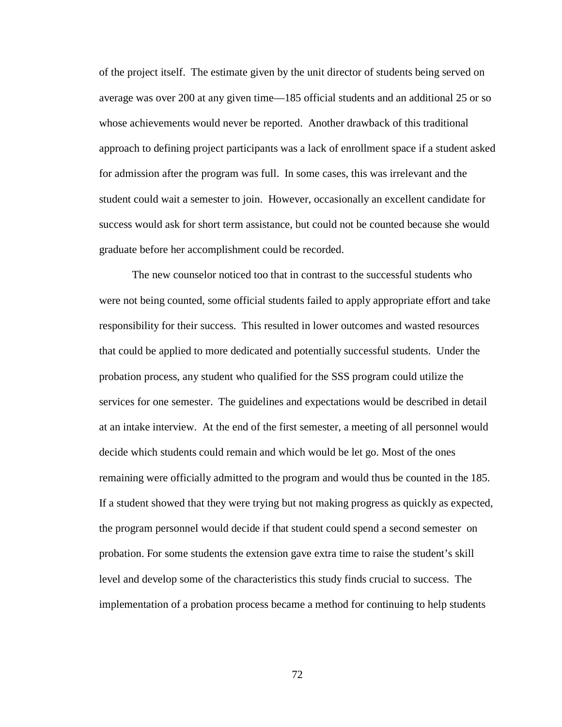of the project itself. The estimate given by the unit director of students being served on average was over 200 at any given time—185 official students and an additional 25 or so whose achievements would never be reported. Another drawback of this traditional approach to defining project participants was a lack of enrollment space if a student asked for admission after the program was full. In some cases, this was irrelevant and the student could wait a semester to join. However, occasionally an excellent candidate for success would ask for short term assistance, but could not be counted because she would graduate before her accomplishment could be recorded.

The new counselor noticed too that in contrast to the successful students who were not being counted, some official students failed to apply appropriate effort and take responsibility for their success. This resulted in lower outcomes and wasted resources that could be applied to more dedicated and potentially successful students. Under the probation process, any student who qualified for the SSS program could utilize the services for one semester. The guidelines and expectations would be described in detail at an intake interview. At the end of the first semester, a meeting of all personnel would decide which students could remain and which would be let go. Most of the ones remaining were officially admitted to the program and would thus be counted in the 185. If a student showed that they were trying but not making progress as quickly as expected, the program personnel would decide if that student could spend a second semester on probation. For some students the extension gave extra time to raise the student's skill level and develop some of the characteristics this study finds crucial to success. The implementation of a probation process became a method for continuing to help students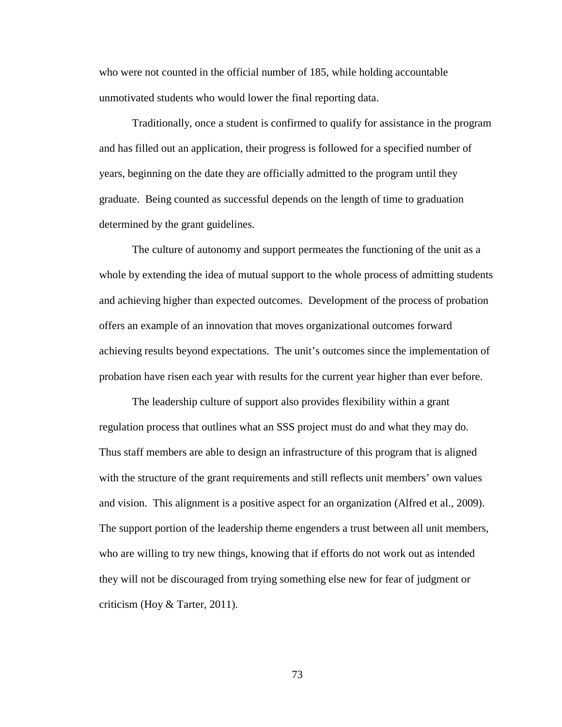who were not counted in the official number of 185, while holding accountable unmotivated students who would lower the final reporting data.

Traditionally, once a student is confirmed to qualify for assistance in the program and has filled out an application, their progress is followed for a specified number of years, beginning on the date they are officially admitted to the program until they graduate. Being counted as successful depends on the length of time to graduation determined by the grant guidelines.

The culture of autonomy and support permeates the functioning of the unit as a whole by extending the idea of mutual support to the whole process of admitting students and achieving higher than expected outcomes. Development of the process of probation offers an example of an innovation that moves organizational outcomes forward achieving results beyond expectations. The unit's outcomes since the implementation of probation have risen each year with results for the current year higher than ever before.

The leadership culture of support also provides flexibility within a grant regulation process that outlines what an SSS project must do and what they may do. Thus staff members are able to design an infrastructure of this program that is aligned with the structure of the grant requirements and still reflects unit members' own values and vision. This alignment is a positive aspect for an organization (Alfred et al., 2009). The support portion of the leadership theme engenders a trust between all unit members, who are willing to try new things, knowing that if efforts do not work out as intended they will not be discouraged from trying something else new for fear of judgment or criticism (Hoy & Tarter, 2011).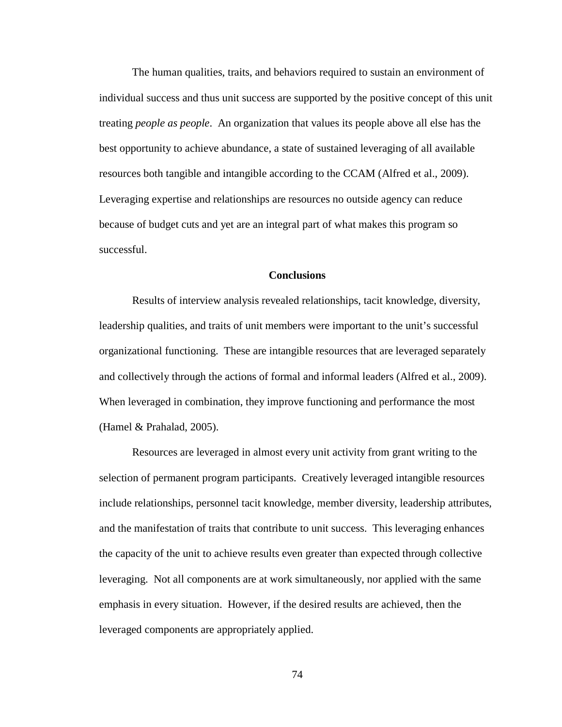The human qualities, traits, and behaviors required to sustain an environment of individual success and thus unit success are supported by the positive concept of this unit treating *people as people*. An organization that values its people above all else has the best opportunity to achieve abundance, a state of sustained leveraging of all available resources both tangible and intangible according to the CCAM (Alfred et al., 2009). Leveraging expertise and relationships are resources no outside agency can reduce because of budget cuts and yet are an integral part of what makes this program so successful.

# **Conclusions**

Results of interview analysis revealed relationships, tacit knowledge, diversity, leadership qualities, and traits of unit members were important to the unit's successful organizational functioning. These are intangible resources that are leveraged separately and collectively through the actions of formal and informal leaders (Alfred et al., 2009). When leveraged in combination, they improve functioning and performance the most (Hamel & Prahalad, 2005).

Resources are leveraged in almost every unit activity from grant writing to the selection of permanent program participants. Creatively leveraged intangible resources include relationships, personnel tacit knowledge, member diversity, leadership attributes, and the manifestation of traits that contribute to unit success. This leveraging enhances the capacity of the unit to achieve results even greater than expected through collective leveraging. Not all components are at work simultaneously, nor applied with the same emphasis in every situation. However, if the desired results are achieved, then the leveraged components are appropriately applied.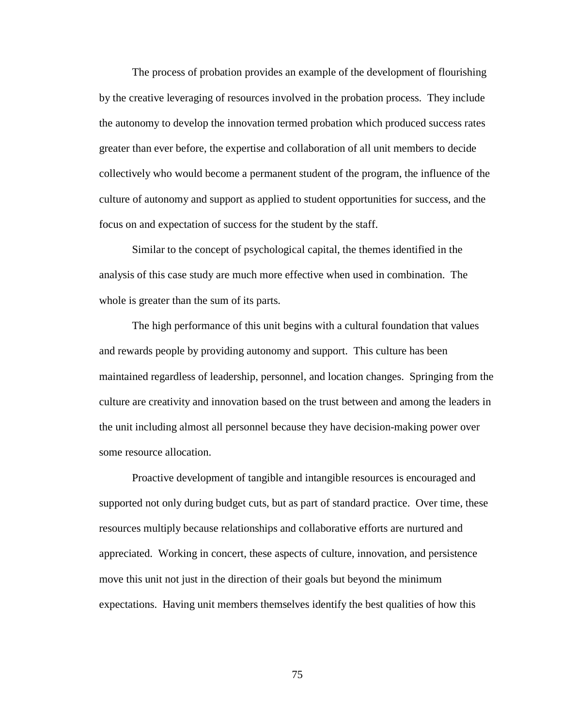The process of probation provides an example of the development of flourishing by the creative leveraging of resources involved in the probation process. They include the autonomy to develop the innovation termed probation which produced success rates greater than ever before, the expertise and collaboration of all unit members to decide collectively who would become a permanent student of the program, the influence of the culture of autonomy and support as applied to student opportunities for success, and the focus on and expectation of success for the student by the staff.

Similar to the concept of psychological capital, the themes identified in the analysis of this case study are much more effective when used in combination. The whole is greater than the sum of its parts.

The high performance of this unit begins with a cultural foundation that values and rewards people by providing autonomy and support. This culture has been maintained regardless of leadership, personnel, and location changes. Springing from the culture are creativity and innovation based on the trust between and among the leaders in the unit including almost all personnel because they have decision-making power over some resource allocation.

Proactive development of tangible and intangible resources is encouraged and supported not only during budget cuts, but as part of standard practice. Over time, these resources multiply because relationships and collaborative efforts are nurtured and appreciated. Working in concert, these aspects of culture, innovation, and persistence move this unit not just in the direction of their goals but beyond the minimum expectations. Having unit members themselves identify the best qualities of how this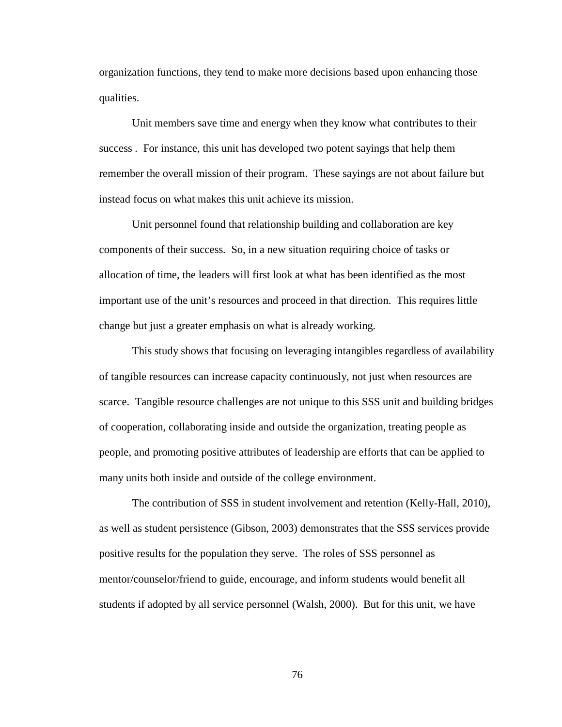organization functions, they tend to make more decisions based upon enhancing those qualities.

Unit members save time and energy when they know what contributes to their success . For instance, this unit has developed two potent sayings that help them remember the overall mission of their program. These sayings are not about failure but instead focus on what makes this unit achieve its mission.

Unit personnel found that relationship building and collaboration are key components of their success. So, in a new situation requiring choice of tasks or allocation of time, the leaders will first look at what has been identified as the most important use of the unit's resources and proceed in that direction. This requires little change but just a greater emphasis on what is already working.

This study shows that focusing on leveraging intangibles regardless of availability of tangible resources can increase capacity continuously, not just when resources are scarce. Tangible resource challenges are not unique to this SSS unit and building bridges of cooperation, collaborating inside and outside the organization, treating people as people, and promoting positive attributes of leadership are efforts that can be applied to many units both inside and outside of the college environment.

The contribution of SSS in student involvement and retention (Kelly-Hall, 2010), as well as student persistence (Gibson, 2003) demonstrates that the SSS services provide positive results for the population they serve. The roles of SSS personnel as mentor/counselor/friend to guide, encourage, and inform students would benefit all students if adopted by all service personnel (Walsh, 2000). But for this unit, we have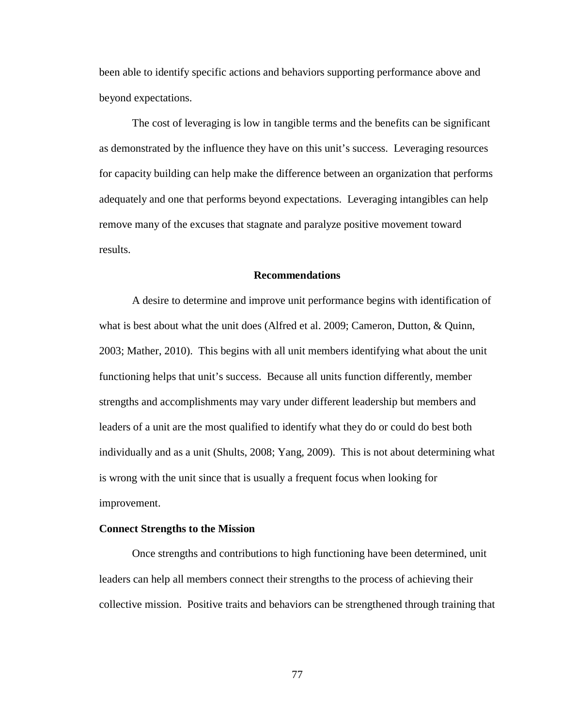been able to identify specific actions and behaviors supporting performance above and beyond expectations.

The cost of leveraging is low in tangible terms and the benefits can be significant as demonstrated by the influence they have on this unit's success. Leveraging resources for capacity building can help make the difference between an organization that performs adequately and one that performs beyond expectations. Leveraging intangibles can help remove many of the excuses that stagnate and paralyze positive movement toward results.

# **Recommendations**

A desire to determine and improve unit performance begins with identification of what is best about what the unit does (Alfred et al. 2009; Cameron, Dutton, & Quinn, 2003; Mather, 2010). This begins with all unit members identifying what about the unit functioning helps that unit's success. Because all units function differently, member strengths and accomplishments may vary under different leadership but members and leaders of a unit are the most qualified to identify what they do or could do best both individually and as a unit (Shults, 2008; Yang, 2009). This is not about determining what is wrong with the unit since that is usually a frequent focus when looking for improvement.

# **Connect Strengths to the Mission**

Once strengths and contributions to high functioning have been determined, unit leaders can help all members connect their strengths to the process of achieving their collective mission. Positive traits and behaviors can be strengthened through training that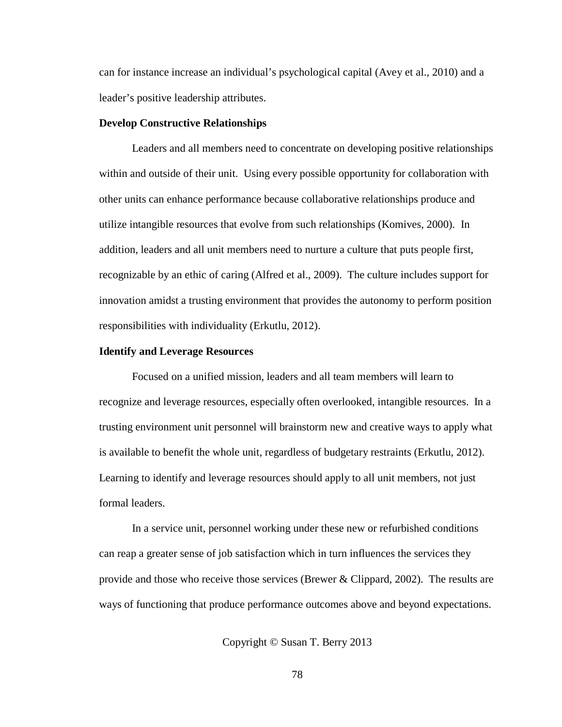can for instance increase an individual's psychological capital (Avey et al., 2010) and a leader's positive leadership attributes.

# **Develop Constructive Relationships**

Leaders and all members need to concentrate on developing positive relationships within and outside of their unit. Using every possible opportunity for collaboration with other units can enhance performance because collaborative relationships produce and utilize intangible resources that evolve from such relationships (Komives, 2000). In addition, leaders and all unit members need to nurture a culture that puts people first, recognizable by an ethic of caring (Alfred et al., 2009). The culture includes support for innovation amidst a trusting environment that provides the autonomy to perform position responsibilities with individuality (Erkutlu, 2012).

# **Identify and Leverage Resources**

Focused on a unified mission, leaders and all team members will learn to recognize and leverage resources, especially often overlooked, intangible resources. In a trusting environment unit personnel will brainstorm new and creative ways to apply what is available to benefit the whole unit, regardless of budgetary restraints (Erkutlu, 2012). Learning to identify and leverage resources should apply to all unit members, not just formal leaders.

In a service unit, personnel working under these new or refurbished conditions can reap a greater sense of job satisfaction which in turn influences the services they provide and those who receive those services (Brewer & Clippard, 2002). The results are ways of functioning that produce performance outcomes above and beyond expectations.

Copyright © Susan T. Berry 2013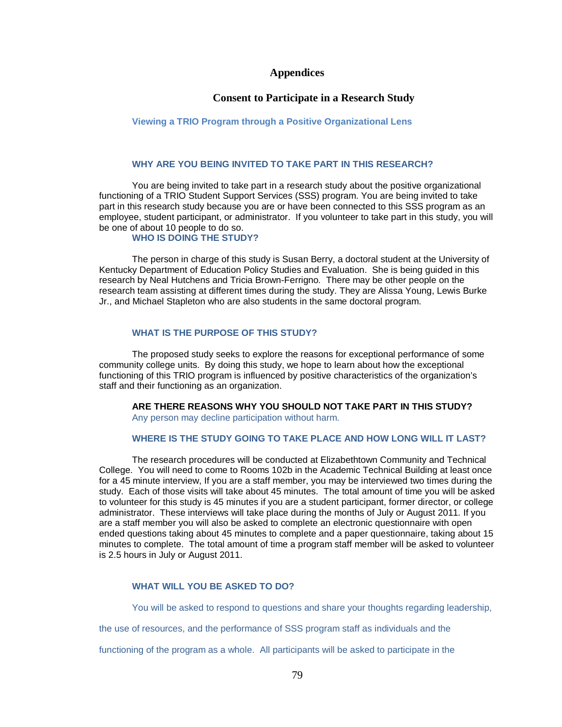# **Appendices**

# **Consent to Participate in a Research Study**

# **Viewing a TRIO Program through a Positive Organizational Lens**

# **WHY ARE YOU BEING INVITED TO TAKE PART IN THIS RESEARCH?**

You are being invited to take part in a research study about the positive organizational functioning of a TRIO Student Support Services (SSS) program. You are being invited to take part in this research study because you are or have been connected to this SSS program as an employee, student participant, or administrator. If you volunteer to take part in this study, you will be one of about 10 people to do so.

#### **WHO IS DOING THE STUDY?**

The person in charge of this study is Susan Berry, a doctoral student at the University of Kentucky Department of Education Policy Studies and Evaluation. She is being guided in this research by Neal Hutchens and Tricia Brown-Ferrigno*.* There may be other people on the research team assisting at different times during the study. They are Alissa Young, Lewis Burke Jr., and Michael Stapleton who are also students in the same doctoral program.

# **WHAT IS THE PURPOSE OF THIS STUDY?**

The proposed study seeks to explore the reasons for exceptional performance of some community college units. By doing this study, we hope to learn about how the exceptional functioning of this TRIO program is influenced by positive characteristics of the organization's staff and their functioning as an organization.

**ARE THERE REASONS WHY YOU SHOULD NOT TAKE PART IN THIS STUDY?** Any person may decline participation without harm.

# **WHERE IS THE STUDY GOING TO TAKE PLACE AND HOW LONG WILL IT LAST?**

The research procedures will be conducted at Elizabethtown Community and Technical College. You will need to come to Rooms 102b in the Academic Technical Building at least once for a 45 minute interview, If you are a staff member, you may be interviewed two times during the study. Each of those visits will take about 45 minutes. The total amount of time you will be asked to volunteer for this study is 45 minutes if you are a student participant, former director, or college administrator. These interviews will take place during the months of July or August 2011*.* If you are a staff member you will also be asked to complete an electronic questionnaire with open ended questions taking about 45 minutes to complete and a paper questionnaire, taking about 15 minutes to complete. The total amount of time a program staff member will be asked to volunteer is 2.5 hours in July or August 2011.

# **WHAT WILL YOU BE ASKED TO DO?**

You will be asked to respond to questions and share your thoughts regarding leadership,

the use of resources, and the performance of SSS program staff as individuals and the

functioning of the program as a whole. All participants will be asked to participate in the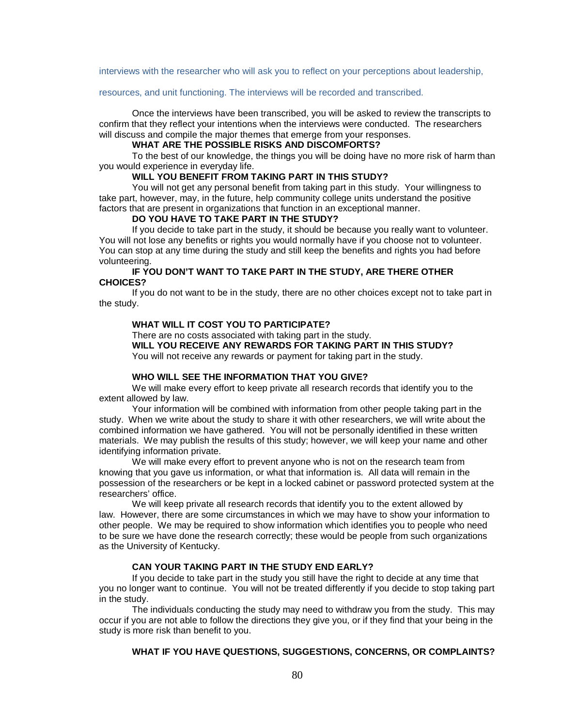interviews with the researcher who will ask you to reflect on your perceptions about leadership,

#### resources, and unit functioning. The interviews will be recorded and transcribed.

Once the interviews have been transcribed, you will be asked to review the transcripts to confirm that they reflect your intentions when the interviews were conducted. The researchers will discuss and compile the major themes that emerge from your responses.

# **WHAT ARE THE POSSIBLE RISKS AND DISCOMFORTS?**

To the best of our knowledge, the things you will be doing have no more risk of harm than you would experience in everyday life.

# **WILL YOU BENEFIT FROM TAKING PART IN THIS STUDY?**

You will not get any personal benefit from taking part in this study. Your willingness to take part, however, may, in the future, help community college units understand the positive factors that are present in organizations that function in an exceptional manner.

#### **DO YOU HAVE TO TAKE PART IN THE STUDY?**

If you decide to take part in the study, it should be because you really want to volunteer. You will not lose any benefits or rights you would normally have if you choose not to volunteer. You can stop at any time during the study and still keep the benefits and rights you had before volunteering.

# **IF YOU DON'T WANT TO TAKE PART IN THE STUDY, ARE THERE OTHER CHOICES?**

If you do not want to be in the study, there are no other choices except not to take part in the study.

# **WHAT WILL IT COST YOU TO PARTICIPATE?**

There are no costs associated with taking part in the study.

**WILL YOU RECEIVE ANY REWARDS FOR TAKING PART IN THIS STUDY?**

You will not receive any rewards or payment for taking part in the study.

#### **WHO WILL SEE THE INFORMATION THAT YOU GIVE?**

We will make every effort to keep private all research records that identify you to the extent allowed by law.

Your information will be combined with information from other people taking part in the study. When we write about the study to share it with other researchers, we will write about the combined information we have gathered. You will not be personally identified in these written materials. We may publish the results of this study; however, we will keep your name and other identifying information private.

We will make every effort to prevent anyone who is not on the research team from knowing that you gave us information, or what that information is. All data will remain in the possession of the researchers or be kept in a locked cabinet or password protected system at the researchers' office.

We will keep private all research records that identify you to the extent allowed by law. However, there are some circumstances in which we may have to show your information to other people. We may be required to show information which identifies you to people who need to be sure we have done the research correctly; these would be people from such organizations as the University of Kentucky.

# **CAN YOUR TAKING PART IN THE STUDY END EARLY?**

If you decide to take part in the study you still have the right to decide at any time that you no longer want to continue. You will not be treated differently if you decide to stop taking part in the study.

The individuals conducting the study may need to withdraw you from the study. This may occur if you are not able to follow the directions they give you, or if they find that your being in the study is more risk than benefit to you.

# **WHAT IF YOU HAVE QUESTIONS, SUGGESTIONS, CONCERNS, OR COMPLAINTS?**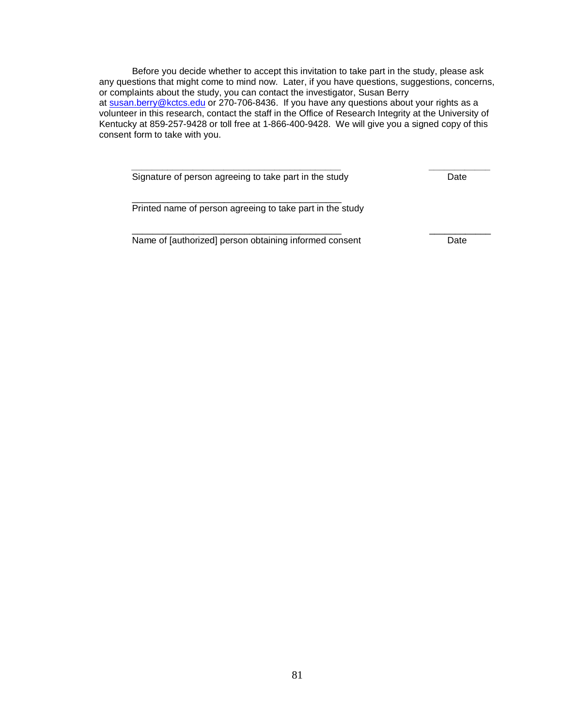Before you decide whether to accept this invitation to take part in the study, please ask any questions that might come to mind now. Later, if you have questions, suggestions, concerns, or complaints about the study, you can contact the investigator, Susan Berry at [susan.berry@kctcs.edu](mailto:susan.berry@kctcs.edu) or 270-706-8436. If you have any questions about your rights as a volunteer in this research, contact the staff in the Office of Research Integrity at the University of Kentucky at 859-257-9428 or toll free at 1-866-400-9428. We will give you a signed copy of this consent form to take with you.

*\_\_\_\_\_\_\_\_\_\_\_\_\_\_\_\_\_\_\_\_\_\_\_\_\_\_\_\_\_\_\_\_\_\_\_\_\_\_\_\_\_ \_\_\_\_\_\_\_\_\_\_\_\_*

\_\_\_\_\_\_\_\_\_\_\_\_\_\_\_\_\_\_\_\_\_\_\_\_\_\_\_\_\_\_\_\_\_\_\_\_\_\_\_\_\_ \_\_\_\_\_\_\_\_\_\_\_\_

Signature of person agreeing to take part in the study Date

\_\_\_\_\_\_\_\_\_\_\_\_\_\_\_\_\_\_\_\_\_\_\_\_\_\_\_\_\_\_\_\_\_\_\_\_\_\_\_\_\_ Printed name of person agreeing to take part in the study

Name of [authorized] person obtaining informed consent Date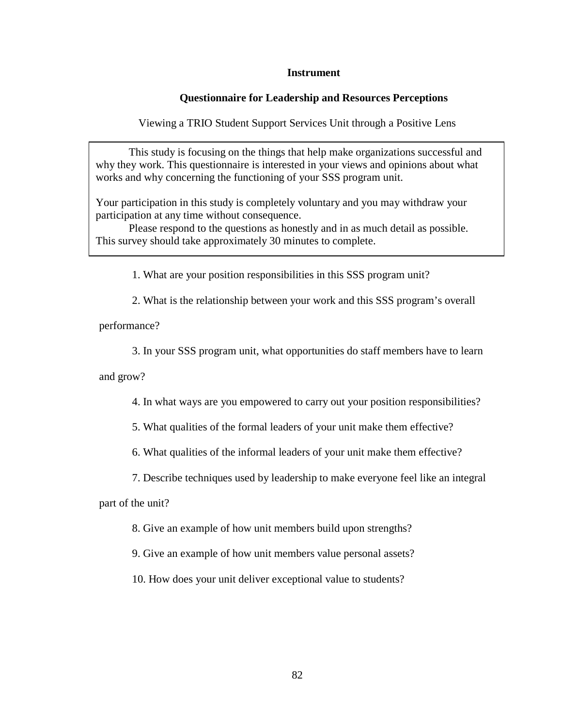# **Instrument**

# **Questionnaire for Leadership and Resources Perceptions**

Viewing a TRIO Student Support Services Unit through a Positive Lens

This study is focusing on the things that help make organizations successful and why they work. This questionnaire is interested in your views and opinions about what works and why concerning the functioning of your SSS program unit.

Your participation in this study is completely voluntary and you may withdraw your participation at any time without consequence.

Please respond to the questions as honestly and in as much detail as possible. This survey should take approximately 30 minutes to complete.

1. What are your position responsibilities in this SSS program unit?

2. What is the relationship between your work and this SSS program's overall

performance?

3. In your SSS program unit, what opportunities do staff members have to learn

and grow?

4. In what ways are you empowered to carry out your position responsibilities?

5. What qualities of the formal leaders of your unit make them effective?

6. What qualities of the informal leaders of your unit make them effective?

7. Describe techniques used by leadership to make everyone feel like an integral

part of the unit?

8. Give an example of how unit members build upon strengths?

9. Give an example of how unit members value personal assets?

10. How does your unit deliver exceptional value to students?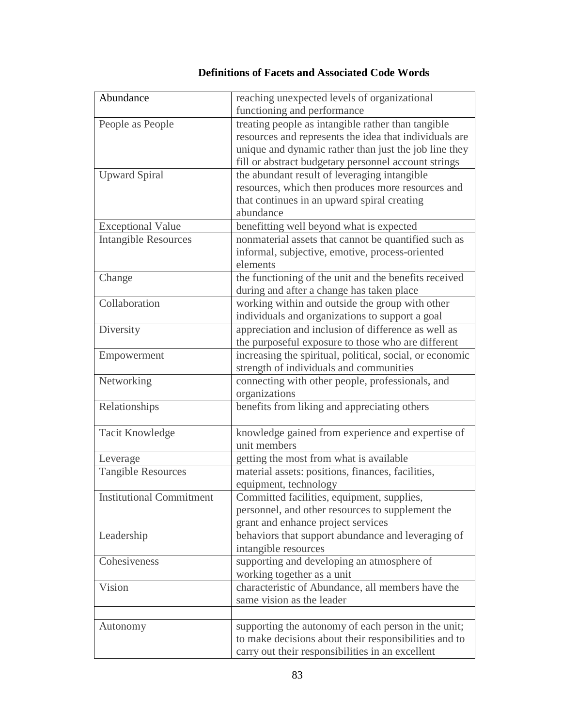| Abundance                       | reaching unexpected levels of organizational<br>functioning and performance |
|---------------------------------|-----------------------------------------------------------------------------|
| People as People                | treating people as intangible rather than tangible                          |
|                                 | resources and represents the idea that individuals are                      |
|                                 | unique and dynamic rather than just the job line they                       |
|                                 | fill or abstract budgetary personnel account strings                        |
| <b>Upward Spiral</b>            | the abundant result of leveraging intangible                                |
|                                 | resources, which then produces more resources and                           |
|                                 | that continues in an upward spiral creating                                 |
|                                 | abundance                                                                   |
| <b>Exceptional Value</b>        | benefitting well beyond what is expected                                    |
| <b>Intangible Resources</b>     | nonmaterial assets that cannot be quantified such as                        |
|                                 | informal, subjective, emotive, process-oriented                             |
|                                 | elements                                                                    |
| Change                          | the functioning of the unit and the benefits received                       |
|                                 | during and after a change has taken place                                   |
| Collaboration                   | working within and outside the group with other                             |
|                                 | individuals and organizations to support a goal                             |
| Diversity                       | appreciation and inclusion of difference as well as                         |
|                                 | the purposeful exposure to those who are different                          |
| Empowerment                     | increasing the spiritual, political, social, or economic                    |
|                                 | strength of individuals and communities                                     |
| Networking                      | connecting with other people, professionals, and                            |
|                                 | organizations                                                               |
| Relationships                   | benefits from liking and appreciating others                                |
|                                 |                                                                             |
| <b>Tacit Knowledge</b>          | knowledge gained from experience and expertise of                           |
|                                 | unit members                                                                |
| Leverage                        | getting the most from what is available                                     |
| <b>Tangible Resources</b>       | material assets: positions, finances, facilities,                           |
|                                 | equipment, technology                                                       |
| <b>Institutional Commitment</b> | Committed facilities, equipment, supplies,                                  |
|                                 | personnel, and other resources to supplement the                            |
|                                 | grant and enhance project services                                          |
| Leadership                      | behaviors that support abundance and leveraging of                          |
|                                 | intangible resources                                                        |
| Cohesiveness                    | supporting and developing an atmosphere of                                  |
|                                 | working together as a unit                                                  |
| Vision                          | characteristic of Abundance, all members have the                           |
|                                 | same vision as the leader                                                   |
|                                 |                                                                             |
| Autonomy                        | supporting the autonomy of each person in the unit;                         |
|                                 | to make decisions about their responsibilities and to                       |
|                                 | carry out their responsibilities in an excellent                            |

# **Definitions of Facets and Associated Code Words**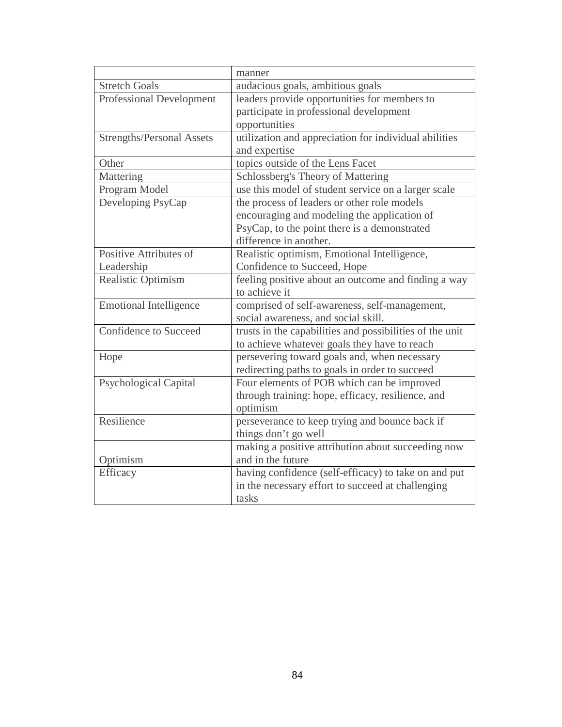|                                  | manner                                                   |
|----------------------------------|----------------------------------------------------------|
| <b>Stretch Goals</b>             | audacious goals, ambitious goals                         |
| <b>Professional Development</b>  | leaders provide opportunities for members to             |
|                                  | participate in professional development                  |
|                                  | opportunities                                            |
| <b>Strengths/Personal Assets</b> | utilization and appreciation for individual abilities    |
|                                  | and expertise                                            |
| Other                            | topics outside of the Lens Facet                         |
| Mattering                        | Schlossberg's Theory of Mattering                        |
| Program Model                    | use this model of student service on a larger scale      |
| Developing PsyCap                | the process of leaders or other role models              |
|                                  | encouraging and modeling the application of              |
|                                  | PsyCap, to the point there is a demonstrated             |
|                                  | difference in another.                                   |
| Positive Attributes of           | Realistic optimism, Emotional Intelligence,              |
| Leadership                       | Confidence to Succeed, Hope                              |
| Realistic Optimism               | feeling positive about an outcome and finding a way      |
|                                  | to achieve it                                            |
| <b>Emotional Intelligence</b>    | comprised of self-awareness, self-management,            |
|                                  | social awareness, and social skill.                      |
| <b>Confidence to Succeed</b>     | trusts in the capabilities and possibilities of the unit |
|                                  | to achieve whatever goals they have to reach             |
| Hope                             | persevering toward goals and, when necessary             |
|                                  | redirecting paths to goals in order to succeed           |
| <b>Psychological Capital</b>     | Four elements of POB which can be improved               |
|                                  | through training: hope, efficacy, resilience, and        |
|                                  | optimism                                                 |
| Resilience                       | perseverance to keep trying and bounce back if           |
|                                  | things don't go well                                     |
|                                  | making a positive attribution about succeeding now       |
| Optimism                         | and in the future                                        |
| Efficacy                         | having confidence (self-efficacy) to take on and put     |
|                                  | in the necessary effort to succeed at challenging        |
|                                  | tasks                                                    |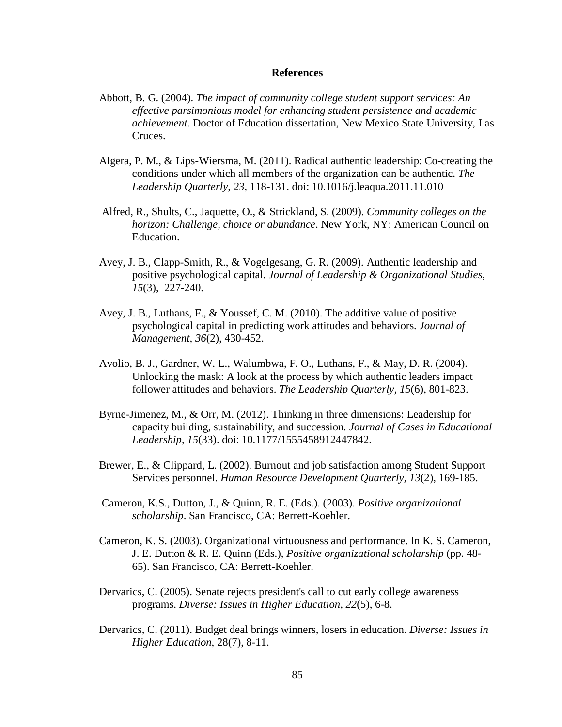# **References**

- Abbott, B. G. (2004). *The impact of community college student support services: An effective parsimonious model for enhancing student persistence and academic achievement.* Doctor of Education dissertation, New Mexico State University, Las Cruces.
- Algera, P. M., & Lips-Wiersma, M. (2011). Radical authentic leadership: Co-creating the conditions under which all members of the organization can be authentic. *The Leadership Quarterly, 23*, 118-131. doi: 10.1016/j.leaqua.2011.11.010
- Alfred, R., Shults, C., Jaquette, O., & Strickland, S. (2009). *Community colleges on the horizon: Challenge, choice or abundance*. New York, NY: American Council on Education.
- Avey, J. B., Clapp-Smith, R., & Vogelgesang, G. R. (2009). Authentic leadership and positive psychological capital*. Journal of Leadership & Organizational Studies, 15*(3), 227-240.
- Avey, J. B., Luthans, F., & Youssef, C. M. (2010). The additive value of positive psychological capital in predicting work attitudes and behaviors. *Journal of Management, 36*(2), 430-452.
- Avolio, B. J., Gardner, W. L., Walumbwa, F. O., Luthans, F., & May, D. R. (2004). Unlocking the mask: A look at the process by which authentic leaders impact follower attitudes and behaviors. *The Leadership Quarterly, 15*(6), 801-823.
- Byrne-Jimenez, M., & Orr, M. (2012). Thinking in three dimensions: Leadership for capacity building, sustainability, and succession*. Journal of Cases in Educational Leadership, 15*(33). doi: 10.1177/1555458912447842.
- Brewer, E., & Clippard, L. (2002). Burnout and job satisfaction among Student Support Services personnel. *Human Resource Development Quarterly, 13*(2), 169-185.
- Cameron, K.S., Dutton, J., & Quinn, R. E. (Eds.). (2003). *Positive organizational scholarship*. San Francisco, CA: Berrett-Koehler.
- Cameron, K. S. (2003). Organizational virtuousness and performance. In K. S. Cameron, J. E. Dutton & R. E. Quinn (Eds.), *Positive organizational scholarship* (pp. 48- 65). San Francisco, CA: Berrett-Koehler.
- Dervarics, C. (2005). Senate rejects president's call to cut early college awareness programs. *Diverse: Issues in Higher Education, 22*(5), 6-8.
- Dervarics, C. (2011). Budget deal brings winners, losers in education*. Diverse: Issues in Higher Education*, 28(7), 8-11.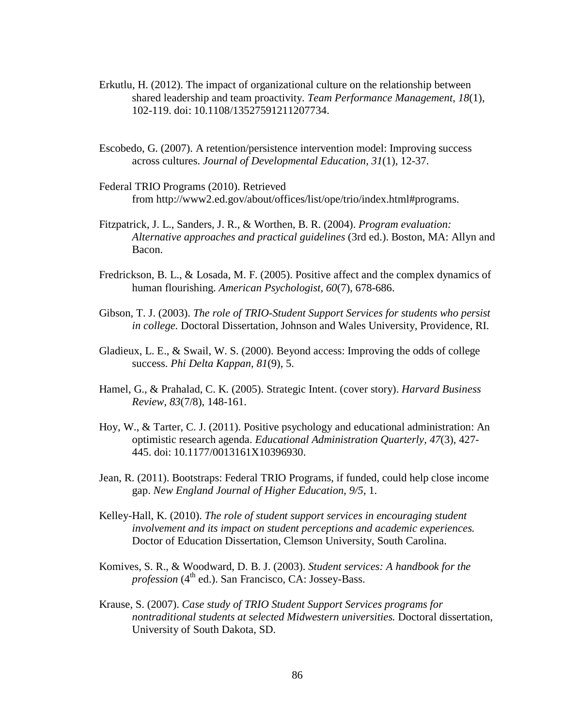- Erkutlu, H. (2012). The impact of organizational culture on the relationship between shared leadership and team proactivity. *Team Performance Management, 18*(1), 102-119. doi: 10.1108/13527591211207734.
- Escobedo, G. (2007). A retention/persistence intervention model: Improving success across cultures. *Journal of Developmental Education, 31*(1), 12-37.
- Federal TRIO Programs (2010). Retrieved from [http://www2.ed.gov/about/offices/list/ope/trio/index.html#programs.](http://www2.ed.gov/about/offices/list/ope/trio/index.html%23programs)
- Fitzpatrick, J. L., Sanders, J. R., & Worthen, B. R. (2004). *Program evaluation: Alternative approaches and practical guidelines* (3rd ed.). Boston, MA: Allyn and Bacon.
- Fredrickson, B. L., & Losada, M. F. (2005). Positive affect and the complex dynamics of human flourishing. *American Psychologist, 60*(7), 678-686.
- Gibson, T. J. (2003). *The role of TRIO-Student Support Services for students who persist in college.* Doctoral Dissertation, Johnson and Wales University, Providence, RI.
- Gladieux, L. E., & Swail, W. S. (2000). Beyond access: Improving the odds of college success. *Phi Delta Kappan, 81*(9), 5.
- Hamel, G., & Prahalad, C. K. (2005). Strategic Intent. (cover story). *Harvard Business Review*, *83*(7/8), 148-161.
- Hoy, W., & Tarter, C. J. (2011). Positive psychology and educational administration: An optimistic research agenda. *Educational Administration Quarterly, 47*(3), 427- 445. doi: 10.1177/0013161X10396930.
- Jean, R. (2011). Bootstraps: Federal TRIO Programs, if funded, could help close income gap. *New England Journal of Higher Education*, *9/5*, 1.
- Kelley-Hall, K. (2010). *The role of student support services in encouraging student involvement and its impact on student perceptions and academic experiences.* Doctor of Education Dissertation, Clemson University, South Carolina.
- Komives, S. R., & Woodward, D. B. J. (2003). *Student services: A handbook for the profession* (4<sup>th</sup> ed.). San Francisco, CA: Jossey-Bass.
- Krause, S. (2007). *Case study of TRIO Student Support Services programs for nontraditional students at selected Midwestern universities.* Doctoral dissertation, University of South Dakota, SD.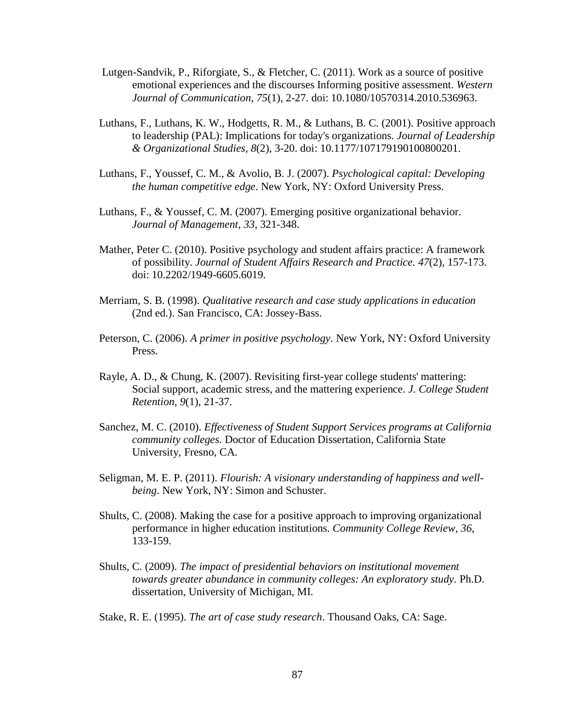- Lutgen-Sandvik, P., Riforgiate, S., & Fletcher, C. (2011). Work as a source of positive emotional experiences and the discourses Informing positive assessment. *Western Journal of Communication, 75*(1), 2-27. doi: 10.1080/10570314.2010.536963.
- Luthans, F., Luthans, K. W., Hodgetts, R. M., & Luthans, B. C. (2001). Positive approach to leadership (PAL): Implications for today's organizations. *Journal of Leadership & Organizational Studies, 8*(2), 3-20. doi: 10.1177/107179190100800201.
- Luthans, F., Youssef, C. M., & Avolio, B. J. (2007). *Psychological capital: Developing the human competitive edge*. New York, NY: Oxford University Press.
- Luthans, F., & Youssef, C. M. (2007). Emerging positive organizational behavior. *Journal of Management, 33*, 321-348.
- Mather, Peter C. (2010). Positive psychology and student affairs practice: A framework of possibility. *Journal of Student Affairs Research and Practice. 47*(2), 157-173. doi: 10.2202/1949-6605.6019.
- Merriam, S. B. (1998). *Qualitative research and case study applications in education* (2nd ed.). San Francisco, CA: Jossey-Bass.
- Peterson, C. (2006). *A primer in positive psychology*. New York, NY: Oxford University Press.
- Rayle, A. D., & Chung, K. (2007). Revisiting first-year college students' mattering: Social support, academic stress, and the mattering experience. *J. College Student Retention, 9*(1), 21-37.
- Sanchez, M. C. (2010). *Effectiveness of Student Support Services programs at California community colleges.* Doctor of Education Dissertation, California State University, Fresno, CA.
- Seligman, M. E. P. (2011). *Flourish: A visionary understanding of happiness and wellbeing*. New York, NY: Simon and Schuster.
- Shults, C. (2008). Making the case for a positive approach to improving organizational performance in higher education institutions. *Community College Review, 36*, 133-159.
- Shults, C. (2009). *The impact of presidential behaviors on institutional movement towards greater abundance in community colleges: An exploratory study.* Ph.D. dissertation, University of Michigan, MI.
- Stake, R. E. (1995). *The art of case study research*. Thousand Oaks, CA: Sage.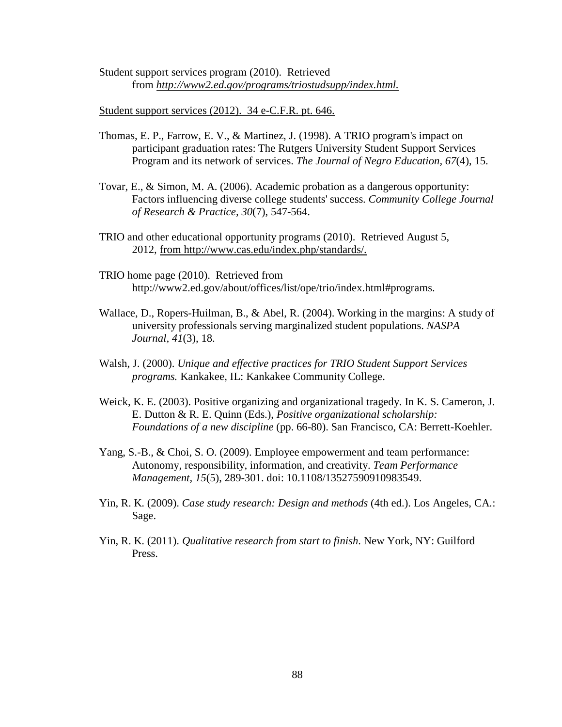Student support services program (2010). Retrieved from *[http://www2.ed.gov/programs/triostudsupp/index.html.](http://www2.ed.gov/programs/triostudsupp/index.html)*

Student support services (2012). 34 e-C.F.R. pt. 646.

- Thomas, E. P., Farrow, E. V., & Martinez, J. (1998). A TRIO program's impact on participant graduation rates: The Rutgers University Student Support Services Program and its network of services. *The Journal of Negro Education, 67*(4), 15.
- Tovar, E., & Simon, M. A. (2006). Academic probation as a dangerous opportunity: Factors influencing diverse college students' success. *Community College Journal of Research & Practice, 30*(7), 547-564.
- TRIO and other educational opportunity programs (2010). Retrieved August 5, 2012, from [http://www.cas.edu/index.php/standards/.](http://www.cas.edu/index.php/standards/)
- TRIO home page (2010). Retrieved from [http://www2.ed.gov/about/offices/list/ope/trio/index.html#programs.](http://www2.ed.gov/about/offices/list/ope/trio/index.html%23programs)
- Wallace, D., Ropers-Huilman, B., & Abel, R. (2004). Working in the margins: A study of university professionals serving marginalized student populations. *NASPA Journal, 41*(3), 18.
- Walsh, J. (2000). *Unique and effective practices for TRIO Student Support Services programs.* Kankakee, IL: Kankakee Community College.
- Weick, K. E. (2003). Positive organizing and organizational tragedy. In K. S. Cameron, J. E. Dutton & R. E. Quinn (Eds.), *Positive organizational scholarship: Foundations of a new discipline* (pp. 66-80). San Francisco, CA: Berrett-Koehler.
- Yang, S.-B., & Choi, S. O. (2009). Employee empowerment and team performance: Autonomy, responsibility, information, and creativity. *Team Performance Management, 15*(5), 289-301. doi: 10.1108/13527590910983549.
- Yin, R. K. (2009). *Case study research: Design and methods* (4th ed.). Los Angeles, CA.: Sage.
- Yin, R. K. (2011). *Qualitative research from start to finish*. New York, NY: Guilford Press.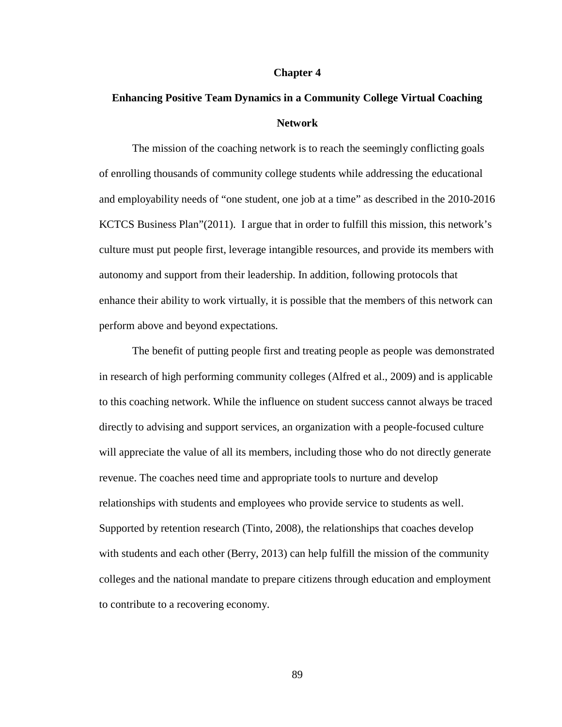#### **Chapter 4**

# **Enhancing Positive Team Dynamics in a Community College Virtual Coaching Network**

The mission of the coaching network is to reach the seemingly conflicting goals of enrolling thousands of community college students while addressing the educational and employability needs of "one student, one job at a time" as described in the 2010-2016 KCTCS Business Plan"(2011). I argue that in order to fulfill this mission, this network's culture must put people first, leverage intangible resources, and provide its members with autonomy and support from their leadership. In addition, following protocols that enhance their ability to work virtually, it is possible that the members of this network can perform above and beyond expectations.

The benefit of putting people first and treating people as people was demonstrated in research of high performing community colleges (Alfred et al., 2009) and is applicable to this coaching network. While the influence on student success cannot always be traced directly to advising and support services, an organization with a people-focused culture will appreciate the value of all its members, including those who do not directly generate revenue. The coaches need time and appropriate tools to nurture and develop relationships with students and employees who provide service to students as well. Supported by retention research (Tinto, 2008), the relationships that coaches develop with students and each other (Berry, 2013) can help fulfill the mission of the community colleges and the national mandate to prepare citizens through education and employment to contribute to a recovering economy.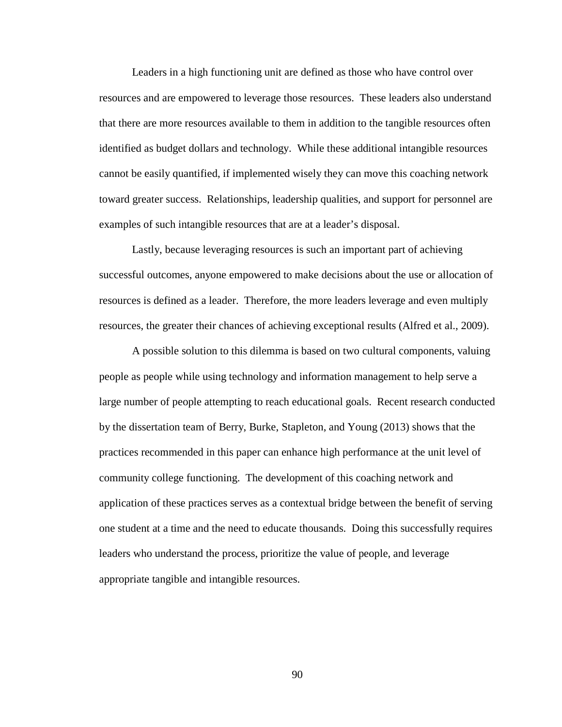Leaders in a high functioning unit are defined as those who have control over resources and are empowered to leverage those resources. These leaders also understand that there are more resources available to them in addition to the tangible resources often identified as budget dollars and technology. While these additional intangible resources cannot be easily quantified, if implemented wisely they can move this coaching network toward greater success. Relationships, leadership qualities, and support for personnel are examples of such intangible resources that are at a leader's disposal.

Lastly, because leveraging resources is such an important part of achieving successful outcomes, anyone empowered to make decisions about the use or allocation of resources is defined as a leader. Therefore, the more leaders leverage and even multiply resources, the greater their chances of achieving exceptional results (Alfred et al., 2009).

A possible solution to this dilemma is based on two cultural components, valuing people as people while using technology and information management to help serve a large number of people attempting to reach educational goals. Recent research conducted by the dissertation team of Berry, Burke, Stapleton, and Young (2013) shows that the practices recommended in this paper can enhance high performance at the unit level of community college functioning. The development of this coaching network and application of these practices serves as a contextual bridge between the benefit of serving one student at a time and the need to educate thousands. Doing this successfully requires leaders who understand the process, prioritize the value of people, and leverage appropriate tangible and intangible resources.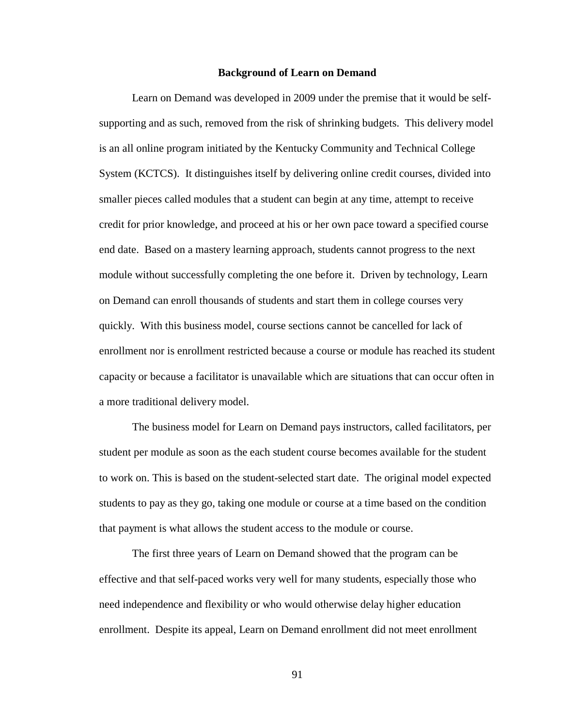#### **Background of Learn on Demand**

Learn on Demand was developed in 2009 under the premise that it would be selfsupporting and as such, removed from the risk of shrinking budgets. This delivery model is an all online program initiated by the Kentucky Community and Technical College System (KCTCS). It distinguishes itself by delivering online credit courses, divided into smaller pieces called modules that a student can begin at any time, attempt to receive credit for prior knowledge, and proceed at his or her own pace toward a specified course end date. Based on a mastery learning approach, students cannot progress to the next module without successfully completing the one before it. Driven by technology, Learn on Demand can enroll thousands of students and start them in college courses very quickly. With this business model, course sections cannot be cancelled for lack of enrollment nor is enrollment restricted because a course or module has reached its student capacity or because a facilitator is unavailable which are situations that can occur often in a more traditional delivery model.

The business model for Learn on Demand pays instructors, called facilitators, per student per module as soon as the each student course becomes available for the student to work on. This is based on the student-selected start date. The original model expected students to pay as they go, taking one module or course at a time based on the condition that payment is what allows the student access to the module or course.

The first three years of Learn on Demand showed that the program can be effective and that self-paced works very well for many students, especially those who need independence and flexibility or who would otherwise delay higher education enrollment. Despite its appeal, Learn on Demand enrollment did not meet enrollment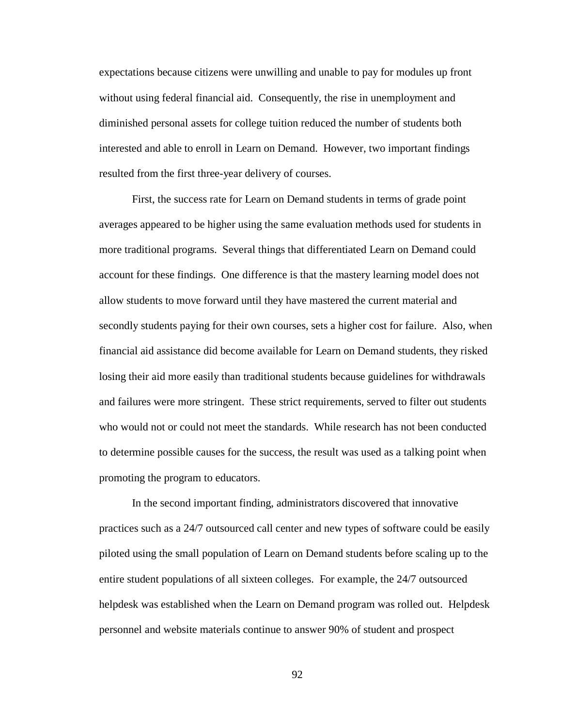expectations because citizens were unwilling and unable to pay for modules up front without using federal financial aid. Consequently, the rise in unemployment and diminished personal assets for college tuition reduced the number of students both interested and able to enroll in Learn on Demand. However, two important findings resulted from the first three-year delivery of courses.

First, the success rate for Learn on Demand students in terms of grade point averages appeared to be higher using the same evaluation methods used for students in more traditional programs. Several things that differentiated Learn on Demand could account for these findings. One difference is that the mastery learning model does not allow students to move forward until they have mastered the current material and secondly students paying for their own courses, sets a higher cost for failure. Also, when financial aid assistance did become available for Learn on Demand students, they risked losing their aid more easily than traditional students because guidelines for withdrawals and failures were more stringent. These strict requirements, served to filter out students who would not or could not meet the standards. While research has not been conducted to determine possible causes for the success, the result was used as a talking point when promoting the program to educators.

In the second important finding, administrators discovered that innovative practices such as a 24/7 outsourced call center and new types of software could be easily piloted using the small population of Learn on Demand students before scaling up to the entire student populations of all sixteen colleges. For example, the 24/7 outsourced helpdesk was established when the Learn on Demand program was rolled out. Helpdesk personnel and website materials continue to answer 90% of student and prospect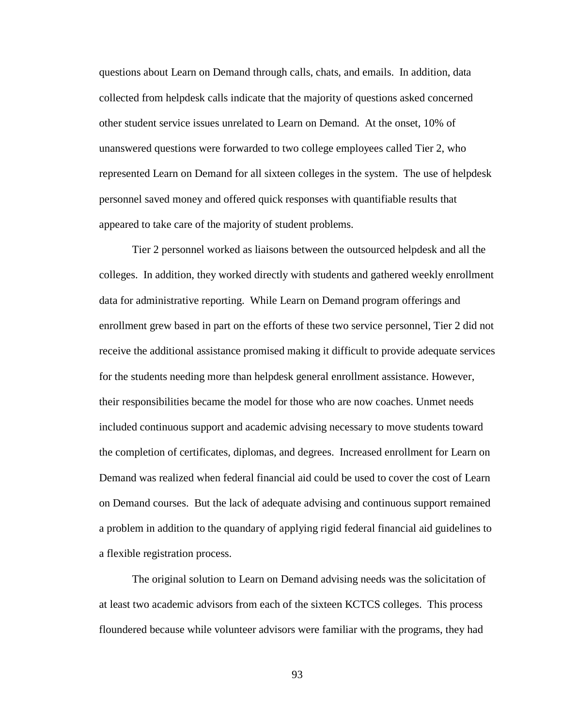questions about Learn on Demand through calls, chats, and emails. In addition, data collected from helpdesk calls indicate that the majority of questions asked concerned other student service issues unrelated to Learn on Demand. At the onset, 10% of unanswered questions were forwarded to two college employees called Tier 2, who represented Learn on Demand for all sixteen colleges in the system. The use of helpdesk personnel saved money and offered quick responses with quantifiable results that appeared to take care of the majority of student problems.

Tier 2 personnel worked as liaisons between the outsourced helpdesk and all the colleges. In addition, they worked directly with students and gathered weekly enrollment data for administrative reporting. While Learn on Demand program offerings and enrollment grew based in part on the efforts of these two service personnel, Tier 2 did not receive the additional assistance promised making it difficult to provide adequate services for the students needing more than helpdesk general enrollment assistance. However, their responsibilities became the model for those who are now coaches. Unmet needs included continuous support and academic advising necessary to move students toward the completion of certificates, diplomas, and degrees. Increased enrollment for Learn on Demand was realized when federal financial aid could be used to cover the cost of Learn on Demand courses. But the lack of adequate advising and continuous support remained a problem in addition to the quandary of applying rigid federal financial aid guidelines to a flexible registration process.

The original solution to Learn on Demand advising needs was the solicitation of at least two academic advisors from each of the sixteen KCTCS colleges. This process floundered because while volunteer advisors were familiar with the programs, they had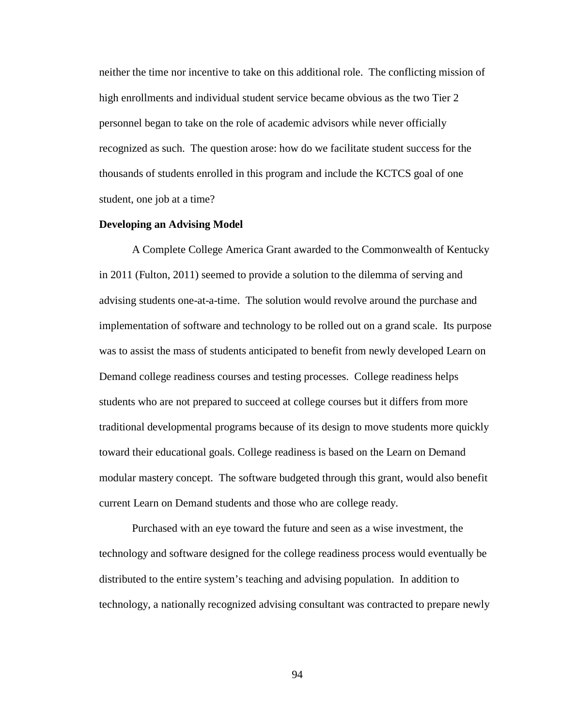neither the time nor incentive to take on this additional role. The conflicting mission of high enrollments and individual student service became obvious as the two Tier 2 personnel began to take on the role of academic advisors while never officially recognized as such. The question arose: how do we facilitate student success for the thousands of students enrolled in this program and include the KCTCS goal of one student, one job at a time?

# **Developing an Advising Model**

A Complete College America Grant awarded to the Commonwealth of Kentucky in 2011 (Fulton, 2011) seemed to provide a solution to the dilemma of serving and advising students one-at-a-time. The solution would revolve around the purchase and implementation of software and technology to be rolled out on a grand scale. Its purpose was to assist the mass of students anticipated to benefit from newly developed Learn on Demand college readiness courses and testing processes. College readiness helps students who are not prepared to succeed at college courses but it differs from more traditional developmental programs because of its design to move students more quickly toward their educational goals. College readiness is based on the Learn on Demand modular mastery concept. The software budgeted through this grant, would also benefit current Learn on Demand students and those who are college ready.

Purchased with an eye toward the future and seen as a wise investment, the technology and software designed for the college readiness process would eventually be distributed to the entire system's teaching and advising population. In addition to technology, a nationally recognized advising consultant was contracted to prepare newly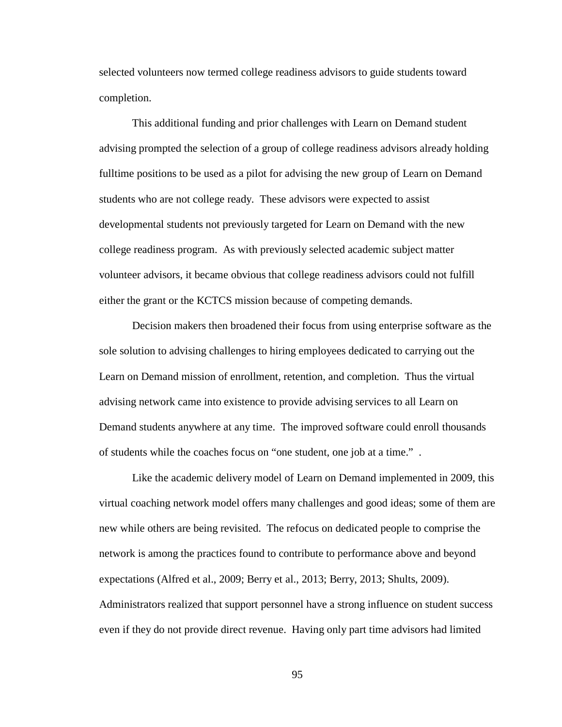selected volunteers now termed college readiness advisors to guide students toward completion.

This additional funding and prior challenges with Learn on Demand student advising prompted the selection of a group of college readiness advisors already holding fulltime positions to be used as a pilot for advising the new group of Learn on Demand students who are not college ready. These advisors were expected to assist developmental students not previously targeted for Learn on Demand with the new college readiness program. As with previously selected academic subject matter volunteer advisors, it became obvious that college readiness advisors could not fulfill either the grant or the KCTCS mission because of competing demands.

Decision makers then broadened their focus from using enterprise software as the sole solution to advising challenges to hiring employees dedicated to carrying out the Learn on Demand mission of enrollment, retention, and completion. Thus the virtual advising network came into existence to provide advising services to all Learn on Demand students anywhere at any time. The improved software could enroll thousands of students while the coaches focus on "one student, one job at a time." .

Like the academic delivery model of Learn on Demand implemented in 2009, this virtual coaching network model offers many challenges and good ideas; some of them are new while others are being revisited. The refocus on dedicated people to comprise the network is among the practices found to contribute to performance above and beyond expectations (Alfred et al., 2009; Berry et al., 2013; Berry, 2013; Shults, 2009). Administrators realized that support personnel have a strong influence on student success even if they do not provide direct revenue. Having only part time advisors had limited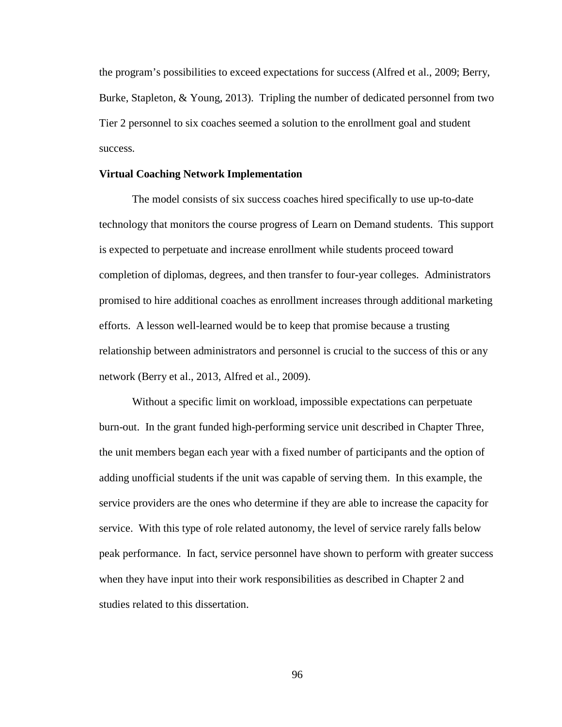the program's possibilities to exceed expectations for success (Alfred et al., 2009; Berry, Burke, Stapleton, & Young, 2013). Tripling the number of dedicated personnel from two Tier 2 personnel to six coaches seemed a solution to the enrollment goal and student success.

# **Virtual Coaching Network Implementation**

The model consists of six success coaches hired specifically to use up-to-date technology that monitors the course progress of Learn on Demand students. This support is expected to perpetuate and increase enrollment while students proceed toward completion of diplomas, degrees, and then transfer to four-year colleges. Administrators promised to hire additional coaches as enrollment increases through additional marketing efforts. A lesson well-learned would be to keep that promise because a trusting relationship between administrators and personnel is crucial to the success of this or any network (Berry et al., 2013, Alfred et al., 2009).

Without a specific limit on workload, impossible expectations can perpetuate burn-out. In the grant funded high-performing service unit described in Chapter Three, the unit members began each year with a fixed number of participants and the option of adding unofficial students if the unit was capable of serving them. In this example, the service providers are the ones who determine if they are able to increase the capacity for service. With this type of role related autonomy, the level of service rarely falls below peak performance. In fact, service personnel have shown to perform with greater success when they have input into their work responsibilities as described in Chapter 2 and studies related to this dissertation.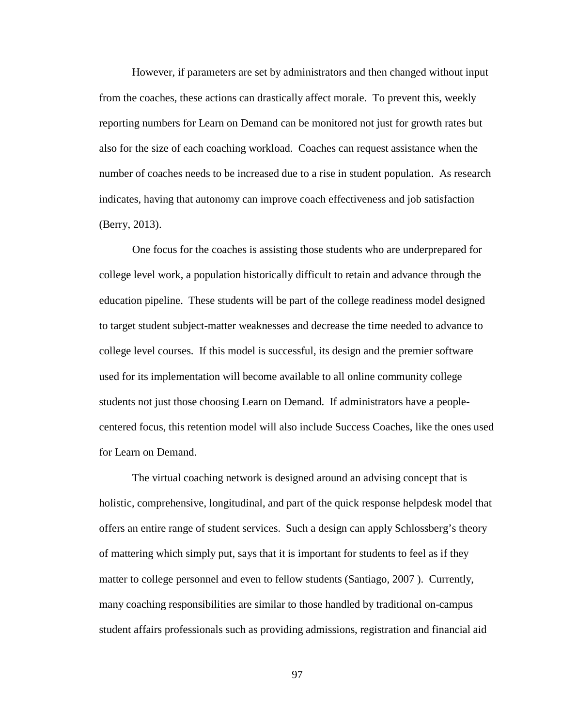However, if parameters are set by administrators and then changed without input from the coaches, these actions can drastically affect morale. To prevent this, weekly reporting numbers for Learn on Demand can be monitored not just for growth rates but also for the size of each coaching workload. Coaches can request assistance when the number of coaches needs to be increased due to a rise in student population. As research indicates, having that autonomy can improve coach effectiveness and job satisfaction (Berry, 2013).

One focus for the coaches is assisting those students who are underprepared for college level work, a population historically difficult to retain and advance through the education pipeline. These students will be part of the college readiness model designed to target student subject-matter weaknesses and decrease the time needed to advance to college level courses. If this model is successful, its design and the premier software used for its implementation will become available to all online community college students not just those choosing Learn on Demand. If administrators have a peoplecentered focus, this retention model will also include Success Coaches, like the ones used for Learn on Demand.

The virtual coaching network is designed around an advising concept that is holistic, comprehensive, longitudinal, and part of the quick response helpdesk model that offers an entire range of student services. Such a design can apply Schlossberg's theory of mattering which simply put, says that it is important for students to feel as if they matter to college personnel and even to fellow students (Santiago, 2007 ). Currently, many coaching responsibilities are similar to those handled by traditional on-campus student affairs professionals such as providing admissions, registration and financial aid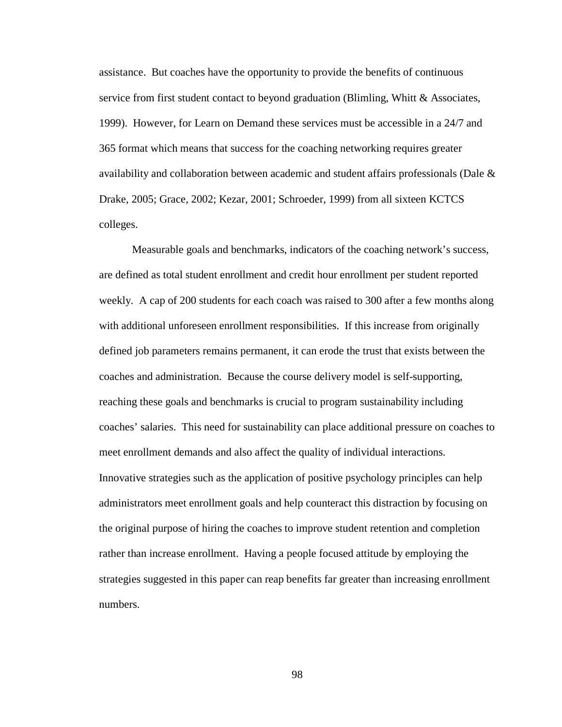assistance. But coaches have the opportunity to provide the benefits of continuous service from first student contact to beyond graduation (Blimling, Whitt & Associates, 1999). However, for Learn on Demand these services must be accessible in a 24/7 and 365 format which means that success for the coaching networking requires greater availability and collaboration between academic and student affairs professionals (Dale & Drake, 2005; Grace, 2002; Kezar, 2001; Schroeder, 1999) from all sixteen KCTCS colleges.

Measurable goals and benchmarks, indicators of the coaching network's success, are defined as total student enrollment and credit hour enrollment per student reported weekly. A cap of 200 students for each coach was raised to 300 after a few months along with additional unforeseen enrollment responsibilities. If this increase from originally defined job parameters remains permanent, it can erode the trust that exists between the coaches and administration. Because the course delivery model is self-supporting, reaching these goals and benchmarks is crucial to program sustainability including coaches' salaries. This need for sustainability can place additional pressure on coaches to meet enrollment demands and also affect the quality of individual interactions. Innovative strategies such as the application of positive psychology principles can help administrators meet enrollment goals and help counteract this distraction by focusing on the original purpose of hiring the coaches to improve student retention and completion rather than increase enrollment. Having a people focused attitude by employing the strategies suggested in this paper can reap benefits far greater than increasing enrollment numbers.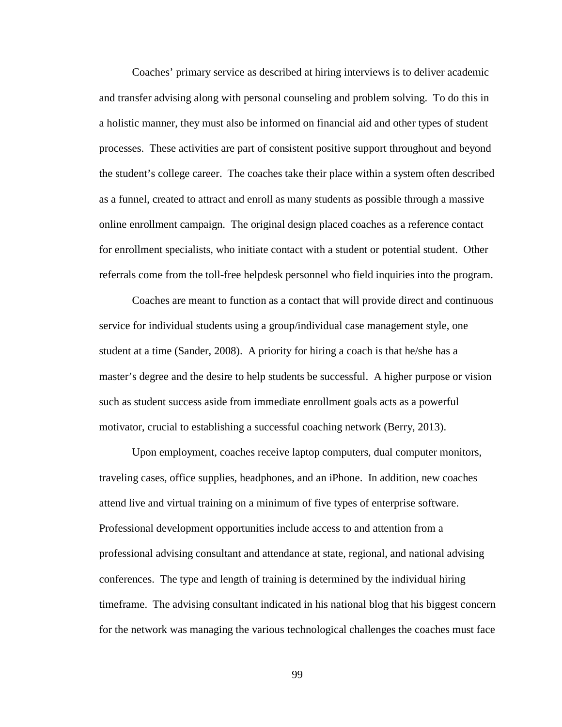Coaches' primary service as described at hiring interviews is to deliver academic and transfer advising along with personal counseling and problem solving. To do this in a holistic manner, they must also be informed on financial aid and other types of student processes. These activities are part of consistent positive support throughout and beyond the student's college career. The coaches take their place within a system often described as a funnel, created to attract and enroll as many students as possible through a massive online enrollment campaign. The original design placed coaches as a reference contact for enrollment specialists, who initiate contact with a student or potential student. Other referrals come from the toll-free helpdesk personnel who field inquiries into the program.

Coaches are meant to function as a contact that will provide direct and continuous service for individual students using a group/individual case management style, one student at a time (Sander, 2008). A priority for hiring a coach is that he/she has a master's degree and the desire to help students be successful. A higher purpose or vision such as student success aside from immediate enrollment goals acts as a powerful motivator, crucial to establishing a successful coaching network (Berry, 2013).

Upon employment, coaches receive laptop computers, dual computer monitors, traveling cases, office supplies, headphones, and an iPhone. In addition, new coaches attend live and virtual training on a minimum of five types of enterprise software. Professional development opportunities include access to and attention from a professional advising consultant and attendance at state, regional, and national advising conferences. The type and length of training is determined by the individual hiring timeframe. The advising consultant indicated in his national blog that his biggest concern for the network was managing the various technological challenges the coaches must face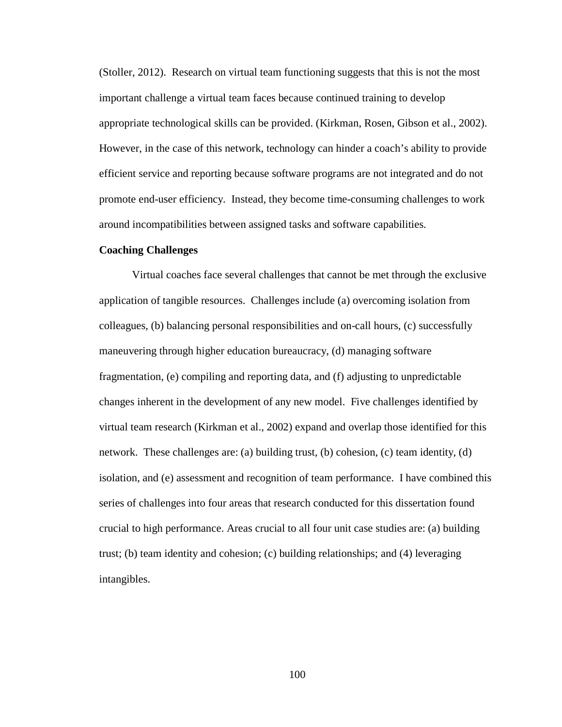(Stoller, 2012). Research on virtual team functioning suggests that this is not the most important challenge a virtual team faces because continued training to develop appropriate technological skills can be provided. (Kirkman, Rosen, Gibson et al., 2002). However, in the case of this network, technology can hinder a coach's ability to provide efficient service and reporting because software programs are not integrated and do not promote end-user efficiency. Instead, they become time-consuming challenges to work around incompatibilities between assigned tasks and software capabilities.

#### **Coaching Challenges**

Virtual coaches face several challenges that cannot be met through the exclusive application of tangible resources. Challenges include (a) overcoming isolation from colleagues, (b) balancing personal responsibilities and on-call hours, (c) successfully maneuvering through higher education bureaucracy, (d) managing software fragmentation, (e) compiling and reporting data, and (f) adjusting to unpredictable changes inherent in the development of any new model. Five challenges identified by virtual team research (Kirkman et al., 2002) expand and overlap those identified for this network. These challenges are: (a) building trust, (b) cohesion, (c) team identity, (d) isolation, and (e) assessment and recognition of team performance. I have combined this series of challenges into four areas that research conducted for this dissertation found crucial to high performance. Areas crucial to all four unit case studies are: (a) building trust; (b) team identity and cohesion; (c) building relationships; and (4) leveraging intangibles.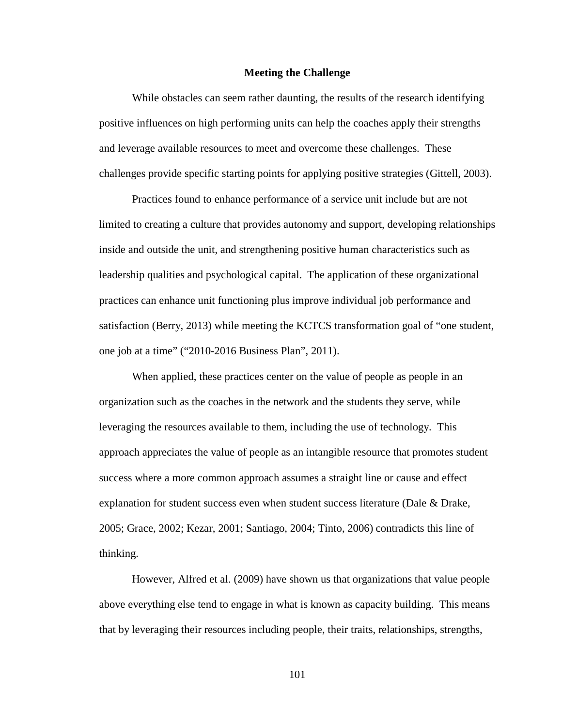## **Meeting the Challenge**

While obstacles can seem rather daunting, the results of the research identifying positive influences on high performing units can help the coaches apply their strengths and leverage available resources to meet and overcome these challenges. These challenges provide specific starting points for applying positive strategies (Gittell, 2003).

Practices found to enhance performance of a service unit include but are not limited to creating a culture that provides autonomy and support, developing relationships inside and outside the unit, and strengthening positive human characteristics such as leadership qualities and psychological capital. The application of these organizational practices can enhance unit functioning plus improve individual job performance and satisfaction (Berry, 2013) while meeting the KCTCS transformation goal of "one student, one job at a time" ("2010-2016 Business Plan", 2011).

When applied, these practices center on the value of people as people in an organization such as the coaches in the network and the students they serve, while leveraging the resources available to them, including the use of technology. This approach appreciates the value of people as an intangible resource that promotes student success where a more common approach assumes a straight line or cause and effect explanation for student success even when student success literature (Dale & Drake, 2005; Grace, 2002; Kezar, 2001; Santiago, 2004; Tinto, 2006) contradicts this line of thinking.

However, Alfred et al. (2009) have shown us that organizations that value people above everything else tend to engage in what is known as capacity building. This means that by leveraging their resources including people, their traits, relationships, strengths,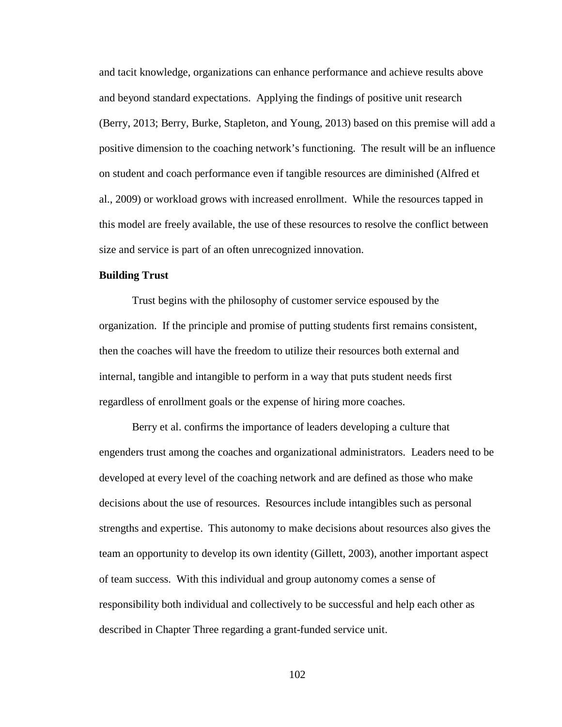and tacit knowledge, organizations can enhance performance and achieve results above and beyond standard expectations. Applying the findings of positive unit research (Berry, 2013; Berry, Burke, Stapleton, and Young, 2013) based on this premise will add a positive dimension to the coaching network's functioning. The result will be an influence on student and coach performance even if tangible resources are diminished (Alfred et al., 2009) or workload grows with increased enrollment. While the resources tapped in this model are freely available, the use of these resources to resolve the conflict between size and service is part of an often unrecognized innovation.

## **Building Trust**

Trust begins with the philosophy of customer service espoused by the organization. If the principle and promise of putting students first remains consistent, then the coaches will have the freedom to utilize their resources both external and internal, tangible and intangible to perform in a way that puts student needs first regardless of enrollment goals or the expense of hiring more coaches.

Berry et al. confirms the importance of leaders developing a culture that engenders trust among the coaches and organizational administrators. Leaders need to be developed at every level of the coaching network and are defined as those who make decisions about the use of resources. Resources include intangibles such as personal strengths and expertise. This autonomy to make decisions about resources also gives the team an opportunity to develop its own identity (Gillett, 2003), another important aspect of team success. With this individual and group autonomy comes a sense of responsibility both individual and collectively to be successful and help each other as described in Chapter Three regarding a grant-funded service unit.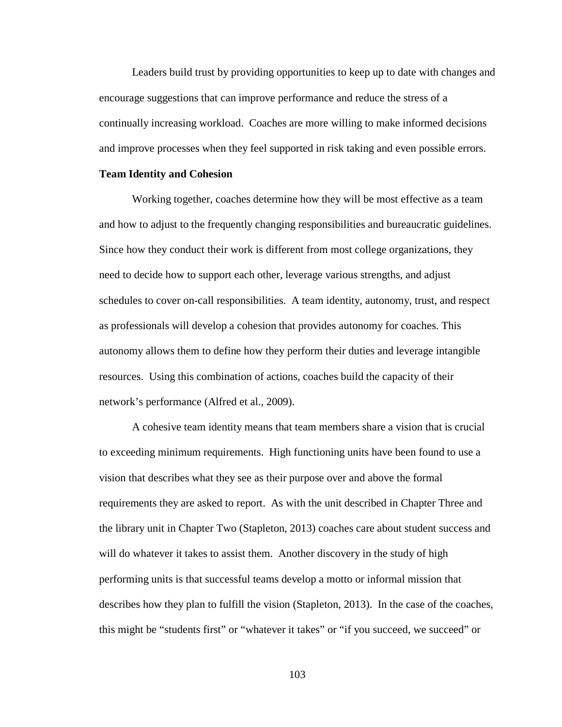Leaders build trust by providing opportunities to keep up to date with changes and encourage suggestions that can improve performance and reduce the stress of a continually increasing workload. Coaches are more willing to make informed decisions and improve processes when they feel supported in risk taking and even possible errors.

## **Team Identity and Cohesion**

Working together, coaches determine how they will be most effective as a team and how to adjust to the frequently changing responsibilities and bureaucratic guidelines. Since how they conduct their work is different from most college organizations, they need to decide how to support each other, leverage various strengths, and adjust schedules to cover on-call responsibilities. A team identity, autonomy, trust, and respect as professionals will develop a cohesion that provides autonomy for coaches. This autonomy allows them to define how they perform their duties and leverage intangible resources. Using this combination of actions, coaches build the capacity of their network's performance (Alfred et al., 2009).

A cohesive team identity means that team members share a vision that is crucial to exceeding minimum requirements. High functioning units have been found to use a vision that describes what they see as their purpose over and above the formal requirements they are asked to report. As with the unit described in Chapter Three and the library unit in Chapter Two (Stapleton, 2013) coaches care about student success and will do whatever it takes to assist them. Another discovery in the study of high performing units is that successful teams develop a motto or informal mission that describes how they plan to fulfill the vision (Stapleton, 2013). In the case of the coaches, this might be "students first" or "whatever it takes" or "if you succeed, we succeed" or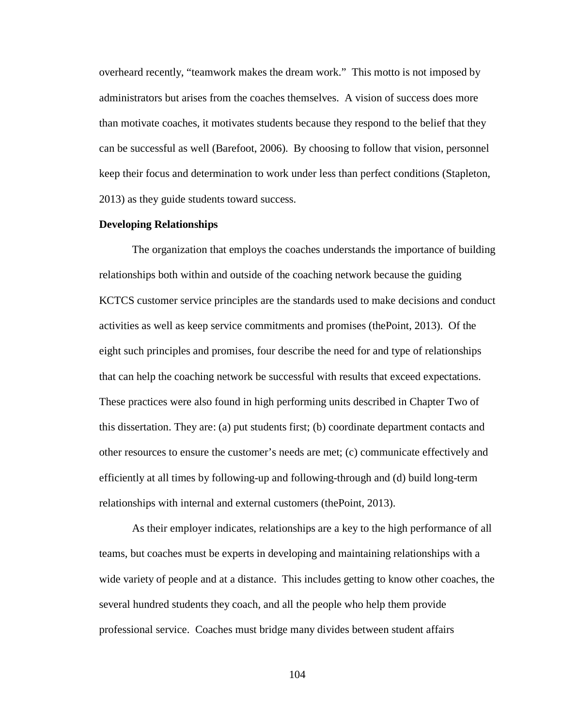overheard recently, "teamwork makes the dream work." This motto is not imposed by administrators but arises from the coaches themselves. A vision of success does more than motivate coaches, it motivates students because they respond to the belief that they can be successful as well (Barefoot, 2006). By choosing to follow that vision, personnel keep their focus and determination to work under less than perfect conditions (Stapleton, 2013) as they guide students toward success.

## **Developing Relationships**

The organization that employs the coaches understands the importance of building relationships both within and outside of the coaching network because the guiding KCTCS customer service principles are the standards used to make decisions and conduct activities as well as keep service commitments and promises (thePoint, 2013). Of the eight such principles and promises, four describe the need for and type of relationships that can help the coaching network be successful with results that exceed expectations. These practices were also found in high performing units described in Chapter Two of this dissertation. They are: (a) put students first; (b) coordinate department contacts and other resources to ensure the customer's needs are met; (c) communicate effectively and efficiently at all times by following-up and following-through and (d) build long-term relationships with internal and external customers (thePoint, 2013).

As their employer indicates, relationships are a key to the high performance of all teams, but coaches must be experts in developing and maintaining relationships with a wide variety of people and at a distance. This includes getting to know other coaches, the several hundred students they coach, and all the people who help them provide professional service. Coaches must bridge many divides between student affairs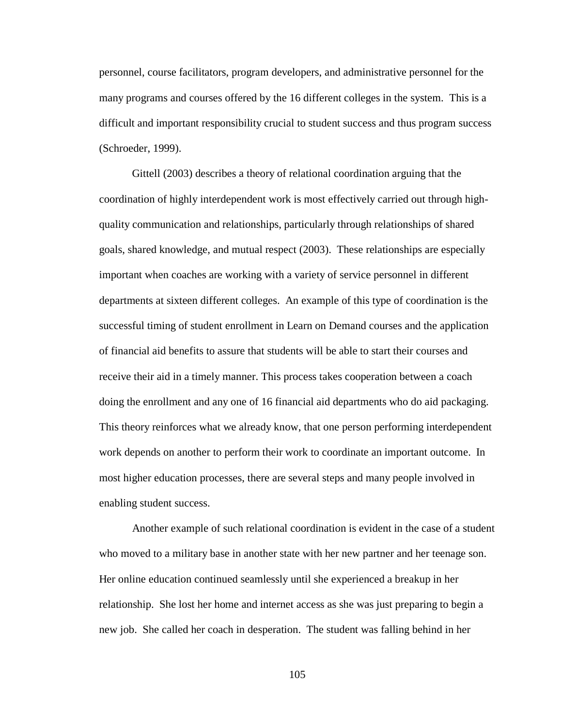personnel, course facilitators, program developers, and administrative personnel for the many programs and courses offered by the 16 different colleges in the system. This is a difficult and important responsibility crucial to student success and thus program success (Schroeder, 1999).

Gittell (2003) describes a theory of relational coordination arguing that the coordination of highly interdependent work is most effectively carried out through highquality communication and relationships, particularly through relationships of shared goals, shared knowledge, and mutual respect (2003). These relationships are especially important when coaches are working with a variety of service personnel in different departments at sixteen different colleges. An example of this type of coordination is the successful timing of student enrollment in Learn on Demand courses and the application of financial aid benefits to assure that students will be able to start their courses and receive their aid in a timely manner. This process takes cooperation between a coach doing the enrollment and any one of 16 financial aid departments who do aid packaging. This theory reinforces what we already know, that one person performing interdependent work depends on another to perform their work to coordinate an important outcome. In most higher education processes, there are several steps and many people involved in enabling student success.

Another example of such relational coordination is evident in the case of a student who moved to a military base in another state with her new partner and her teenage son. Her online education continued seamlessly until she experienced a breakup in her relationship. She lost her home and internet access as she was just preparing to begin a new job. She called her coach in desperation. The student was falling behind in her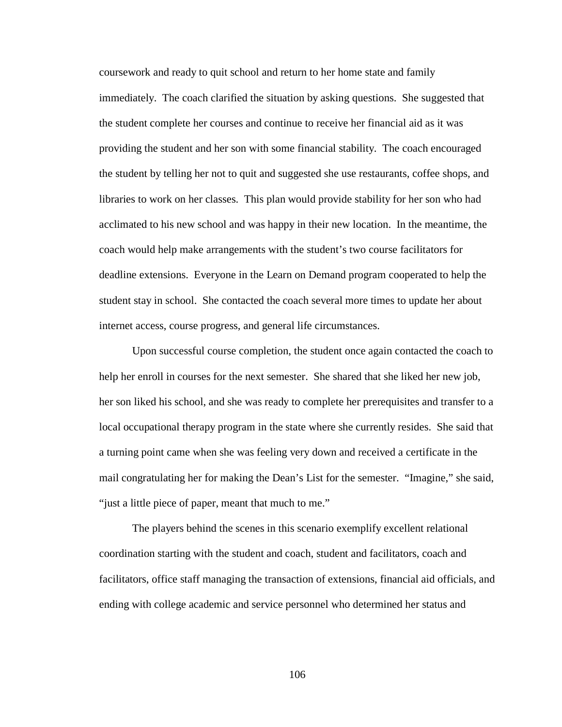coursework and ready to quit school and return to her home state and family immediately. The coach clarified the situation by asking questions. She suggested that the student complete her courses and continue to receive her financial aid as it was providing the student and her son with some financial stability. The coach encouraged the student by telling her not to quit and suggested she use restaurants, coffee shops, and libraries to work on her classes. This plan would provide stability for her son who had acclimated to his new school and was happy in their new location. In the meantime, the coach would help make arrangements with the student's two course facilitators for deadline extensions. Everyone in the Learn on Demand program cooperated to help the student stay in school. She contacted the coach several more times to update her about internet access, course progress, and general life circumstances.

Upon successful course completion, the student once again contacted the coach to help her enroll in courses for the next semester. She shared that she liked her new job, her son liked his school, and she was ready to complete her prerequisites and transfer to a local occupational therapy program in the state where she currently resides. She said that a turning point came when she was feeling very down and received a certificate in the mail congratulating her for making the Dean's List for the semester. "Imagine," she said, "just a little piece of paper, meant that much to me."

The players behind the scenes in this scenario exemplify excellent relational coordination starting with the student and coach, student and facilitators, coach and facilitators, office staff managing the transaction of extensions, financial aid officials, and ending with college academic and service personnel who determined her status and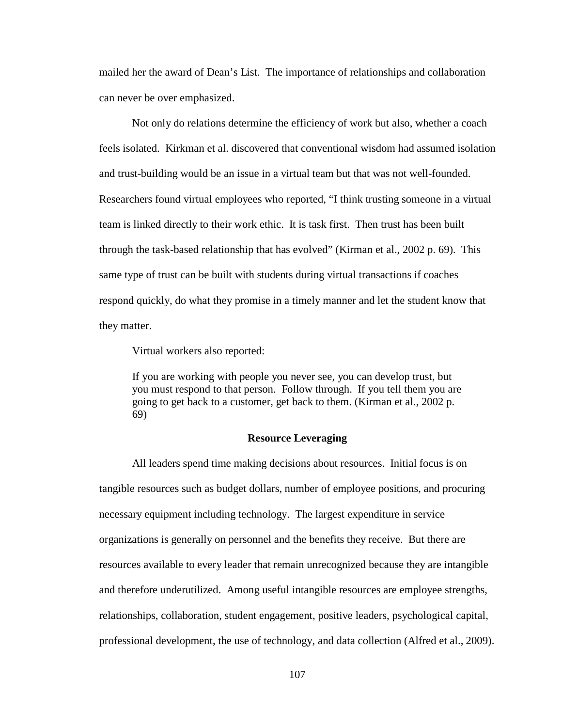mailed her the award of Dean's List. The importance of relationships and collaboration can never be over emphasized.

Not only do relations determine the efficiency of work but also, whether a coach feels isolated. Kirkman et al. discovered that conventional wisdom had assumed isolation and trust-building would be an issue in a virtual team but that was not well-founded. Researchers found virtual employees who reported, "I think trusting someone in a virtual team is linked directly to their work ethic. It is task first. Then trust has been built through the task-based relationship that has evolved" (Kirman et al., 2002 p. 69). This same type of trust can be built with students during virtual transactions if coaches respond quickly, do what they promise in a timely manner and let the student know that they matter.

Virtual workers also reported:

If you are working with people you never see, you can develop trust, but you must respond to that person. Follow through. If you tell them you are going to get back to a customer, get back to them. (Kirman et al., 2002 p. 69)

## **Resource Leveraging**

All leaders spend time making decisions about resources. Initial focus is on tangible resources such as budget dollars, number of employee positions, and procuring necessary equipment including technology. The largest expenditure in service organizations is generally on personnel and the benefits they receive. But there are resources available to every leader that remain unrecognized because they are intangible and therefore underutilized. Among useful intangible resources are employee strengths, relationships, collaboration, student engagement, positive leaders, psychological capital, professional development, the use of technology, and data collection (Alfred et al., 2009).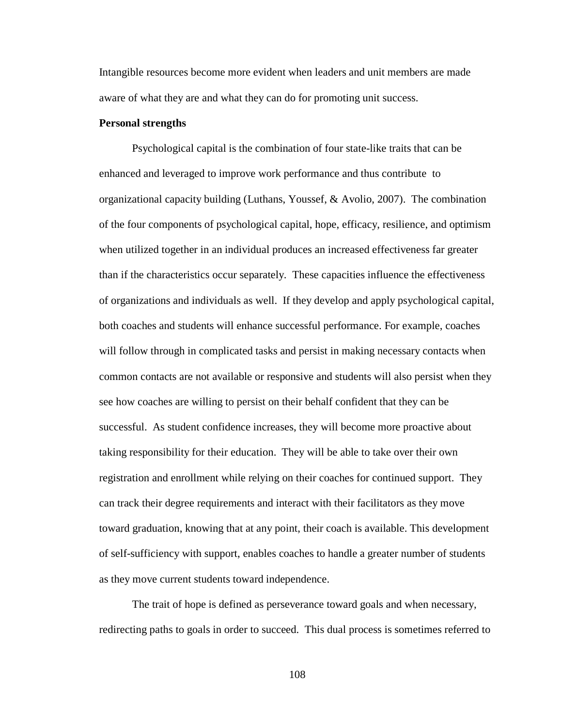Intangible resources become more evident when leaders and unit members are made aware of what they are and what they can do for promoting unit success.

## **Personal strengths**

Psychological capital is the combination of four state-like traits that can be enhanced and leveraged to improve work performance and thus contribute to organizational capacity building (Luthans, Youssef, & Avolio, 2007). The combination of the four components of psychological capital, hope, efficacy, resilience, and optimism when utilized together in an individual produces an increased effectiveness far greater than if the characteristics occur separately. These capacities influence the effectiveness of organizations and individuals as well. If they develop and apply psychological capital, both coaches and students will enhance successful performance. For example, coaches will follow through in complicated tasks and persist in making necessary contacts when common contacts are not available or responsive and students will also persist when they see how coaches are willing to persist on their behalf confident that they can be successful. As student confidence increases, they will become more proactive about taking responsibility for their education. They will be able to take over their own registration and enrollment while relying on their coaches for continued support. They can track their degree requirements and interact with their facilitators as they move toward graduation, knowing that at any point, their coach is available. This development of self-sufficiency with support, enables coaches to handle a greater number of students as they move current students toward independence.

The trait of hope is defined as perseverance toward goals and when necessary, redirecting paths to goals in order to succeed. This dual process is sometimes referred to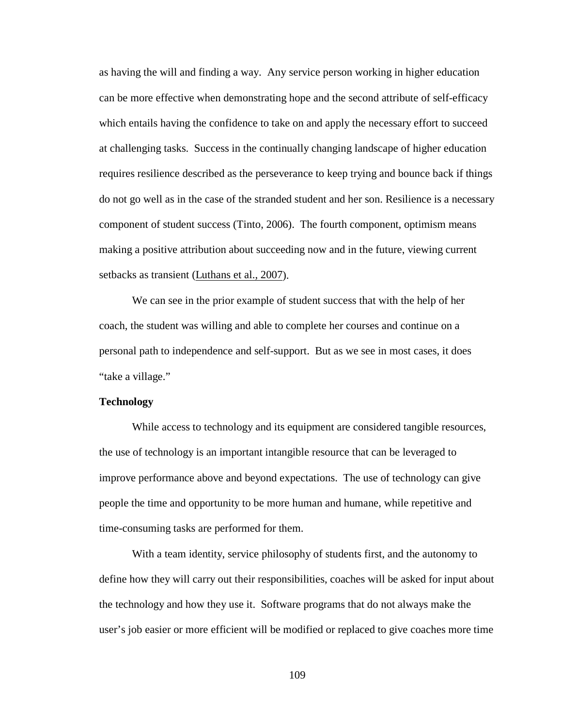as having the will and finding a way. Any service person working in higher education can be more effective when demonstrating hope and the second attribute of self-efficacy which entails having the confidence to take on and apply the necessary effort to succeed at challenging tasks. Success in the continually changing landscape of higher education requires resilience described as the perseverance to keep trying and bounce back if things do not go well as in the case of the stranded student and her son. Resilience is a necessary component of student success (Tinto, 2006). The fourth component, optimism means making a positive attribution about succeeding now and in the future, viewing current setbacks as transient (Luthans et al., 2007).

We can see in the prior example of student success that with the help of her coach, the student was willing and able to complete her courses and continue on a personal path to independence and self-support. But as we see in most cases, it does "take a village."

#### **Technology**

While access to technology and its equipment are considered tangible resources, the use of technology is an important intangible resource that can be leveraged to improve performance above and beyond expectations. The use of technology can give people the time and opportunity to be more human and humane, while repetitive and time-consuming tasks are performed for them.

With a team identity, service philosophy of students first, and the autonomy to define how they will carry out their responsibilities, coaches will be asked for input about the technology and how they use it. Software programs that do not always make the user's job easier or more efficient will be modified or replaced to give coaches more time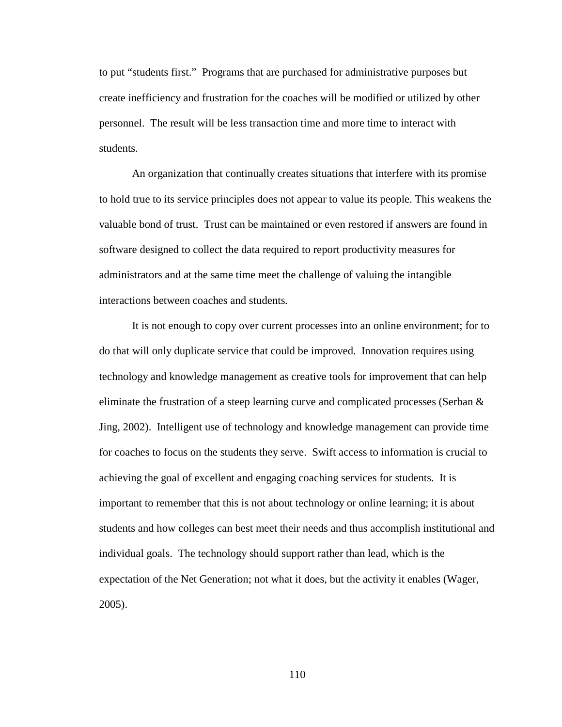to put "students first." Programs that are purchased for administrative purposes but create inefficiency and frustration for the coaches will be modified or utilized by other personnel. The result will be less transaction time and more time to interact with students.

An organization that continually creates situations that interfere with its promise to hold true to its service principles does not appear to value its people. This weakens the valuable bond of trust. Trust can be maintained or even restored if answers are found in software designed to collect the data required to report productivity measures for administrators and at the same time meet the challenge of valuing the intangible interactions between coaches and students.

It is not enough to copy over current processes into an online environment; for to do that will only duplicate service that could be improved. Innovation requires using technology and knowledge management as creative tools for improvement that can help eliminate the frustration of a steep learning curve and complicated processes (Serban & Jing, 2002). Intelligent use of technology and knowledge management can provide time for coaches to focus on the students they serve. Swift access to information is crucial to achieving the goal of excellent and engaging coaching services for students. It is important to remember that this is not about technology or online learning; it is about students and how colleges can best meet their needs and thus accomplish institutional and individual goals. The technology should support rather than lead, which is the expectation of the Net Generation; not what it does, but the activity it enables (Wager, 2005).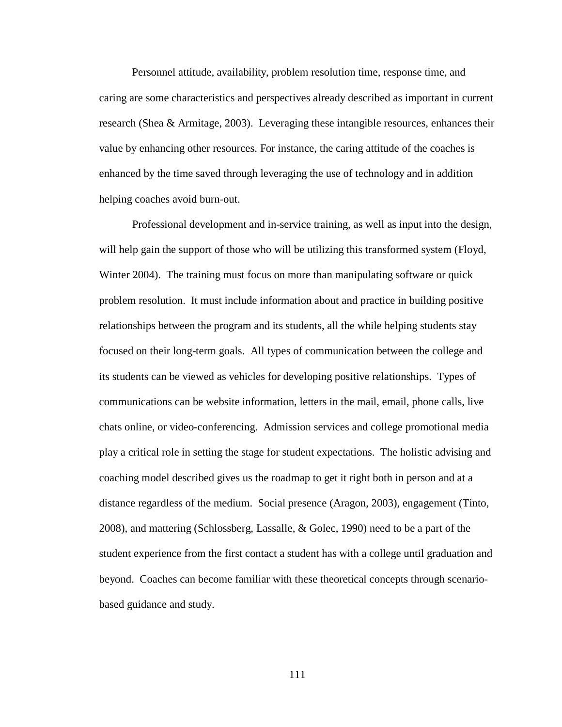Personnel attitude, availability, problem resolution time, response time, and caring are some characteristics and perspectives already described as important in current research (Shea & Armitage, 2003). Leveraging these intangible resources, enhances their value by enhancing other resources. For instance, the caring attitude of the coaches is enhanced by the time saved through leveraging the use of technology and in addition helping coaches avoid burn-out.

Professional development and in-service training, as well as input into the design, will help gain the support of those who will be utilizing this transformed system (Floyd, Winter 2004). The training must focus on more than manipulating software or quick problem resolution. It must include information about and practice in building positive relationships between the program and its students, all the while helping students stay focused on their long-term goals. All types of communication between the college and its students can be viewed as vehicles for developing positive relationships. Types of communications can be website information, letters in the mail, email, phone calls, live chats online, or video-conferencing. Admission services and college promotional media play a critical role in setting the stage for student expectations. The holistic advising and coaching model described gives us the roadmap to get it right both in person and at a distance regardless of the medium. Social presence (Aragon, 2003), engagement (Tinto, 2008), and mattering (Schlossberg, Lassalle, & Golec, 1990) need to be a part of the student experience from the first contact a student has with a college until graduation and beyond. Coaches can become familiar with these theoretical concepts through scenariobased guidance and study.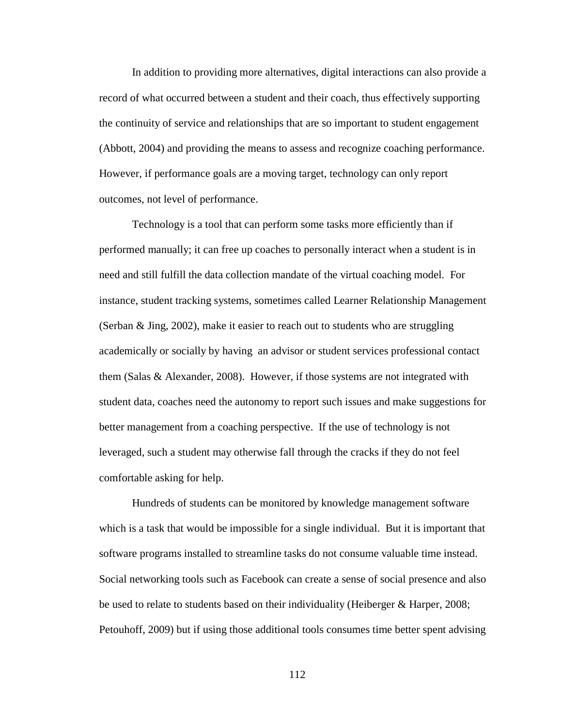In addition to providing more alternatives, digital interactions can also provide a record of what occurred between a student and their coach, thus effectively supporting the continuity of service and relationships that are so important to student engagement (Abbott, 2004) and providing the means to assess and recognize coaching performance. However, if performance goals are a moving target, technology can only report outcomes, not level of performance.

Technology is a tool that can perform some tasks more efficiently than if performed manually; it can free up coaches to personally interact when a student is in need and still fulfill the data collection mandate of the virtual coaching model. For instance, student tracking systems, sometimes called Learner Relationship Management (Serban & Jing, 2002), make it easier to reach out to students who are struggling academically or socially by having an advisor or student services professional contact them (Salas & Alexander, 2008). However, if those systems are not integrated with student data, coaches need the autonomy to report such issues and make suggestions for better management from a coaching perspective. If the use of technology is not leveraged, such a student may otherwise fall through the cracks if they do not feel comfortable asking for help.

Hundreds of students can be monitored by knowledge management software which is a task that would be impossible for a single individual. But it is important that software programs installed to streamline tasks do not consume valuable time instead. Social networking tools such as Facebook can create a sense of social presence and also be used to relate to students based on their individuality (Heiberger & Harper, 2008; Petouhoff, 2009) but if using those additional tools consumes time better spent advising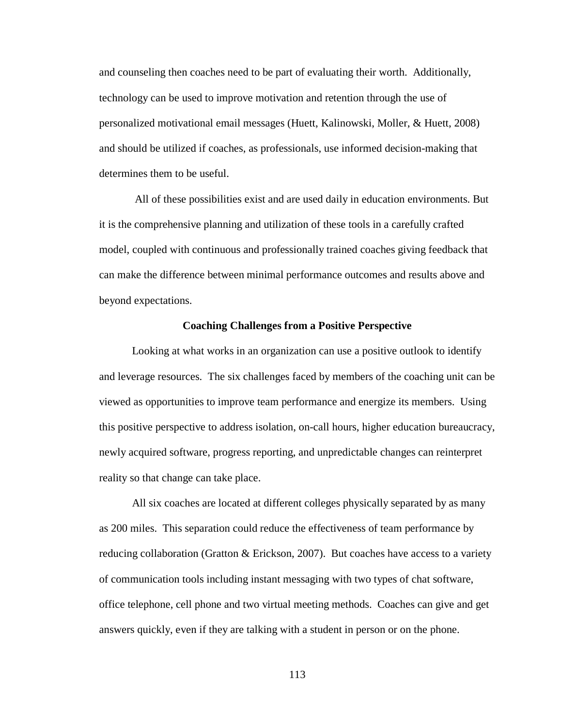and counseling then coaches need to be part of evaluating their worth. Additionally, technology can be used to improve motivation and retention through the use of personalized motivational email messages (Huett, Kalinowski, Moller, & Huett, 2008) and should be utilized if coaches, as professionals, use informed decision-making that determines them to be useful.

All of these possibilities exist and are used daily in education environments. But it is the comprehensive planning and utilization of these tools in a carefully crafted model, coupled with continuous and professionally trained coaches giving feedback that can make the difference between minimal performance outcomes and results above and beyond expectations.

## **Coaching Challenges from a Positive Perspective**

Looking at what works in an organization can use a positive outlook to identify and leverage resources. The six challenges faced by members of the coaching unit can be viewed as opportunities to improve team performance and energize its members. Using this positive perspective to address isolation, on-call hours, higher education bureaucracy, newly acquired software, progress reporting, and unpredictable changes can reinterpret reality so that change can take place.

All six coaches are located at different colleges physically separated by as many as 200 miles. This separation could reduce the effectiveness of team performance by reducing collaboration (Gratton & Erickson, 2007). But coaches have access to a variety of communication tools including instant messaging with two types of chat software, office telephone, cell phone and two virtual meeting methods. Coaches can give and get answers quickly, even if they are talking with a student in person or on the phone.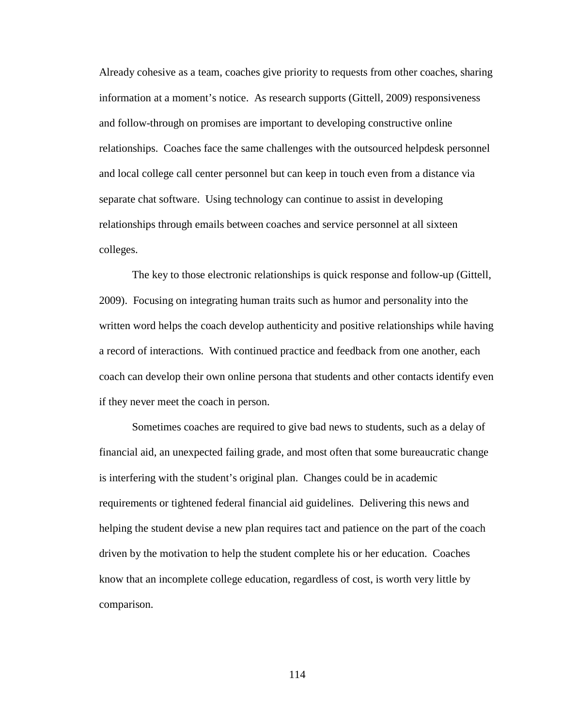Already cohesive as a team, coaches give priority to requests from other coaches, sharing information at a moment's notice. As research supports (Gittell, 2009) responsiveness and follow-through on promises are important to developing constructive online relationships. Coaches face the same challenges with the outsourced helpdesk personnel and local college call center personnel but can keep in touch even from a distance via separate chat software. Using technology can continue to assist in developing relationships through emails between coaches and service personnel at all sixteen colleges.

The key to those electronic relationships is quick response and follow-up (Gittell, 2009). Focusing on integrating human traits such as humor and personality into the written word helps the coach develop authenticity and positive relationships while having a record of interactions. With continued practice and feedback from one another, each coach can develop their own online persona that students and other contacts identify even if they never meet the coach in person.

Sometimes coaches are required to give bad news to students, such as a delay of financial aid, an unexpected failing grade, and most often that some bureaucratic change is interfering with the student's original plan. Changes could be in academic requirements or tightened federal financial aid guidelines. Delivering this news and helping the student devise a new plan requires tact and patience on the part of the coach driven by the motivation to help the student complete his or her education. Coaches know that an incomplete college education, regardless of cost, is worth very little by comparison.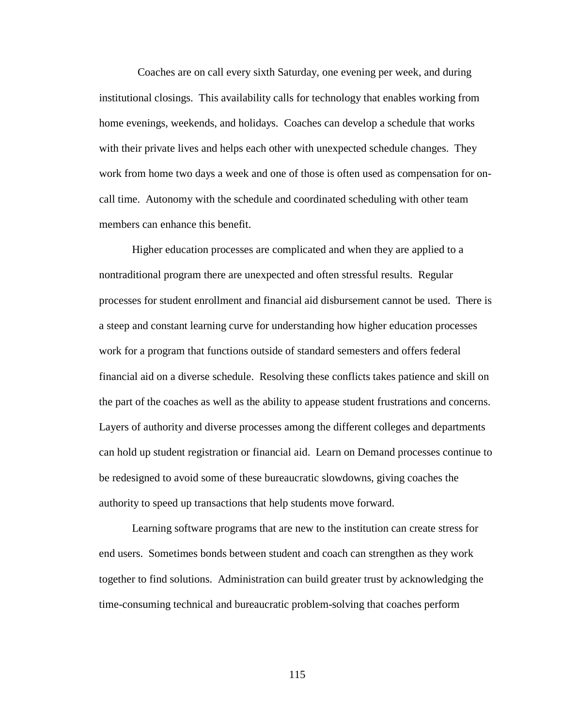Coaches are on call every sixth Saturday, one evening per week, and during institutional closings. This availability calls for technology that enables working from home evenings, weekends, and holidays. Coaches can develop a schedule that works with their private lives and helps each other with unexpected schedule changes. They work from home two days a week and one of those is often used as compensation for oncall time. Autonomy with the schedule and coordinated scheduling with other team members can enhance this benefit.

Higher education processes are complicated and when they are applied to a nontraditional program there are unexpected and often stressful results. Regular processes for student enrollment and financial aid disbursement cannot be used. There is a steep and constant learning curve for understanding how higher education processes work for a program that functions outside of standard semesters and offers federal financial aid on a diverse schedule. Resolving these conflicts takes patience and skill on the part of the coaches as well as the ability to appease student frustrations and concerns. Layers of authority and diverse processes among the different colleges and departments can hold up student registration or financial aid. Learn on Demand processes continue to be redesigned to avoid some of these bureaucratic slowdowns, giving coaches the authority to speed up transactions that help students move forward.

Learning software programs that are new to the institution can create stress for end users. Sometimes bonds between student and coach can strengthen as they work together to find solutions. Administration can build greater trust by acknowledging the time-consuming technical and bureaucratic problem-solving that coaches perform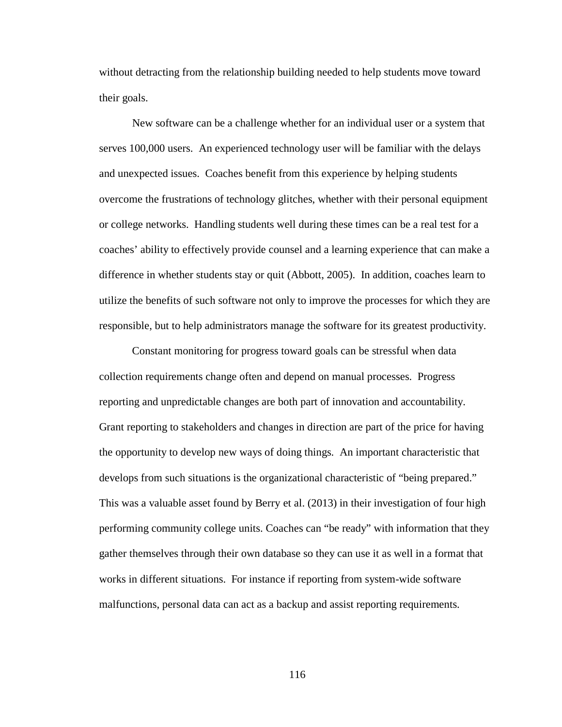without detracting from the relationship building needed to help students move toward their goals.

New software can be a challenge whether for an individual user or a system that serves 100,000 users. An experienced technology user will be familiar with the delays and unexpected issues. Coaches benefit from this experience by helping students overcome the frustrations of technology glitches, whether with their personal equipment or college networks. Handling students well during these times can be a real test for a coaches' ability to effectively provide counsel and a learning experience that can make a difference in whether students stay or quit (Abbott, 2005). In addition, coaches learn to utilize the benefits of such software not only to improve the processes for which they are responsible, but to help administrators manage the software for its greatest productivity.

Constant monitoring for progress toward goals can be stressful when data collection requirements change often and depend on manual processes. Progress reporting and unpredictable changes are both part of innovation and accountability. Grant reporting to stakeholders and changes in direction are part of the price for having the opportunity to develop new ways of doing things. An important characteristic that develops from such situations is the organizational characteristic of "being prepared." This was a valuable asset found by Berry et al. (2013) in their investigation of four high performing community college units. Coaches can "be ready" with information that they gather themselves through their own database so they can use it as well in a format that works in different situations. For instance if reporting from system-wide software malfunctions, personal data can act as a backup and assist reporting requirements.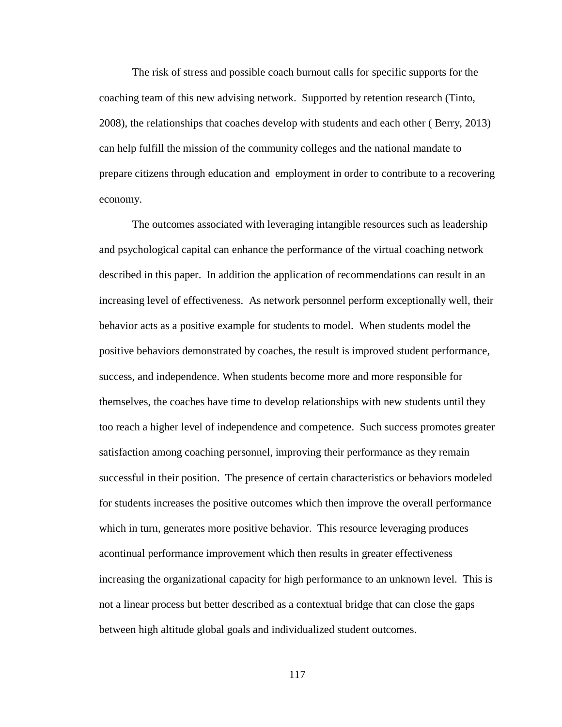The risk of stress and possible coach burnout calls for specific supports for the coaching team of this new advising network. Supported by retention research (Tinto, 2008), the relationships that coaches develop with students and each other ( Berry, 2013) can help fulfill the mission of the community colleges and the national mandate to prepare citizens through education and employment in order to contribute to a recovering economy.

The outcomes associated with leveraging intangible resources such as leadership and psychological capital can enhance the performance of the virtual coaching network described in this paper. In addition the application of recommendations can result in an increasing level of effectiveness. As network personnel perform exceptionally well, their behavior acts as a positive example for students to model. When students model the positive behaviors demonstrated by coaches, the result is improved student performance, success, and independence. When students become more and more responsible for themselves, the coaches have time to develop relationships with new students until they too reach a higher level of independence and competence. Such success promotes greater satisfaction among coaching personnel, improving their performance as they remain successful in their position. The presence of certain characteristics or behaviors modeled for students increases the positive outcomes which then improve the overall performance which in turn, generates more positive behavior. This resource leveraging produces acontinual performance improvement which then results in greater effectiveness increasing the organizational capacity for high performance to an unknown level. This is not a linear process but better described as a contextual bridge that can close the gaps between high altitude global goals and individualized student outcomes.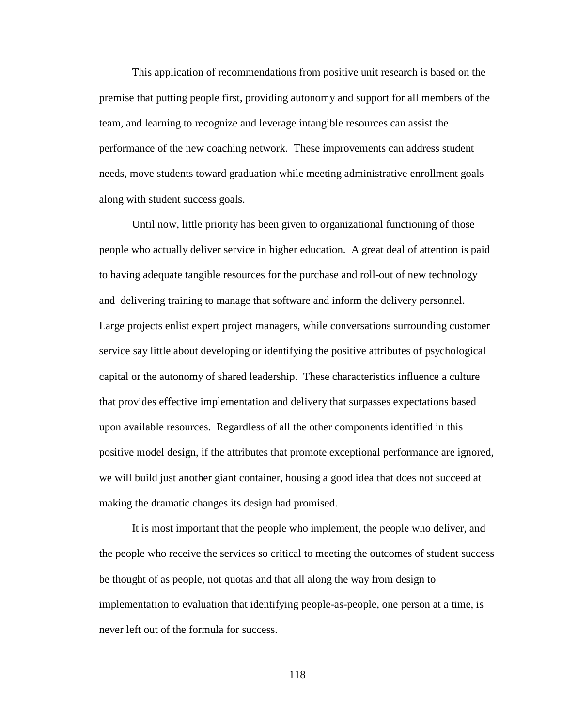This application of recommendations from positive unit research is based on the premise that putting people first, providing autonomy and support for all members of the team, and learning to recognize and leverage intangible resources can assist the performance of the new coaching network. These improvements can address student needs, move students toward graduation while meeting administrative enrollment goals along with student success goals.

Until now, little priority has been given to organizational functioning of those people who actually deliver service in higher education. A great deal of attention is paid to having adequate tangible resources for the purchase and roll-out of new technology and delivering training to manage that software and inform the delivery personnel. Large projects enlist expert project managers, while conversations surrounding customer service say little about developing or identifying the positive attributes of psychological capital or the autonomy of shared leadership. These characteristics influence a culture that provides effective implementation and delivery that surpasses expectations based upon available resources. Regardless of all the other components identified in this positive model design, if the attributes that promote exceptional performance are ignored, we will build just another giant container, housing a good idea that does not succeed at making the dramatic changes its design had promised.

It is most important that the people who implement, the people who deliver, and the people who receive the services so critical to meeting the outcomes of student success be thought of as people, not quotas and that all along the way from design to implementation to evaluation that identifying people-as-people, one person at a time, is never left out of the formula for success.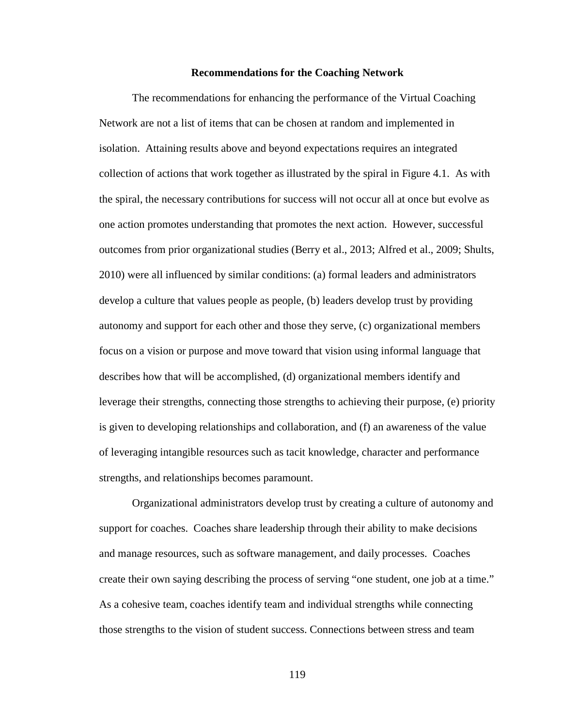#### **Recommendations for the Coaching Network**

The recommendations for enhancing the performance of the Virtual Coaching Network are not a list of items that can be chosen at random and implemented in isolation. Attaining results above and beyond expectations requires an integrated collection of actions that work together as illustrated by the spiral in Figure 4.1. As with the spiral, the necessary contributions for success will not occur all at once but evolve as one action promotes understanding that promotes the next action. However, successful outcomes from prior organizational studies (Berry et al., 2013; Alfred et al., 2009; Shults, 2010) were all influenced by similar conditions: (a) formal leaders and administrators develop a culture that values people as people, (b) leaders develop trust by providing autonomy and support for each other and those they serve, (c) organizational members focus on a vision or purpose and move toward that vision using informal language that describes how that will be accomplished, (d) organizational members identify and leverage their strengths, connecting those strengths to achieving their purpose, (e) priority is given to developing relationships and collaboration, and (f) an awareness of the value of leveraging intangible resources such as tacit knowledge, character and performance strengths, and relationships becomes paramount.

Organizational administrators develop trust by creating a culture of autonomy and support for coaches. Coaches share leadership through their ability to make decisions and manage resources, such as software management, and daily processes. Coaches create their own saying describing the process of serving "one student, one job at a time." As a cohesive team, coaches identify team and individual strengths while connecting those strengths to the vision of student success. Connections between stress and team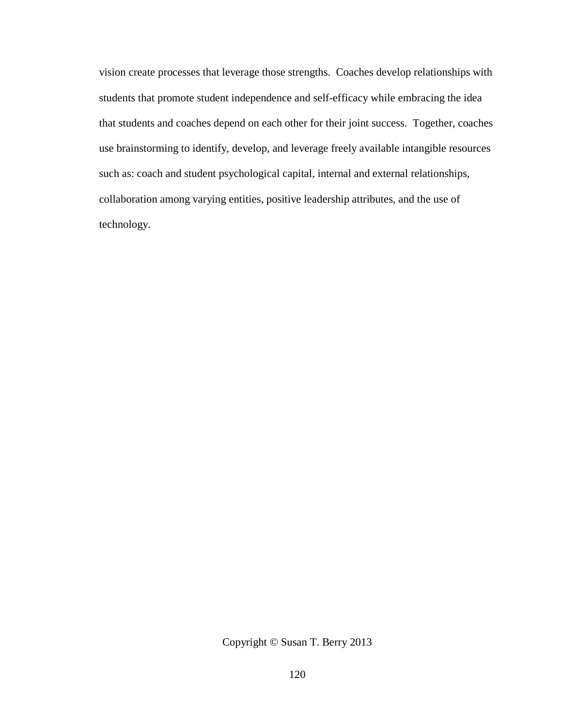vision create processes that leverage those strengths. Coaches develop relationships with students that promote student independence and self-efficacy while embracing the idea that students and coaches depend on each other for their joint success. Together, coaches use brainstorming to identify, develop, and leverage freely available intangible resources such as: coach and student psychological capital, internal and external relationships, collaboration among varying entities, positive leadership attributes, and the use of technology.

Copyright © Susan T. Berry 2013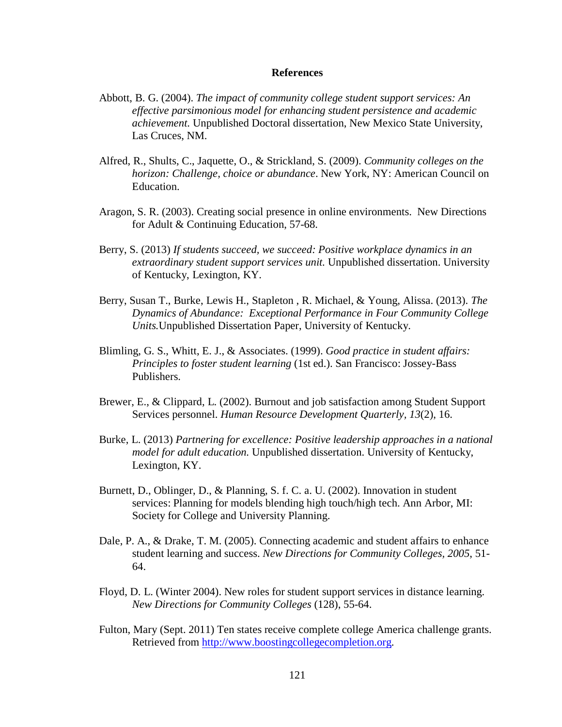#### **References**

- Abbott, B. G. (2004). *The impact of community college student support services: An effective parsimonious model for enhancing student persistence and academic achievement.* Unpublished Doctoral dissertation, New Mexico State University, Las Cruces, NM.
- Alfred, R., Shults, C., Jaquette, O., & Strickland, S. (2009). *Community colleges on the horizon: Challenge, choice or abundance*. New York, NY: American Council on Education.
- Aragon, S. R. (2003). Creating social presence in online environments. New Directions for Adult & Continuing Education, 57-68.
- Berry, S. (2013) *If students succeed, we succeed: Positive workplace dynamics in an extraordinary student support services unit.* Unpublished dissertation. University of Kentucky, Lexington, KY.
- Berry, Susan T., Burke, Lewis H., Stapleton , R. Michael, & Young, Alissa. (2013). *The Dynamics of Abundance: Exceptional Performance in Four Community College Units.*Unpublished Dissertation Paper, University of Kentucky.
- Blimling, G. S., Whitt, E. J., & Associates. (1999). *Good practice in student affairs: Principles to foster student learning* (1st ed.). San Francisco: Jossey-Bass Publishers.
- Brewer, E., & Clippard, L. (2002). Burnout and job satisfaction among Student Support Services personnel. *Human Resource Development Quarterly, 13*(2), 16.
- Burke, L. (2013) *Partnering for excellence: Positive leadership approaches in a national model for adult education.* Unpublished dissertation. University of Kentucky, Lexington, KY.
- Burnett, D., Oblinger, D., & Planning, S. f. C. a. U. (2002). Innovation in student services: Planning for models blending high touch/high tech. Ann Arbor, MI: Society for College and University Planning.
- Dale, P. A., & Drake, T. M. (2005). Connecting academic and student affairs to enhance student learning and success. *New Directions for Community Colleges, 2005*, 51- 64.
- Floyd, D. L. (Winter 2004). New roles for student support services in distance learning. *New Directions for Community Colleges* (128), 55-64.
- Fulton, Mary (Sept. 2011) Ten states receive complete college America challenge grants. Retrieved from [http://www.boostingcollegecompletion.org.](http://www.boostingcollegecompletion.org/)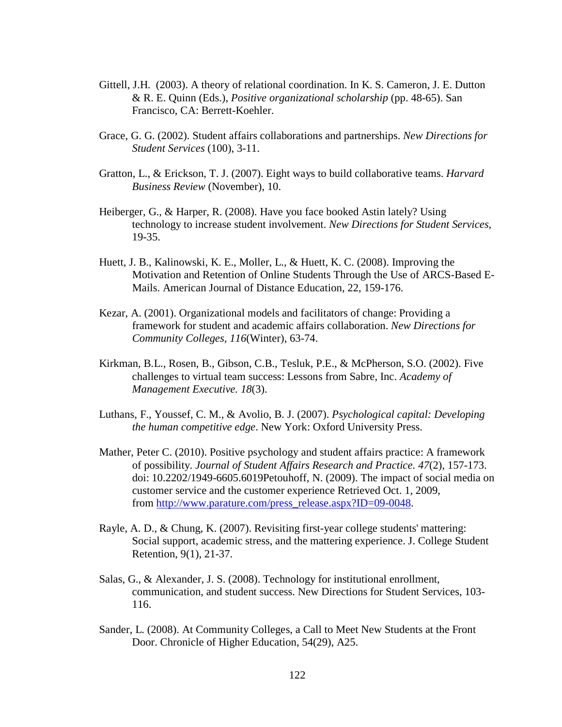- Gittell, J.H. (2003). A theory of relational coordination. In K. S. Cameron, J. E. Dutton & R. E. Quinn (Eds.), *Positive organizational scholarship* (pp. 48-65). San Francisco, CA: Berrett-Koehler.
- Grace, G. G. (2002). Student affairs collaborations and partnerships. *New Directions for Student Services* (100), 3-11.
- Gratton, L., & Erickson, T. J. (2007). Eight ways to build collaborative teams. *Harvard Business Review* (November), 10.
- Heiberger, G., & Harper, R. (2008). Have you face booked Astin lately? Using technology to increase student involvement. *New Directions for Student Services,* 19-35.
- Huett, J. B., Kalinowski, K. E., Moller, L., & Huett, K. C. (2008). Improving the Motivation and Retention of Online Students Through the Use of ARCS-Based E-Mails. American Journal of Distance Education, 22, 159-176.
- Kezar, A. (2001). Organizational models and facilitators of change: Providing a framework for student and academic affairs collaboration. *New Directions for Community Colleges, 116*(Winter), 63-74.
- Kirkman, B.L., Rosen, B., Gibson, C.B., Tesluk, P.E., & McPherson, S.O. (2002). Five challenges to virtual team success: Lessons from Sabre, Inc. *Academy of Management Executive. 18*(3).
- Luthans, F., Youssef, C. M., & Avolio, B. J. (2007). *Psychological capital: Developing the human competitive edge*. New York: Oxford University Press.
- Mather, Peter C. (2010). Positive psychology and student affairs practice: A framework of possibility. *Journal of Student Affairs Research and Practice. 47*(2), 157-173. doi: 10.2202/1949-6605.6019Petouhoff, N. (2009). The impact of social media on customer service and the customer experience Retrieved Oct. 1, 2009, from [http://www.parature.com/press\\_release.aspx?ID=09-0048.](http://www.parature.com/press_release.aspx?ID=09-0048)
- Rayle, A. D., & Chung, K. (2007). Revisiting first-year college students' mattering: Social support, academic stress, and the mattering experience. J. College Student Retention, 9(1), 21-37.
- Salas, G., & Alexander, J. S. (2008). Technology for institutional enrollment, communication, and student success. New Directions for Student Services, 103- 116.
- Sander, L. (2008). At Community Colleges, a Call to Meet New Students at the Front Door. Chronicle of Higher Education, 54(29), A25.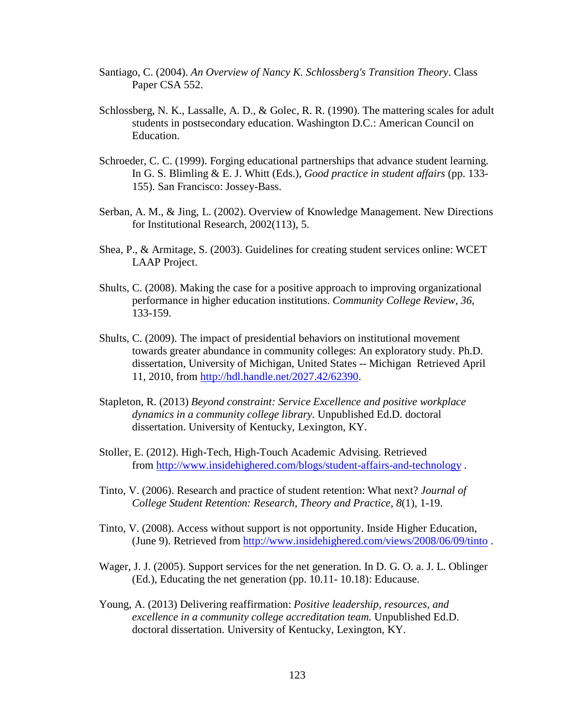- Santiago, C. (2004). *An Overview of Nancy K. Schlossberg's Transition Theory*. Class Paper CSA 552.
- Schlossberg, N. K., Lassalle, A. D., & Golec, R. R. (1990). The mattering scales for adult students in postsecondary education. Washington D.C.: American Council on Education.
- Schroeder, C. C. (1999). Forging educational partnerships that advance student learning. In G. S. Blimling & E. J. Whitt (Eds.), *Good practice in student affairs* (pp. 133- 155). San Francisco: Jossey-Bass.
- Serban, A. M., & Jing, L. (2002). Overview of Knowledge Management. New Directions for Institutional Research, 2002(113), 5.
- Shea, P., & Armitage, S. (2003). Guidelines for creating student services online: WCET LAAP Project.
- Shults, C. (2008). Making the case for a positive approach to improving organizational performance in higher education institutions. *Community College Review, 36*, 133-159.
- Shults, C. (2009). The impact of presidential behaviors on institutional movement towards greater abundance in community colleges: An exploratory study. Ph.D. dissertation, University of Michigan, United States -- Michigan Retrieved April 11, 2010, from [http://hdl.handle.net/2027.42/62390.](http://hdl.handle.net/2027.42/62390)
- Stapleton, R. (2013) *Beyond constraint: Service Excellence and positive workplace dynamics in a community college library.* Unpublished Ed.D. doctoral dissertation. University of Kentucky, Lexington, KY.
- Stoller, E. (2012). High-Tech, High-Touch Academic Advising. Retrieved from<http://www.insidehighered.com/blogs/student-affairs-and-technology> .
- Tinto, V. (2006). Research and practice of student retention: What next? *Journal of College Student Retention: Research, Theory and Practice, 8*(1), 1-19.
- Tinto, V. (2008). Access without support is not opportunity. Inside Higher Education, (June 9). Retrieved from<http://www.insidehighered.com/views/2008/06/09/tinto> .
- Wager, J. J. (2005). Support services for the net generation. In D. G. O. a. J. L. Oblinger (Ed.), Educating the net generation (pp. 10.11- 10.18): Educause.
- Young, A. (2013) Delivering reaffirmation: *Positive leadership, resources, and excellence in a community college accreditation team.* Unpublished Ed.D. doctoral dissertation. University of Kentucky, Lexington, KY.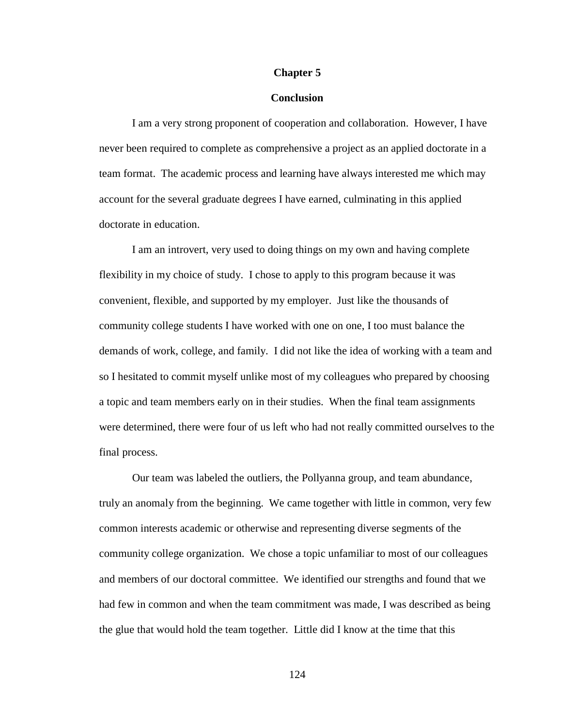#### **Chapter 5**

## **Conclusion**

I am a very strong proponent of cooperation and collaboration. However, I have never been required to complete as comprehensive a project as an applied doctorate in a team format. The academic process and learning have always interested me which may account for the several graduate degrees I have earned, culminating in this applied doctorate in education.

I am an introvert, very used to doing things on my own and having complete flexibility in my choice of study. I chose to apply to this program because it was convenient, flexible, and supported by my employer. Just like the thousands of community college students I have worked with one on one, I too must balance the demands of work, college, and family. I did not like the idea of working with a team and so I hesitated to commit myself unlike most of my colleagues who prepared by choosing a topic and team members early on in their studies. When the final team assignments were determined, there were four of us left who had not really committed ourselves to the final process.

Our team was labeled the outliers, the Pollyanna group, and team abundance, truly an anomaly from the beginning. We came together with little in common, very few common interests academic or otherwise and representing diverse segments of the community college organization. We chose a topic unfamiliar to most of our colleagues and members of our doctoral committee. We identified our strengths and found that we had few in common and when the team commitment was made, I was described as being the glue that would hold the team together. Little did I know at the time that this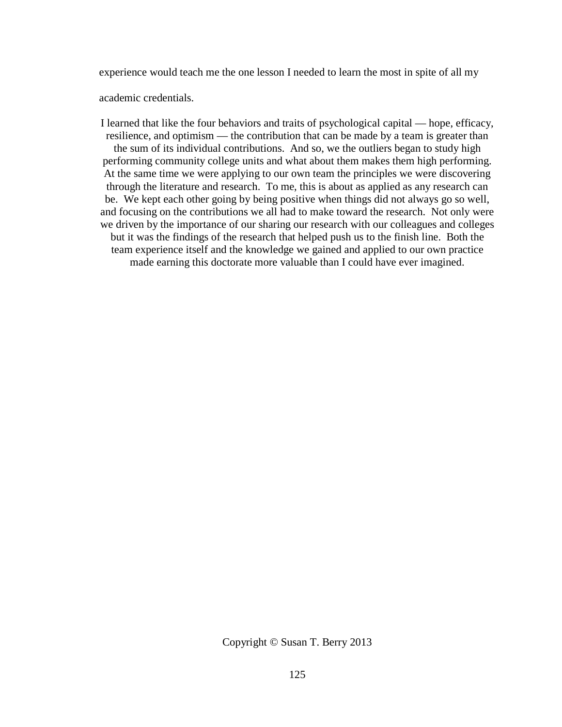experience would teach me the one lesson I needed to learn the most in spite of all my

academic credentials.

I learned that like the four behaviors and traits of psychological capital — hope, efficacy, resilience, and optimism — the contribution that can be made by a team is greater than the sum of its individual contributions. And so, we the outliers began to study high performing community college units and what about them makes them high performing. At the same time we were applying to our own team the principles we were discovering through the literature and research. To me, this is about as applied as any research can be. We kept each other going by being positive when things did not always go so well, and focusing on the contributions we all had to make toward the research. Not only were we driven by the importance of our sharing our research with our colleagues and colleges but it was the findings of the research that helped push us to the finish line. Both the team experience itself and the knowledge we gained and applied to our own practice made earning this doctorate more valuable than I could have ever imagined.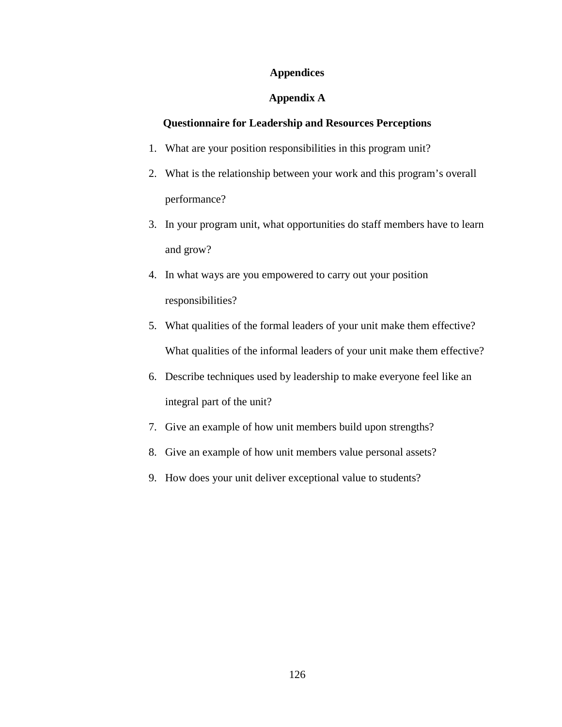## **Appendices**

## **Appendix A**

## **Questionnaire for Leadership and Resources Perceptions**

- 1. What are your position responsibilities in this program unit?
- 2. What is the relationship between your work and this program's overall performance?
- 3. In your program unit, what opportunities do staff members have to learn and grow?
- 4. In what ways are you empowered to carry out your position responsibilities?
- 5. What qualities of the formal leaders of your unit make them effective? What qualities of the informal leaders of your unit make them effective?
- 6. Describe techniques used by leadership to make everyone feel like an integral part of the unit?
- 7. Give an example of how unit members build upon strengths?
- 8. Give an example of how unit members value personal assets?
- 9. How does your unit deliver exceptional value to students?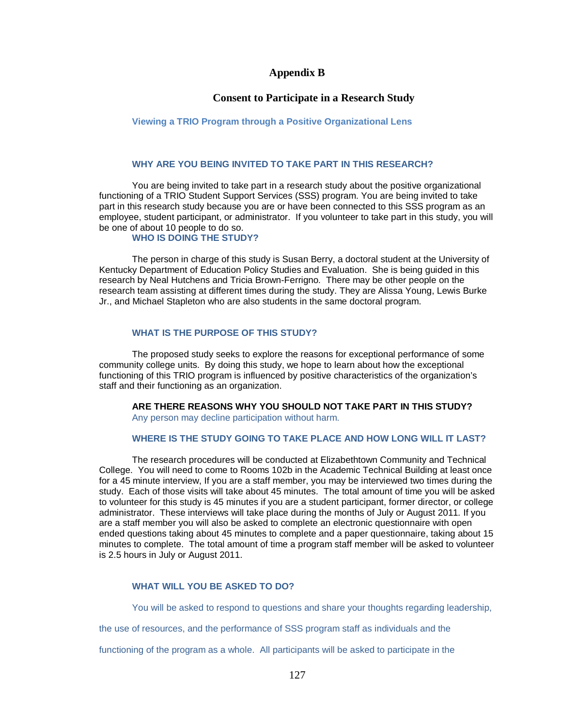## **Appendix B**

## **Consent to Participate in a Research Study**

#### **Viewing a TRIO Program through a Positive Organizational Lens**

## **WHY ARE YOU BEING INVITED TO TAKE PART IN THIS RESEARCH?**

You are being invited to take part in a research study about the positive organizational functioning of a TRIO Student Support Services (SSS) program. You are being invited to take part in this research study because you are or have been connected to this SSS program as an employee, student participant, or administrator. If you volunteer to take part in this study, you will be one of about 10 people to do so.

#### **WHO IS DOING THE STUDY?**

The person in charge of this study is Susan Berry, a doctoral student at the University of Kentucky Department of Education Policy Studies and Evaluation. She is being guided in this research by Neal Hutchens and Tricia Brown-Ferrigno*.* There may be other people on the research team assisting at different times during the study. They are Alissa Young, Lewis Burke Jr., and Michael Stapleton who are also students in the same doctoral program.

## **WHAT IS THE PURPOSE OF THIS STUDY?**

The proposed study seeks to explore the reasons for exceptional performance of some community college units. By doing this study, we hope to learn about how the exceptional functioning of this TRIO program is influenced by positive characteristics of the organization's staff and their functioning as an organization.

**ARE THERE REASONS WHY YOU SHOULD NOT TAKE PART IN THIS STUDY?**

Any person may decline participation without harm.

## **WHERE IS THE STUDY GOING TO TAKE PLACE AND HOW LONG WILL IT LAST?**

The research procedures will be conducted at Elizabethtown Community and Technical College. You will need to come to Rooms 102b in the Academic Technical Building at least once for a 45 minute interview, If you are a staff member, you may be interviewed two times during the study. Each of those visits will take about 45 minutes. The total amount of time you will be asked to volunteer for this study is 45 minutes if you are a student participant, former director, or college administrator. These interviews will take place during the months of July or August 2011*.* If you are a staff member you will also be asked to complete an electronic questionnaire with open ended questions taking about 45 minutes to complete and a paper questionnaire, taking about 15 minutes to complete. The total amount of time a program staff member will be asked to volunteer is 2.5 hours in July or August 2011.

## **WHAT WILL YOU BE ASKED TO DO?**

You will be asked to respond to questions and share your thoughts regarding leadership,

the use of resources, and the performance of SSS program staff as individuals and the

functioning of the program as a whole. All participants will be asked to participate in the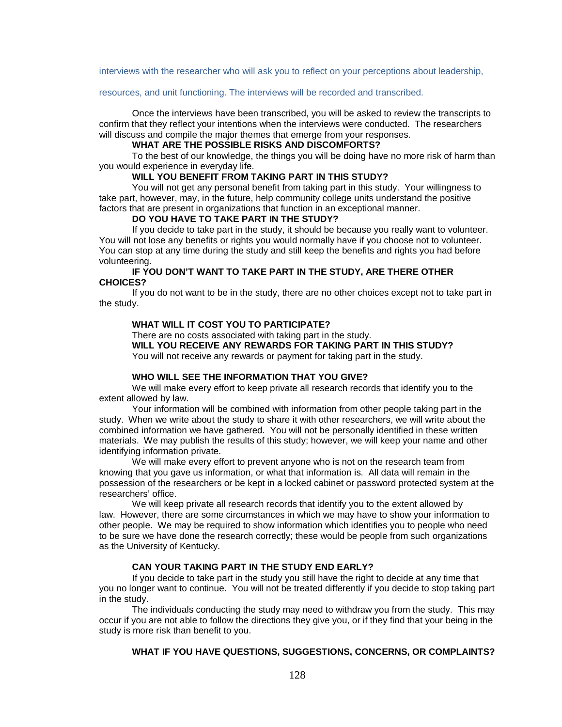interviews with the researcher who will ask you to reflect on your perceptions about leadership,

#### resources, and unit functioning. The interviews will be recorded and transcribed.

Once the interviews have been transcribed, you will be asked to review the transcripts to confirm that they reflect your intentions when the interviews were conducted. The researchers will discuss and compile the major themes that emerge from your responses.

#### **WHAT ARE THE POSSIBLE RISKS AND DISCOMFORTS?**

To the best of our knowledge, the things you will be doing have no more risk of harm than you would experience in everyday life.

## **WILL YOU BENEFIT FROM TAKING PART IN THIS STUDY?**

You will not get any personal benefit from taking part in this study. Your willingness to take part, however, may, in the future, help community college units understand the positive factors that are present in organizations that function in an exceptional manner.

#### **DO YOU HAVE TO TAKE PART IN THE STUDY?**

If you decide to take part in the study, it should be because you really want to volunteer. You will not lose any benefits or rights you would normally have if you choose not to volunteer. You can stop at any time during the study and still keep the benefits and rights you had before volunteering.

#### **IF YOU DON'T WANT TO TAKE PART IN THE STUDY, ARE THERE OTHER CHOICES?**

If you do not want to be in the study, there are no other choices except not to take part in the study.

#### **WHAT WILL IT COST YOU TO PARTICIPATE?**

There are no costs associated with taking part in the study.

**WILL YOU RECEIVE ANY REWARDS FOR TAKING PART IN THIS STUDY?**

You will not receive any rewards or payment for taking part in the study.

#### **WHO WILL SEE THE INFORMATION THAT YOU GIVE?**

We will make every effort to keep private all research records that identify you to the extent allowed by law.

Your information will be combined with information from other people taking part in the study. When we write about the study to share it with other researchers, we will write about the combined information we have gathered. You will not be personally identified in these written materials. We may publish the results of this study; however, we will keep your name and other identifying information private.

We will make every effort to prevent anyone who is not on the research team from knowing that you gave us information, or what that information is. All data will remain in the possession of the researchers or be kept in a locked cabinet or password protected system at the researchers' office.

We will keep private all research records that identify you to the extent allowed by law. However, there are some circumstances in which we may have to show your information to other people. We may be required to show information which identifies you to people who need to be sure we have done the research correctly; these would be people from such organizations as the University of Kentucky.

#### **CAN YOUR TAKING PART IN THE STUDY END EARLY?**

If you decide to take part in the study you still have the right to decide at any time that you no longer want to continue. You will not be treated differently if you decide to stop taking part in the study.

The individuals conducting the study may need to withdraw you from the study. This may occur if you are not able to follow the directions they give you, or if they find that your being in the study is more risk than benefit to you.

## **WHAT IF YOU HAVE QUESTIONS, SUGGESTIONS, CONCERNS, OR COMPLAINTS?**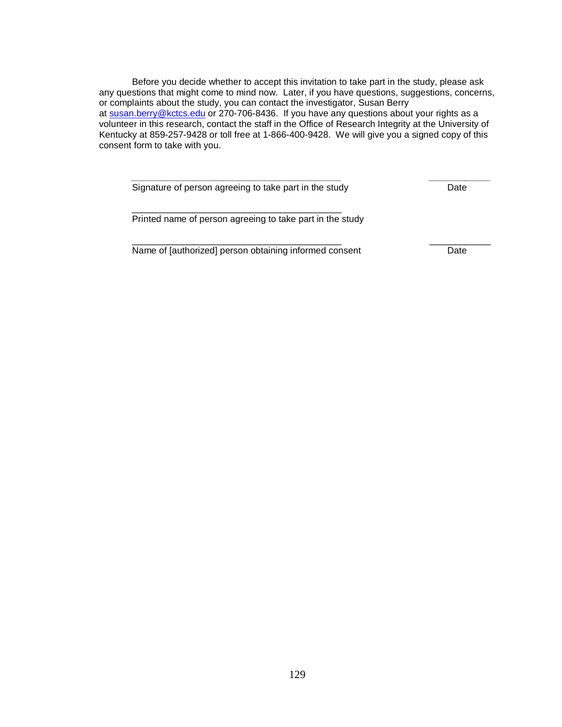Before you decide whether to accept this invitation to take part in the study, please ask any questions that might come to mind now. Later, if you have questions, suggestions, concerns, or complaints about the study, you can contact the investigator, Susan Berry at [susan.berry@kctcs.edu](mailto:susan.berry@kctcs.edu) or 270-706-8436. If you have any questions about your rights as a volunteer in this research, contact the staff in the Office of Research Integrity at the University of Kentucky at 859-257-9428 or toll free at 1-866-400-9428. We will give you a signed copy of this consent form to take with you.

| Signature of person agreeing to take part in the study    | Date |
|-----------------------------------------------------------|------|
| Printed name of person agreeing to take part in the study |      |
| Name of [authorized] person obtaining informed consent    | Date |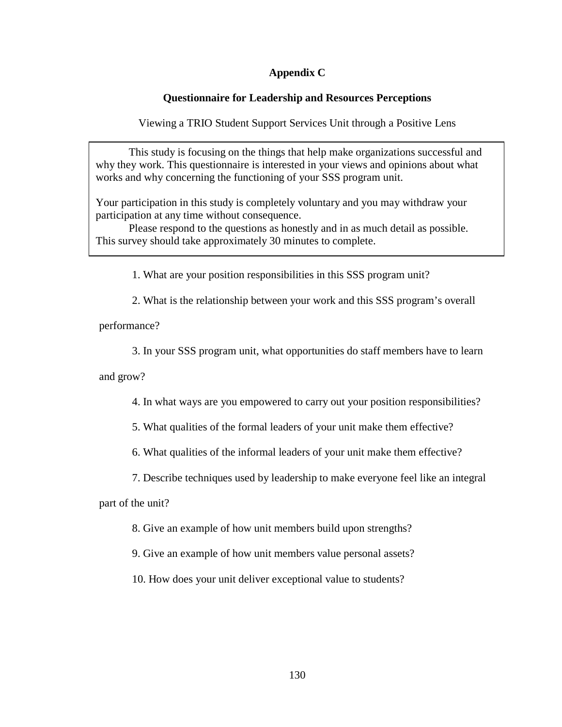## **Appendix C**

# **Questionnaire for Leadership and Resources Perceptions**

Viewing a TRIO Student Support Services Unit through a Positive Lens

This study is focusing on the things that help make organizations successful and why they work. This questionnaire is interested in your views and opinions about what works and why concerning the functioning of your SSS program unit.

Your participation in this study is completely voluntary and you may withdraw your participation at any time without consequence.

Please respond to the questions as honestly and in as much detail as possible. This survey should take approximately 30 minutes to complete.

1. What are your position responsibilities in this SSS program unit?

2. What is the relationship between your work and this SSS program's overall

performance?

3. In your SSS program unit, what opportunities do staff members have to learn

and grow?

4. In what ways are you empowered to carry out your position responsibilities?

5. What qualities of the formal leaders of your unit make them effective?

6. What qualities of the informal leaders of your unit make them effective?

7. Describe techniques used by leadership to make everyone feel like an integral

part of the unit?

8. Give an example of how unit members build upon strengths?

9. Give an example of how unit members value personal assets?

10. How does your unit deliver exceptional value to students?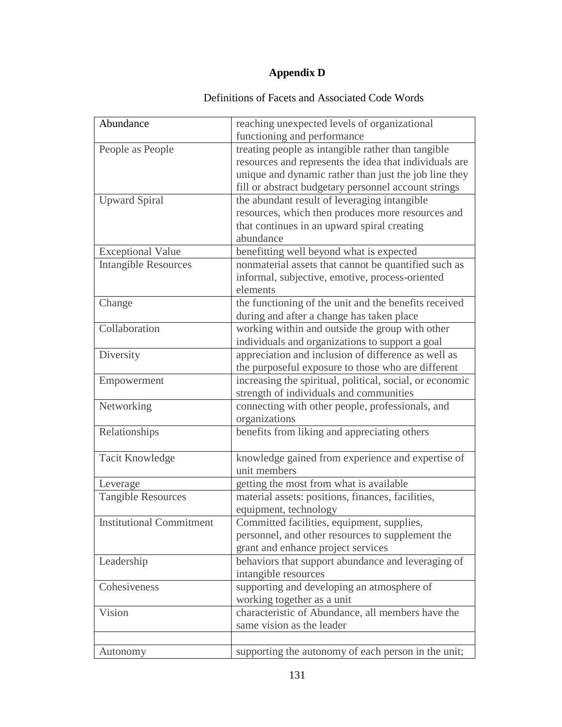# **Appendix D**

# Definitions of Facets and Associated Code Words

| Abundance                       | reaching unexpected levels of organizational             |
|---------------------------------|----------------------------------------------------------|
|                                 | functioning and performance                              |
| People as People                | treating people as intangible rather than tangible       |
|                                 | resources and represents the idea that individuals are   |
|                                 | unique and dynamic rather than just the job line they    |
|                                 | fill or abstract budgetary personnel account strings     |
| <b>Upward Spiral</b>            | the abundant result of leveraging intangible             |
|                                 | resources, which then produces more resources and        |
|                                 | that continues in an upward spiral creating              |
|                                 | abundance                                                |
| <b>Exceptional Value</b>        | benefitting well beyond what is expected                 |
| <b>Intangible Resources</b>     | nonmaterial assets that cannot be quantified such as     |
|                                 | informal, subjective, emotive, process-oriented          |
|                                 | elements                                                 |
| Change                          | the functioning of the unit and the benefits received    |
|                                 | during and after a change has taken place                |
| Collaboration                   | working within and outside the group with other          |
|                                 | individuals and organizations to support a goal          |
| Diversity                       | appreciation and inclusion of difference as well as      |
|                                 | the purposeful exposure to those who are different       |
| Empowerment                     | increasing the spiritual, political, social, or economic |
|                                 | strength of individuals and communities                  |
| Networking                      | connecting with other people, professionals, and         |
|                                 | organizations                                            |
| Relationships                   | benefits from liking and appreciating others             |
|                                 |                                                          |
| <b>Tacit Knowledge</b>          | knowledge gained from experience and expertise of        |
|                                 | unit members                                             |
| Leverage                        | getting the most from what is available                  |
| <b>Tangible Resources</b>       | material assets: positions, finances, facilities,        |
|                                 | equipment, technology                                    |
| <b>Institutional Commitment</b> | Committed facilities, equipment, supplies,               |
|                                 | personnel, and other resources to supplement the         |
|                                 | grant and enhance project services                       |
| Leadership                      | behaviors that support abundance and leveraging of       |
|                                 | intangible resources                                     |
| Cohesiveness                    | supporting and developing an atmosphere of               |
|                                 | working together as a unit                               |
| Vision                          | characteristic of Abundance, all members have the        |
|                                 | same vision as the leader                                |
|                                 |                                                          |
| Autonomy                        | supporting the autonomy of each person in the unit;      |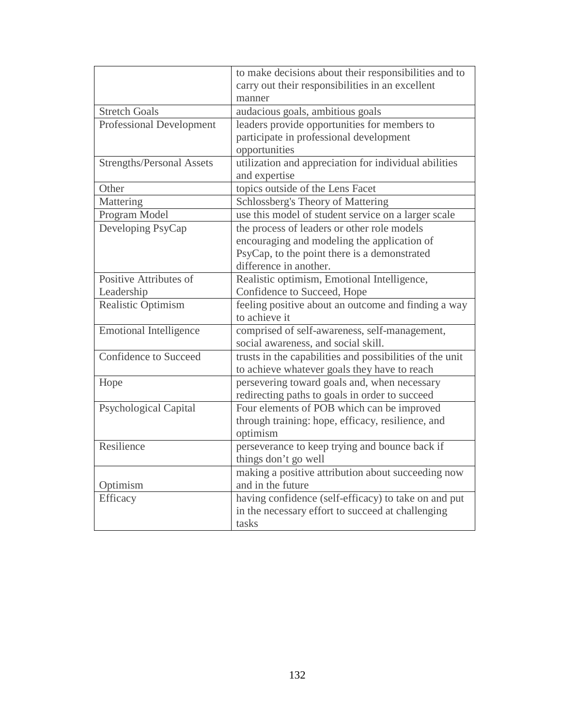|                                  | to make decisions about their responsibilities and to    |
|----------------------------------|----------------------------------------------------------|
|                                  | carry out their responsibilities in an excellent         |
|                                  | manner                                                   |
| <b>Stretch Goals</b>             | audacious goals, ambitious goals                         |
| <b>Professional Development</b>  | leaders provide opportunities for members to             |
|                                  | participate in professional development                  |
|                                  | opportunities                                            |
| <b>Strengths/Personal Assets</b> | utilization and appreciation for individual abilities    |
|                                  | and expertise                                            |
| Other                            | topics outside of the Lens Facet                         |
| Mattering                        | Schlossberg's Theory of Mattering                        |
| Program Model                    | use this model of student service on a larger scale      |
| Developing PsyCap                | the process of leaders or other role models              |
|                                  | encouraging and modeling the application of              |
|                                  | PsyCap, to the point there is a demonstrated             |
|                                  | difference in another.                                   |
| Positive Attributes of           | Realistic optimism, Emotional Intelligence,              |
| Leadership                       | Confidence to Succeed, Hope                              |
| Realistic Optimism               | feeling positive about an outcome and finding a way      |
|                                  | to achieve it                                            |
| <b>Emotional Intelligence</b>    | comprised of self-awareness, self-management,            |
|                                  | social awareness, and social skill.                      |
| Confidence to Succeed            | trusts in the capabilities and possibilities of the unit |
|                                  | to achieve whatever goals they have to reach             |
| Hope                             | persevering toward goals and, when necessary             |
|                                  | redirecting paths to goals in order to succeed           |
| <b>Psychological Capital</b>     | Four elements of POB which can be improved               |
|                                  | through training: hope, efficacy, resilience, and        |
|                                  | optimism                                                 |
| Resilience                       | perseverance to keep trying and bounce back if           |
|                                  | things don't go well                                     |
|                                  | making a positive attribution about succeeding now       |
| Optimism                         | and in the future                                        |
| Efficacy                         | having confidence (self-efficacy) to take on and put     |
|                                  | in the necessary effort to succeed at challenging        |
|                                  | tasks                                                    |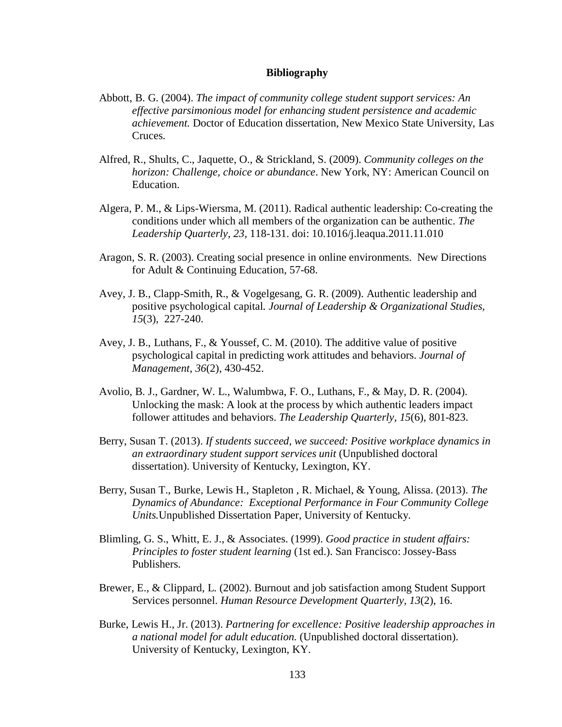#### **Bibliography**

- Abbott, B. G. (2004). *The impact of community college student support services: An effective parsimonious model for enhancing student persistence and academic achievement.* Doctor of Education dissertation, New Mexico State University, Las Cruces.
- Alfred, R., Shults, C., Jaquette, O., & Strickland, S. (2009). *Community colleges on the horizon: Challenge, choice or abundance*. New York, NY: American Council on Education.
- Algera, P. M., & Lips-Wiersma, M. (2011). Radical authentic leadership: Co-creating the conditions under which all members of the organization can be authentic. *The Leadership Quarterly, 23*, 118-131. doi: 10.1016/j.leaqua.2011.11.010
- Aragon, S. R. (2003). Creating social presence in online environments. New Directions for Adult & Continuing Education, 57-68.
- Avey, J. B., Clapp-Smith, R., & Vogelgesang, G. R. (2009). Authentic leadership and positive psychological capital*. Journal of Leadership & Organizational Studies, 15*(3), 227-240.
- Avey, J. B., Luthans, F., & Youssef, C. M. (2010). The additive value of positive psychological capital in predicting work attitudes and behaviors. *Journal of Management, 36*(2), 430-452.
- Avolio, B. J., Gardner, W. L., Walumbwa, F. O., Luthans, F., & May, D. R. (2004). Unlocking the mask: A look at the process by which authentic leaders impact follower attitudes and behaviors. *The Leadership Quarterly, 15*(6), 801-823.
- Berry, Susan T. (2013). *If students succeed, we succeed: Positive workplace dynamics in an extraordinary student support services unit* (Unpublished doctoral dissertation). University of Kentucky, Lexington, KY.
- Berry, Susan T., Burke, Lewis H., Stapleton , R. Michael, & Young, Alissa. (2013). *The Dynamics of Abundance: Exceptional Performance in Four Community College Units.*Unpublished Dissertation Paper, University of Kentucky.
- Blimling, G. S., Whitt, E. J., & Associates. (1999). *Good practice in student affairs: Principles to foster student learning* (1st ed.). San Francisco: Jossey-Bass Publishers.
- Brewer, E., & Clippard, L. (2002). Burnout and job satisfaction among Student Support Services personnel. *Human Resource Development Quarterly, 13*(2), 16.
- Burke, Lewis H., Jr. (2013). *Partnering for excellence: Positive leadership approaches in a national model for adult education.* (Unpublished doctoral dissertation). University of Kentucky, Lexington, KY.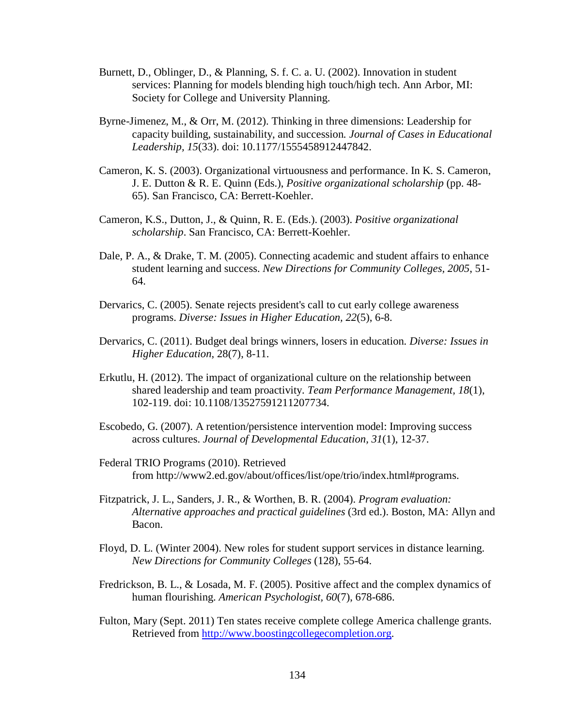- Burnett, D., Oblinger, D., & Planning, S. f. C. a. U. (2002). Innovation in student services: Planning for models blending high touch/high tech. Ann Arbor, MI: Society for College and University Planning.
- Byrne-Jimenez, M., & Orr, M. (2012). Thinking in three dimensions: Leadership for capacity building, sustainability, and succession*. Journal of Cases in Educational Leadership, 15*(33). doi: 10.1177/1555458912447842.
- Cameron, K. S. (2003). Organizational virtuousness and performance. In K. S. Cameron, J. E. Dutton & R. E. Quinn (Eds.), *Positive organizational scholarship* (pp. 48- 65). San Francisco, CA: Berrett-Koehler.
- Cameron, K.S., Dutton, J., & Quinn, R. E. (Eds.). (2003). *Positive organizational scholarship*. San Francisco, CA: Berrett-Koehler.
- Dale, P. A., & Drake, T. M. (2005). Connecting academic and student affairs to enhance student learning and success. *New Directions for Community Colleges, 2005*, 51- 64.
- Dervarics, C. (2005). Senate rejects president's call to cut early college awareness programs. *Diverse: Issues in Higher Education, 22*(5), 6-8.
- Dervarics, C. (2011). Budget deal brings winners, losers in education*. Diverse: Issues in Higher Education*, 28(7), 8-11.
- Erkutlu, H. (2012). The impact of organizational culture on the relationship between shared leadership and team proactivity. *Team Performance Management, 18*(1), 102-119. doi: 10.1108/13527591211207734.
- Escobedo, G. (2007). A retention/persistence intervention model: Improving success across cultures. *Journal of Developmental Education, 31*(1), 12-37.
- Federal TRIO Programs (2010). Retrieved from [http://www2.ed.gov/about/offices/list/ope/trio/index.html#programs.](http://www2.ed.gov/about/offices/list/ope/trio/index.html%23programs)
- Fitzpatrick, J. L., Sanders, J. R., & Worthen, B. R. (2004). *Program evaluation: Alternative approaches and practical guidelines* (3rd ed.). Boston, MA: Allyn and Bacon.
- Floyd, D. L. (Winter 2004). New roles for student support services in distance learning. *New Directions for Community Colleges* (128), 55-64.
- Fredrickson, B. L., & Losada, M. F. (2005). Positive affect and the complex dynamics of human flourishing. *American Psychologist, 60*(7), 678-686.
- Fulton, Mary (Sept. 2011) Ten states receive complete college America challenge grants. Retrieved from [http://www.boostingcollegecompletion.org.](http://www.boostingcollegecompletion.org/)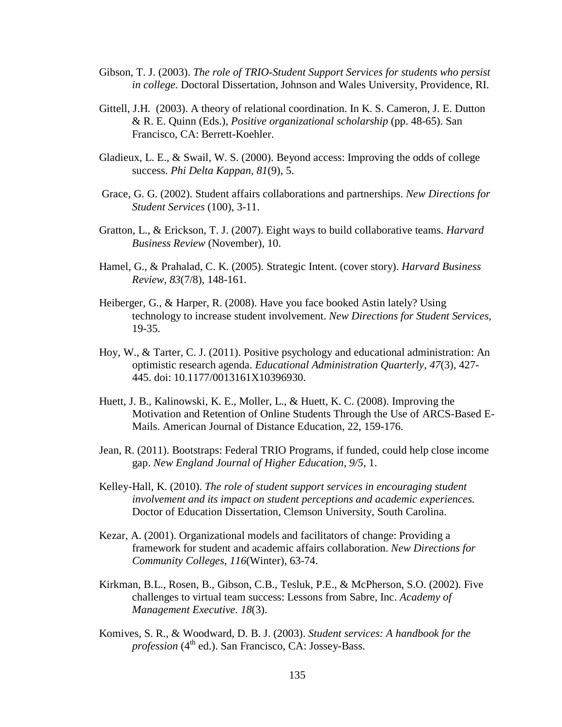- Gibson, T. J. (2003). *The role of TRIO-Student Support Services for students who persist in college.* Doctoral Dissertation, Johnson and Wales University, Providence, RI.
- Gittell, J.H. (2003). A theory of relational coordination. In K. S. Cameron, J. E. Dutton & R. E. Quinn (Eds.), *Positive organizational scholarship* (pp. 48-65). San Francisco, CA: Berrett-Koehler.
- Gladieux, L. E., & Swail, W. S. (2000). Beyond access: Improving the odds of college success. *Phi Delta Kappan, 81*(9), 5.
- Grace, G. G. (2002). Student affairs collaborations and partnerships. *New Directions for Student Services* (100), 3-11.
- Gratton, L., & Erickson, T. J. (2007). Eight ways to build collaborative teams. *Harvard Business Review* (November), 10.
- Hamel, G., & Prahalad, C. K. (2005). Strategic Intent. (cover story). *Harvard Business Review*, *83*(7/8), 148-161.
- Heiberger, G., & Harper, R. (2008). Have you face booked Astin lately? Using technology to increase student involvement. *New Directions for Student Services,* 19-35.
- Hoy, W., & Tarter, C. J. (2011). Positive psychology and educational administration: An optimistic research agenda. *Educational Administration Quarterly, 47*(3), 427- 445. doi: 10.1177/0013161X10396930.
- Huett, J. B., Kalinowski, K. E., Moller, L., & Huett, K. C. (2008). Improving the Motivation and Retention of Online Students Through the Use of ARCS-Based E-Mails. American Journal of Distance Education, 22, 159-176.
- Jean, R. (2011). Bootstraps: Federal TRIO Programs, if funded, could help close income gap. *New England Journal of Higher Education*, *9/5*, 1.
- Kelley-Hall, K. (2010). *The role of student support services in encouraging student involvement and its impact on student perceptions and academic experiences.* Doctor of Education Dissertation, Clemson University, South Carolina.
- Kezar, A. (2001). Organizational models and facilitators of change: Providing a framework for student and academic affairs collaboration. *New Directions for Community Colleges, 116*(Winter), 63-74.
- Kirkman, B.L., Rosen, B., Gibson, C.B., Tesluk, P.E., & McPherson, S.O. (2002). Five challenges to virtual team success: Lessons from Sabre, Inc. *Academy of Management Executive. 18*(3).
- Komives, S. R., & Woodward, D. B. J. (2003). *Student services: A handbook for the profession* (4<sup>th</sup> ed.). San Francisco, CA: Jossey-Bass.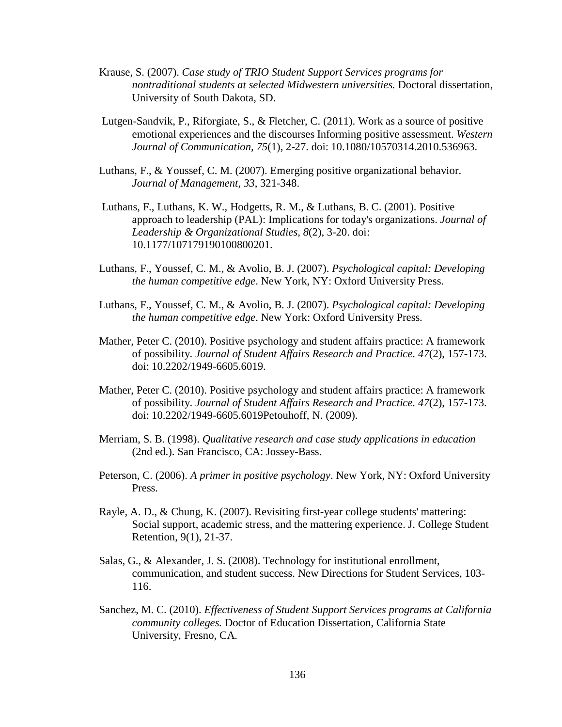- Krause, S. (2007). *Case study of TRIO Student Support Services programs for nontraditional students at selected Midwestern universities.* Doctoral dissertation, University of South Dakota, SD.
- Lutgen-Sandvik, P., Riforgiate, S., & Fletcher, C. (2011). Work as a source of positive emotional experiences and the discourses Informing positive assessment. *Western Journal of Communication, 75*(1), 2-27. doi: 10.1080/10570314.2010.536963.
- Luthans, F., & Youssef, C. M. (2007). Emerging positive organizational behavior. *Journal of Management, 33*, 321-348.
- Luthans, F., Luthans, K. W., Hodgetts, R. M., & Luthans, B. C. (2001). Positive approach to leadership (PAL): Implications for today's organizations. *Journal of Leadership & Organizational Studies, 8*(2), 3-20. doi: 10.1177/107179190100800201.
- Luthans, F., Youssef, C. M., & Avolio, B. J. (2007). *Psychological capital: Developing the human competitive edge*. New York, NY: Oxford University Press.
- Luthans, F., Youssef, C. M., & Avolio, B. J. (2007). *Psychological capital: Developing the human competitive edge*. New York: Oxford University Press.
- Mather, Peter C. (2010). Positive psychology and student affairs practice: A framework of possibility. *Journal of Student Affairs Research and Practice. 47*(2), 157-173. doi: 10.2202/1949-6605.6019.
- Mather, Peter C. (2010). Positive psychology and student affairs practice: A framework of possibility. *Journal of Student Affairs Research and Practice. 47*(2), 157-173. doi: 10.2202/1949-6605.6019Petouhoff, N. (2009).
- Merriam, S. B. (1998). *Qualitative research and case study applications in education* (2nd ed.). San Francisco, CA: Jossey-Bass.
- Peterson, C. (2006). *A primer in positive psychology*. New York, NY: Oxford University Press.
- Rayle, A. D., & Chung, K. (2007). Revisiting first-year college students' mattering: Social support, academic stress, and the mattering experience. J. College Student Retention, 9(1), 21-37.
- Salas, G., & Alexander, J. S. (2008). Technology for institutional enrollment, communication, and student success. New Directions for Student Services, 103- 116.
- Sanchez, M. C. (2010). *Effectiveness of Student Support Services programs at California community colleges.* Doctor of Education Dissertation, California State University, Fresno, CA.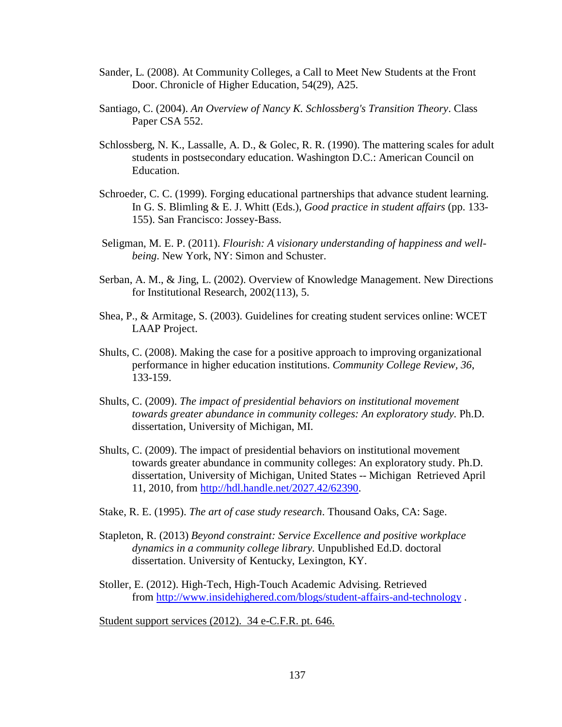- Sander, L. (2008). At Community Colleges, a Call to Meet New Students at the Front Door. Chronicle of Higher Education, 54(29), A25.
- Santiago, C. (2004). *An Overview of Nancy K. Schlossberg's Transition Theory*. Class Paper CSA 552.
- Schlossberg, N. K., Lassalle, A. D., & Golec, R. R. (1990). The mattering scales for adult students in postsecondary education. Washington D.C.: American Council on Education.
- Schroeder, C. C. (1999). Forging educational partnerships that advance student learning. In G. S. Blimling & E. J. Whitt (Eds.), *Good practice in student affairs* (pp. 133- 155). San Francisco: Jossey-Bass.
- Seligman, M. E. P. (2011). *Flourish: A visionary understanding of happiness and wellbeing*. New York, NY: Simon and Schuster.
- Serban, A. M., & Jing, L. (2002). Overview of Knowledge Management. New Directions for Institutional Research, 2002(113), 5.
- Shea, P., & Armitage, S. (2003). Guidelines for creating student services online: WCET LAAP Project.
- Shults, C. (2008). Making the case for a positive approach to improving organizational performance in higher education institutions. *Community College Review, 36*, 133-159.
- Shults, C. (2009). *The impact of presidential behaviors on institutional movement towards greater abundance in community colleges: An exploratory study.* Ph.D. dissertation, University of Michigan, MI.
- Shults, C. (2009). The impact of presidential behaviors on institutional movement towards greater abundance in community colleges: An exploratory study. Ph.D. dissertation, University of Michigan, United States -- Michigan Retrieved April 11, 2010, from [http://hdl.handle.net/2027.42/62390.](http://hdl.handle.net/2027.42/62390)
- Stake, R. E. (1995). *The art of case study research*. Thousand Oaks, CA: Sage.
- Stapleton, R. (2013) *Beyond constraint: Service Excellence and positive workplace dynamics in a community college library.* Unpublished Ed.D. doctoral dissertation. University of Kentucky, Lexington, KY.
- Stoller, E. (2012). High-Tech, High-Touch Academic Advising. Retrieved from<http://www.insidehighered.com/blogs/student-affairs-and-technology> .

Student support services (2012). 34 e-C.F.R. pt. 646.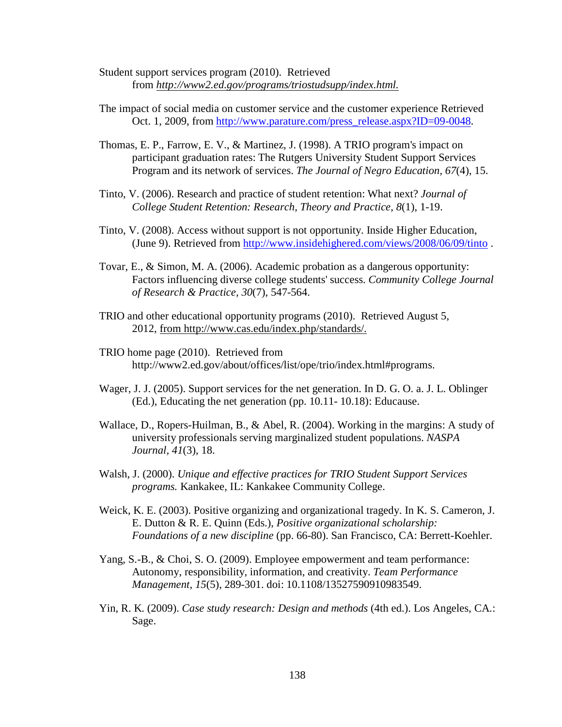- Student support services program (2010). Retrieved from *[http://www2.ed.gov/programs/triostudsupp/index.html.](http://www2.ed.gov/programs/triostudsupp/index.html)*
- The impact of social media on customer service and the customer experience Retrieved Oct. 1, 2009, from [http://www.parature.com/press\\_release.aspx?ID=09-0048.](http://www.parature.com/press_release.aspx?ID=09-0048)
- Thomas, E. P., Farrow, E. V., & Martinez, J. (1998). A TRIO program's impact on participant graduation rates: The Rutgers University Student Support Services Program and its network of services. *The Journal of Negro Education, 67*(4), 15.
- Tinto, V. (2006). Research and practice of student retention: What next? *Journal of College Student Retention: Research, Theory and Practice, 8*(1), 1-19.
- Tinto, V. (2008). Access without support is not opportunity. Inside Higher Education, (June 9). Retrieved from<http://www.insidehighered.com/views/2008/06/09/tinto> .
- Tovar, E., & Simon, M. A. (2006). Academic probation as a dangerous opportunity: Factors influencing diverse college students' success. *Community College Journal of Research & Practice, 30*(7), 547-564.
- TRIO and other educational opportunity programs (2010). Retrieved August 5, 2012, from [http://www.cas.edu/index.php/standards/.](http://www.cas.edu/index.php/standards/)
- TRIO home page (2010). Retrieved from [http://www2.ed.gov/about/offices/list/ope/trio/index.html#programs.](http://www2.ed.gov/about/offices/list/ope/trio/index.html%23programs)
- Wager, J. J. (2005). Support services for the net generation. In D. G. O. a. J. L. Oblinger (Ed.), Educating the net generation (pp. 10.11- 10.18): Educause.
- Wallace, D., Ropers-Huilman, B., & Abel, R. (2004). Working in the margins: A study of university professionals serving marginalized student populations. *NASPA Journal, 41*(3), 18.
- Walsh, J. (2000). *Unique and effective practices for TRIO Student Support Services programs.* Kankakee, IL: Kankakee Community College.
- Weick, K. E. (2003). Positive organizing and organizational tragedy. In K. S. Cameron, J. E. Dutton & R. E. Quinn (Eds.), *Positive organizational scholarship: Foundations of a new discipline* (pp. 66-80). San Francisco, CA: Berrett-Koehler.
- Yang, S.-B., & Choi, S. O. (2009). Employee empowerment and team performance: Autonomy, responsibility, information, and creativity. *Team Performance Management, 15*(5), 289-301. doi: 10.1108/13527590910983549.
- Yin, R. K. (2009). *Case study research: Design and methods* (4th ed.). Los Angeles, CA.: Sage.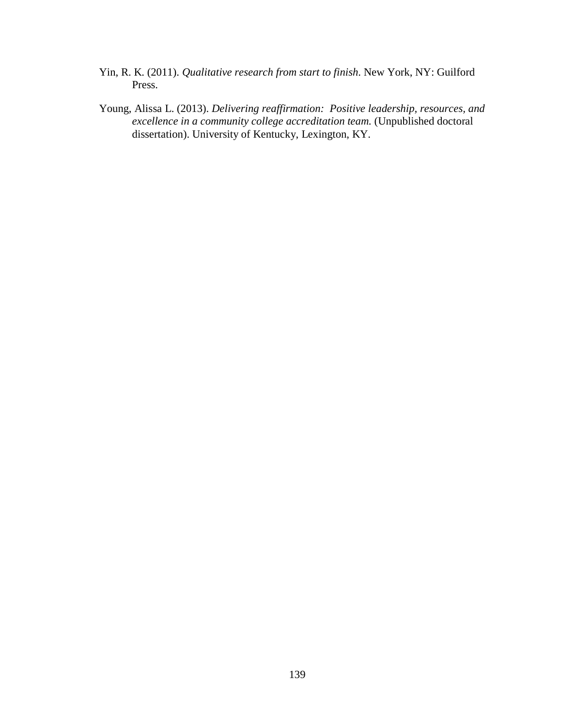- Yin, R. K. (2011). *Qualitative research from start to finish*. New York, NY: Guilford Press.
- Young, Alissa L. (2013). *Delivering reaffirmation: Positive leadership, resources, and excellence in a community college accreditation team.* (Unpublished doctoral dissertation). University of Kentucky, Lexington, KY.